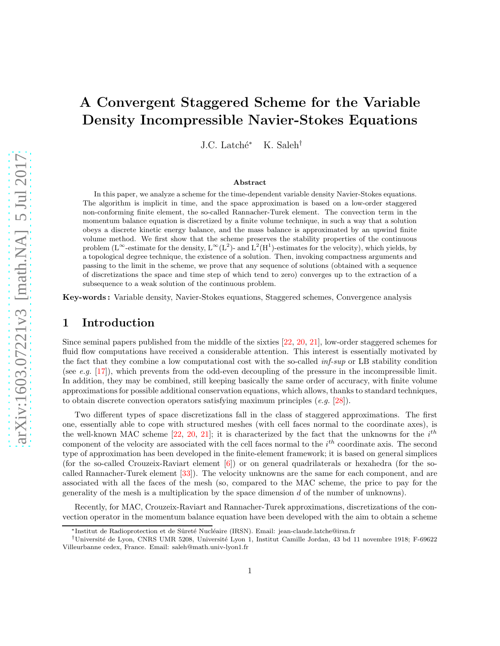# A Convergent Staggered Scheme for the Variable Density Incompressible Navier-Stokes Equations

J.C. Latché<sup>∗</sup> K. Saleh<sup>†</sup>

#### Abstract

In this paper, we analyze a scheme for the time-dependent variable density Navier-Stokes equations. The algorithm is implicit in time, and the space approximation is based on a low-order staggered non-conforming finite element, the so-called Rannacher-Turek element. The convection term in the momentum balance equation is discretized by a finite volume technique, in such a way that a solution obeys a discrete kinetic energy balance, and the mass balance is approximated by an upwind finite volume method. We first show that the scheme preserves the stability properties of the continuous problem (L<sup>∞</sup>-estimate for the density,  $L^{\infty}(L^2)$ - and  $L^2(H^1)$ -estimates for the velocity), which yields, by a topological degree technique, the existence of a solution. Then, invoking compactness arguments and passing to the limit in the scheme, we prove that any sequence of solutions (obtained with a sequence of discretizations the space and time step of which tend to zero) converges up to the extraction of a subsequence to a weak solution of the continuous problem.

Key-words : Variable density, Navier-Stokes equations, Staggered schemes, Convergence analysis

### 1 Introduction

Since seminal papers published from the middle of the sixties [\[22,](#page-45-0) [20,](#page-45-1) [21\]](#page-45-2), low-order staggered schemes for fluid flow computations have received a considerable attention. This interest is essentially motivated by the fact that they combine a low computational cost with the so-called inf-sup or LB stability condition (see e.g.  $[17]$ ), which prevents from the odd-even decoupling of the pressure in the incompressible limit. In addition, they may be combined, still keeping basically the same order of accuracy, with finite volume approximations for possible additional conservation equations, which allows, thanks to standard techniques, to obtain discrete convection operators satisfying maximum principles  $(e.g. [28])$  $(e.g. [28])$  $(e.g. [28])$ .

Two different types of space discretizations fall in the class of staggered approximations. The first one, essentially able to cope with structured meshes (with cell faces normal to the coordinate axes), is the well-known MAC scheme [\[22,](#page-45-0) [20,](#page-45-1) [21\]](#page-45-2); it is characterized by the fact that the unknowns for the  $i^{th}$ component of the velocity are associated with the cell faces normal to the  $i^{th}$  coordinate axis. The second type of approximation has been developed in the finite-element framework; it is based on general simplices (for the so-called Crouzeix-Raviart element [\[6\]](#page-44-0)) or on general quadrilaterals or hexahedra (for the socalled Rannacher-Turek element [\[33\]](#page-45-5)). The velocity unknowns are the same for each component, and are associated with all the faces of the mesh (so, compared to the MAC scheme, the price to pay for the generality of the mesh is a multiplication by the space dimension  $d$  of the number of unknowns).

Recently, for MAC, Crouzeix-Raviart and Rannacher-Turek approximations, discretizations of the convection operator in the momentum balance equation have been developed with the aim to obtain a scheme

<sup>∗</sup>Institut de Radioprotection et de Sˆuret´e Nucl´eaire (IRSN). Email: jean-claude.latche@irsn.fr

<sup>†</sup>Universit´e de Lyon, CNRS UMR 5208, Universit´e Lyon 1, Institut Camille Jordan, 43 bd 11 novembre 1918; F-69622 Villeurbanne cedex, France. Email: saleh@math.univ-lyon1.fr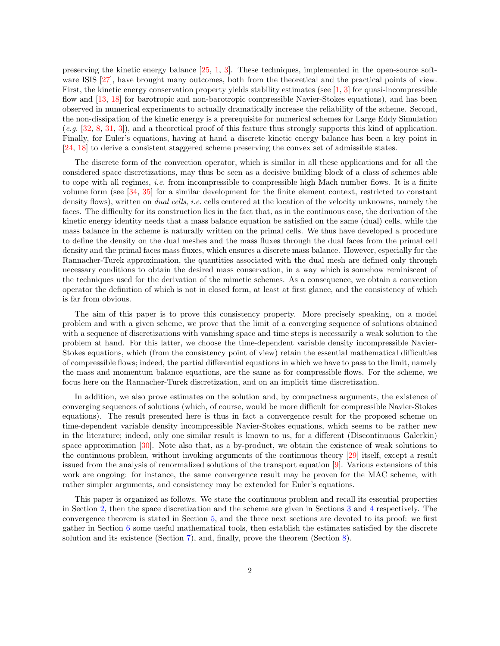preserving the kinetic energy balance [\[25,](#page-45-6) [1,](#page-44-1) [3\]](#page-44-2). These techniques, implemented in the open-source software ISIS [\[27\]](#page-45-7), have brought many outcomes, both from the theoretical and the practical points of view. First, the kinetic energy conservation property yields stability estimates (see  $\left[1, 3\right]$  for quasi-incompressible flow and [\[13,](#page-44-3) [18\]](#page-45-8) for barotropic and non-barotropic compressible Navier-Stokes equations), and has been observed in numerical experiments to actually dramatically increase the reliability of the scheme. Second, the non-dissipation of the kinetic energy is a prerequisite for numerical schemes for Large Eddy Simulation  $(e.g. [32, 8, 31, 3])$  $(e.g. [32, 8, 31, 3])$  $(e.g. [32, 8, 31, 3])$  $(e.g. [32, 8, 31, 3])$  $(e.g. [32, 8, 31, 3])$  $(e.g. [32, 8, 31, 3])$  $(e.g. [32, 8, 31, 3])$  $(e.g. [32, 8, 31, 3])$  $(e.g. [32, 8, 31, 3])$ , and a theoretical proof of this feature thus strongly supports this kind of application. Finally, for Euler's equations, having at hand a discrete kinetic energy balance has been a key point in [\[24,](#page-45-11) [18\]](#page-45-8) to derive a consistent staggered scheme preserving the convex set of admissible states.

The discrete form of the convection operator, which is similar in all these applications and for all the considered space discretizations, may thus be seen as a decisive building block of a class of schemes able to cope with all regimes, i.e. from incompressible to compressible high Mach number flows. It is a finite volume form (see [\[34,](#page-46-0) [35\]](#page-46-1) for a similar development for the finite element context, restricted to constant density flows), written on *dual cells*, *i.e.* cells centered at the location of the velocity unknowns, namely the faces. The difficulty for its construction lies in the fact that, as in the continuous case, the derivation of the kinetic energy identity needs that a mass balance equation be satisfied on the same (dual) cells, while the mass balance in the scheme is naturally written on the primal cells. We thus have developed a procedure to define the density on the dual meshes and the mass fluxes through the dual faces from the primal cell density and the primal faces mass fluxes, which ensures a discrete mass balance. However, especially for the Rannacher-Turek approximation, the quantities associated with the dual mesh are defined only through necessary conditions to obtain the desired mass conservation, in a way which is somehow reminiscent of the techniques used for the derivation of the mimetic schemes. As a consequence, we obtain a convection operator the definition of which is not in closed form, at least at first glance, and the consistency of which is far from obvious.

The aim of this paper is to prove this consistency property. More precisely speaking, on a model problem and with a given scheme, we prove that the limit of a converging sequence of solutions obtained with a sequence of discretizations with vanishing space and time steps is necessarily a weak solution to the problem at hand. For this latter, we choose the time-dependent variable density incompressible Navier-Stokes equations, which (from the consistency point of view) retain the essential mathematical difficulties of compressible flows; indeed, the partial differential equations in which we have to pass to the limit, namely the mass and momentum balance equations, are the same as for compressible flows. For the scheme, we focus here on the Rannacher-Turek discretization, and on an implicit time discretization.

In addition, we also prove estimates on the solution and, by compactness arguments, the existence of converging sequences of solutions (which, of course, would be more difficult for compressible Navier-Stokes equations). The result presented here is thus in fact a convergence result for the proposed scheme on time-dependent variable density incompressible Navier-Stokes equations, which seems to be rather new in the literature; indeed, only one similar result is known to us, for a different (Discontinuous Galerkin) space approximation [\[30\]](#page-45-12). Note also that, as a by-product, we obtain the existence of weak solutions to the continuous problem, without invoking arguments of the continuous theory [\[29\]](#page-45-13) itself, except a result issued from the analysis of renormalized solutions of the transport equation [\[9\]](#page-44-5). Various extensions of this work are ongoing: for instance, the same convergence result may be proven for the MAC scheme, with rather simpler arguments, and consistency may be extended for Euler's equations.

This paper is organized as follows. We state the continuous problem and recall its essential properties in Section [2,](#page-2-0) then the space discretization and the scheme are given in Sections [3](#page-3-0) and [4](#page-5-0) respectively. The convergence theorem is stated in Section [5,](#page-8-0) and the three next sections are devoted to its proof: we first gather in Section [6](#page-10-0) some useful mathematical tools, then establish the estimates satisfied by the discrete solution and its existence (Section [7\)](#page-19-0), and, finally, prove the theorem (Section [8\)](#page-23-0).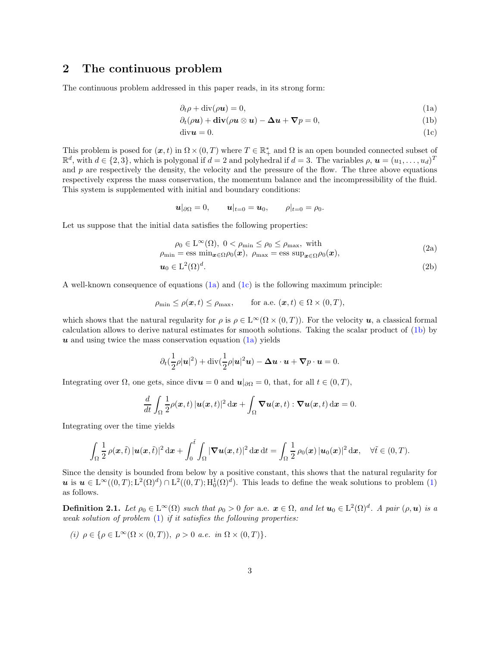## <span id="page-2-0"></span>2 The continuous problem

The continuous problem addressed in this paper reads, in its strong form:

<span id="page-2-4"></span>
$$
\partial_t \rho + \text{div}(\rho \mathbf{u}) = 0,\tag{1a}
$$

<span id="page-2-3"></span><span id="page-2-2"></span><span id="page-2-1"></span>
$$
\partial_t(\rho \mathbf{u}) + \mathbf{div}(\rho \mathbf{u} \otimes \mathbf{u}) - \mathbf{\Delta u} + \mathbf{\nabla} p = 0, \tag{1b}
$$

$$
\text{div}\mathbf{u} = 0. \tag{1c}
$$

This problem is posed for  $(x, t)$  in  $\Omega \times (0, T)$  where  $T \in \mathbb{R}^*_+$  and  $\Omega$  is an open bounded connected subset of  $\mathbb{R}^d$ , with  $d \in \{2,3\}$ , which is polygonal if  $d=2$  and polyhedral if  $d=3$ . The variables  $\rho$ ,  $\boldsymbol{u}=(u_1,\ldots,u_d)^T$ and  $p$  are respectively the density, the velocity and the pressure of the flow. The three above equations respectively express the mass conservation, the momentum balance and the incompressibility of the fluid. This system is supplemented with initial and boundary conditions:

<span id="page-2-6"></span><span id="page-2-5"></span>
$$
\boldsymbol{u}|_{\partial\Omega}=0,\qquad \boldsymbol{u}|_{t=0}=\boldsymbol{u}_0,\qquad \rho|_{t=0}=\rho_0.
$$

Let us suppose that the initial data satisfies the following properties:

$$
\rho_0 \in L^{\infty}(\Omega), \ 0 < \rho_{\min} \le \rho_0 \le \rho_{\max}, \text{ with}
$$
\n
$$
\rho_{\min} = \text{ess } \min_{\mathbf{x} \in \Omega} \rho_0(\mathbf{x}), \ \rho_{\max} = \text{ess } \sup_{\mathbf{x} \in \Omega} \rho_0(\mathbf{x}),
$$
\n
$$
\mathbf{u}_0 \in L^2(\Omega)^d. \tag{2b}
$$

A well-known consequence of equations [\(1a\)](#page-2-1) and [\(1c\)](#page-2-2) is the following maximum principle:

$$
\rho_{\min} \leq \rho(\boldsymbol{x},t) \leq \rho_{\max}, \quad \text{for a.e. } (\boldsymbol{x},t) \in \Omega \times (0,T),
$$

which shows that the natural regularity for  $\rho$  is  $\rho \in L^{\infty}(\Omega \times (0,T))$ . For the velocity **u**, a classical formal calculation allows to derive natural estimates for smooth solutions. Taking the scalar product of [\(1b\)](#page-2-3) by  $u$  and using twice the mass conservation equation  $(1a)$  yields

$$
\partial_t(\frac{1}{2}\rho|\mathbf{u}|^2) + \mathrm{div}(\frac{1}{2}\rho|\mathbf{u}|^2\mathbf{u}) - \Delta \mathbf{u} \cdot \mathbf{u} + \nabla p \cdot \mathbf{u} = 0.
$$

Integrating over  $\Omega$ , one gets, since div $u = 0$  and  $u|_{\partial\Omega} = 0$ , that, for all  $t \in (0, T)$ ,

$$
\frac{d}{dt} \int_{\Omega} \frac{1}{2} \rho(x, t) |u(x, t)|^2 dx + \int_{\Omega} \nabla u(x, t) : \nabla u(x, t) dx = 0.
$$

Integrating over the time yields

$$
\int_{\Omega} \frac{1}{2} \rho(\boldsymbol{x},\tilde{t}) \, |\boldsymbol{u}(\boldsymbol{x},\tilde{t})|^2 \, \mathrm{d}\boldsymbol{x} + \int_0^{\tilde{t}} \int_{\Omega} |\boldsymbol{\nabla} \boldsymbol{u}(\boldsymbol{x},t)|^2 \, \mathrm{d}\boldsymbol{x} \, \mathrm{d}t = \int_{\Omega} \frac{1}{2} \rho_0(\boldsymbol{x}) \, |\boldsymbol{u}_0(\boldsymbol{x})|^2 \, \mathrm{d}\boldsymbol{x}, \quad \forall \tilde{t} \in (0,T).
$$

Since the density is bounded from below by a positive constant, this shows that the natural regularity for  $u$  is  $u \in L^{\infty}((0,T);L^2(\Omega)^d) \cap L^2((0,T);H_0^1(\Omega)^d)$ . This leads to define the weak solutions to problem [\(1\)](#page-2-4) as follows.

<span id="page-2-7"></span>**Definition 2.1.** Let  $\rho_0 \in L^{\infty}(\Omega)$  such that  $\rho_0 > 0$  for a.e.  $\boldsymbol{x} \in \Omega$ , and let  $\boldsymbol{u}_0 \in L^2(\Omega)^d$ . A pair  $(\rho, \boldsymbol{u})$  is a weak solution of problem  $(1)$  if it satisfies the following properties:

(i)  $\rho \in {\rho \in \mathrm{L}^{\infty}(\Omega \times (0,T))}, \ \rho > 0 \ \text{a.e. in } \Omega \times (0,T)$ .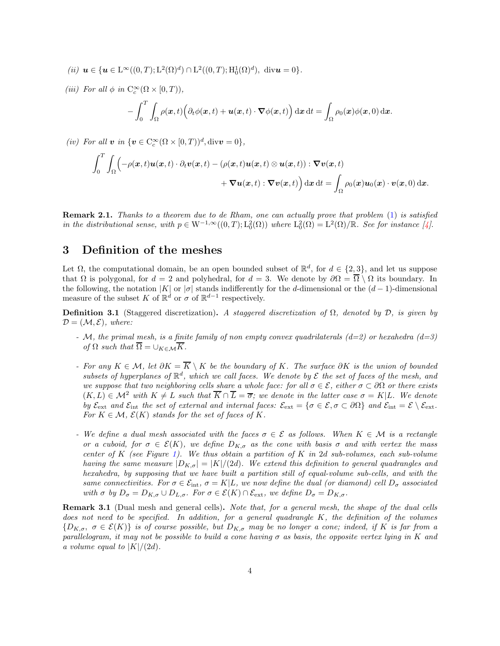- (*ii*)  $u \in \{u \in L^{\infty}((0,T); L^{2}(\Omega)^{d}) \cap L^{2}((0,T); H_{0}^{1}(\Omega)^{d}), \text{ div}u = 0\}.$
- (iii) For all  $\phi$  in  $C_c^{\infty}(\Omega \times [0, T)),$

$$
-\int_0^T \int_{\Omega} \rho(\boldsymbol{x},t) \Big( \partial_t \phi(\boldsymbol{x},t) + \boldsymbol{u}(\boldsymbol{x},t) \cdot \boldsymbol{\nabla} \phi(\boldsymbol{x},t) \Big) \, \mathrm{d}\boldsymbol{x} \, \mathrm{d}t = \int_{\Omega} \rho_0(\boldsymbol{x}) \phi(\boldsymbol{x},0) \, \mathrm{d}\boldsymbol{x}.
$$

(iv) For all  $\mathbf{v}$  in  $\{\mathbf{v} \in C_c^{\infty}(\Omega \times [0,T))^d, \text{div}\mathbf{v} = 0\},\$ 

$$
\int_0^T \int_{\Omega} \Bigl( -\rho(x,t) \boldsymbol{u}(x,t) \cdot \partial_t \boldsymbol{v}(x,t) - (\rho(x,t) \boldsymbol{u}(x,t) \otimes \boldsymbol{u}(x,t)) : \boldsymbol{\nabla} \boldsymbol{v}(x,t) \\ \hspace{2.5cm} + \boldsymbol{\nabla} \boldsymbol{u}(x,t) : \boldsymbol{\nabla} \boldsymbol{v}(x,t) \Bigr) \, \mathrm{d}x \, \mathrm{d}t = \int_{\Omega} \rho_0(\boldsymbol{x}) \boldsymbol{u}_0(\boldsymbol{x}) \cdot \boldsymbol{v}(\boldsymbol{x},0) \, \mathrm{d}x.
$$

**Remark 2.1.** Thanks to a theorem due to de Rham, one can actually prove that problem [\(1\)](#page-2-4) is satisfied in the distributional sense, with  $p \in W^{-1,\infty}((0,T); L_0^2(\Omega))$  where  $L_0^2(\Omega) = L^2(\Omega)/\mathbb{R}$ . See for instance [\[4\]](#page-44-6).

# <span id="page-3-0"></span>3 Definition of the meshes

Let  $\Omega$ , the computational domain, be an open bounded subset of  $\mathbb{R}^d$ , for  $d \in \{2,3\}$ , and let us suppose that  $\Omega$  is polygonal, for  $d = 2$  and polyhedral, for  $d = 3$ . We denote by  $\partial \Omega = \overline{\Omega} \setminus \Omega$  its boundary. In the following, the notation |K| or  $|\sigma|$  stands indifferently for the d-dimensional or the  $(d-1)$ -dimensional measure of the subset K of  $\mathbb{R}^d$  or  $\sigma$  of  $\mathbb{R}^{d-1}$  respectively.

<span id="page-3-1"></span>**Definition 3.1** (Staggered discretization). A staggered discretization of  $\Omega$ , denoted by  $\mathcal{D}$ , is given by  $\mathcal{D} = (\mathcal{M}, \mathcal{E})$ , where:

- M, the primal mesh, is a finite family of non empty convex quadrilaterals  $(d=2)$  or hexahedra  $(d=3)$ of  $\Omega$  such that  $\overline{\Omega} = \bigcup_{K \in \mathcal{M}} \overline{K}$ .
- For any  $K \in \mathcal{M}$ , let  $\partial K = \overline{K} \setminus K$  be the boundary of K. The surface  $\partial K$  is the union of bounded subsets of hyperplanes of  $\mathbb{R}^d$ , which we call faces. We denote by  $\mathcal E$  the set of faces of the mesh, and we suppose that two neighboring cells share a whole face: for all  $\sigma \in \mathcal{E}$ , either  $\sigma \subset \partial\Omega$  or there exists  $(K, L) \in \mathcal{M}^2$  with  $K \neq L$  such that  $\overline{K} \cap \overline{L} = \overline{\sigma}$ ; we denote in the latter case  $\sigma = K | L$ . We denote by  $\mathcal{E}_{ext}$  and  $\mathcal{E}_{int}$  the set of external and internal faces:  $\mathcal{E}_{ext} = {\sigma \in \mathcal{E}, \sigma \subset \partial \Omega}$  and  $\mathcal{E}_{int} = \mathcal{E} \setminus \mathcal{E}_{ext}$ . For  $K \in \mathcal{M}$ ,  $\mathcal{E}(K)$  stands for the set of faces of K.
- We define a dual mesh associated with the faces  $\sigma \in \mathcal{E}$  as follows. When  $K \in \mathcal{M}$  is a rectangle or a cuboid, for  $\sigma \in \mathcal{E}(K)$ , we define  $D_{K,\sigma}$  as the cone with basis  $\sigma$  and with vertex the mass center of K (see Figure [1\)](#page-4-0). We thus obtain a partition of K in 2d sub-volumes, each sub-volume having the same measure  $|D_{K,\sigma}| = |K|/(2d)$ . We extend this definition to general quadrangles and hexahedra, by supposing that we have built a partition still of equal-volume sub-cells, and with the same connectivities. For  $\sigma \in \mathcal{E}_{\text{int}}, \sigma = K|L$ , we now define the dual (or diamond) cell  $D_{\sigma}$  associated with  $\sigma$  by  $D_{\sigma} = D_{K,\sigma} \cup D_{L,\sigma}$ . For  $\sigma \in \mathcal{E}(K) \cap \mathcal{E}_{ext}$ , we define  $D_{\sigma} = D_{K,\sigma}$ .

Remark 3.1 (Dual mesh and general cells). Note that, for a general mesh, the shape of the dual cells does not need to be specified. In addition, for a general quadrangle  $K$ , the definition of the volumes  ${D_{K,\sigma,\sigma} \in \mathcal{E}(K)}$  is of course possible, but  $D_{K,\sigma}$  may be no longer a cone; indeed, if K is far from a parallelogram, it may not be possible to build a cone having  $\sigma$  as basis, the opposite vertex lying in K and a volume equal to  $|K|/(2d)$ .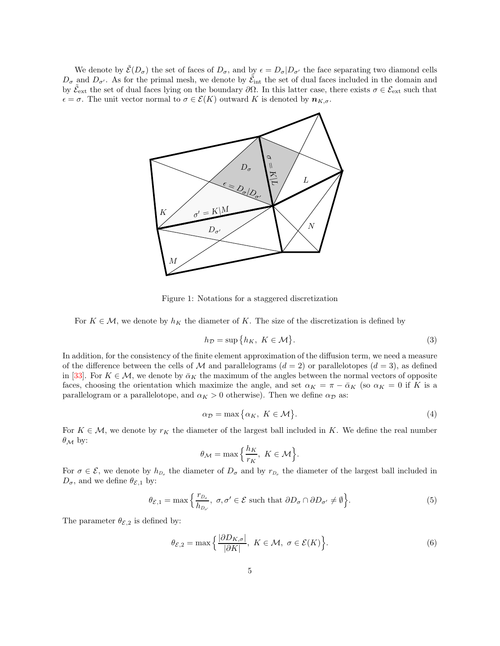We denote by  $\mathcal{E}(D_{\sigma})$  the set of faces of  $D_{\sigma}$ , and by  $\epsilon = D_{\sigma}|D_{\sigma'}|$  the face separating two diamond cells  $D_{\sigma}$  and  $D_{\sigma'}$ . As for the primal mesh, we denote by  $\tilde{\mathcal{E}}_{int}$  the set of dual faces included in the domain and by  $\tilde{\mathcal{E}}_{ext}$  the set of dual faces lying on the boundary  $\partial\Omega$ . In this latter case, there exists  $\sigma \in \mathcal{E}_{ext}$  such that  $\epsilon = \sigma$ . The unit vector normal to  $\sigma \in \mathcal{E}(K)$  outward K is denoted by  $n_{K,\sigma}$ .



Figure 1: Notations for a staggered discretization

For  $K \in \mathcal{M}$ , we denote by  $h_K$  the diameter of K. The size of the discretization is defined by

<span id="page-4-1"></span><span id="page-4-0"></span>
$$
h_{\mathcal{D}} = \sup \{ h_K, \ K \in \mathcal{M} \}.
$$
 (3)

In addition, for the consistency of the finite element approximation of the diffusion term, we need a measure of the difference between the cells of M and parallelograms  $(d = 2)$  or parallelotopes  $(d = 3)$ , as defined in [\[33\]](#page-45-5). For  $K \in \mathcal{M}$ , we denote by  $\bar{\alpha}_K$  the maximum of the angles between the normal vectors of opposite faces, choosing the orientation which maximize the angle, and set  $\alpha_K = \pi - \bar{\alpha}_K$  (so  $\alpha_K = 0$  if K is a parallelogram or a parallelotope, and  $\alpha_K > 0$  otherwise). Then we define  $\alpha_{\mathcal{D}}$  as:

<span id="page-4-2"></span>
$$
\alpha_{\mathcal{D}} = \max\left\{\alpha_K, \ K \in \mathcal{M}\right\}.\tag{4}
$$

For  $K \in \mathcal{M}$ , we denote by  $r_K$  the diameter of the largest ball included in K. We define the real number  $\theta_{\mathcal{M}}$  by:

<span id="page-4-4"></span><span id="page-4-3"></span>
$$
\theta_{\mathcal{M}} = \max\Big\{\frac{h_K}{r_K}, K \in \mathcal{M}\Big\}.
$$

For  $\sigma \in \mathcal{E}$ , we denote by  $h_{D_{\sigma}}$  the diameter of  $D_{\sigma}$  and by  $r_{D_{\sigma}}$  the diameter of the largest ball included in  $D_{\sigma}$ , and we define  $\theta_{\mathcal{E},1}$  by:

$$
\theta_{\mathcal{E},1} = \max\left\{\frac{r_{D_{\sigma}}}{h_{D_{\sigma'}}}, \ \sigma, \sigma' \in \mathcal{E} \text{ such that } \partial D_{\sigma} \cap \partial D_{\sigma'} \neq \emptyset\right\}.
$$
 (5)

The parameter  $\theta_{\mathcal{E},2}$  is defined by:

$$
\theta_{\mathcal{E},2} = \max\left\{ \frac{|\partial D_{K,\sigma}|}{|\partial K|}, \ K \in \mathcal{M}, \ \sigma \in \mathcal{E}(K) \right\}.
$$
 (6)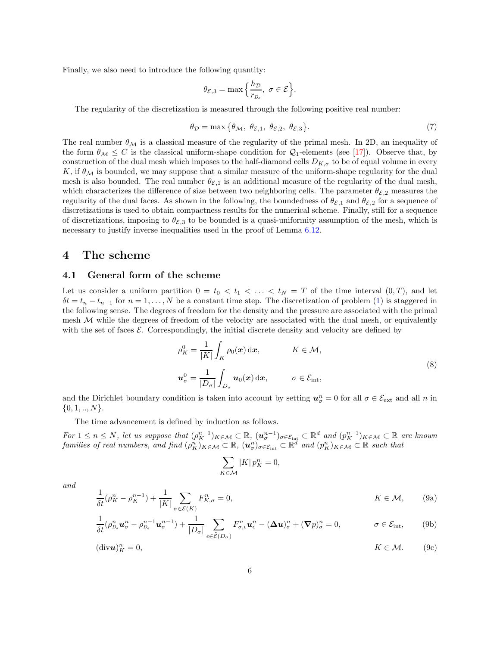Finally, we also need to introduce the following quantity:

<span id="page-5-3"></span>
$$
\theta_{\mathcal{E},3}=\max\Big\{\frac{h_{\mathcal{D}}}{r_{\scriptscriptstyle D_\sigma}},\ \sigma\in\mathcal{E}\Big\}.
$$

The regularity of the discretization is measured through the following positive real number:

$$
\theta_{\mathcal{D}} = \max \{ \theta_{\mathcal{M}}, \ \theta_{\mathcal{E},1}, \ \theta_{\mathcal{E},2}, \ \theta_{\mathcal{E},3} \}.
$$
 (7)

The real number  $\theta_{\mathcal{M}}$  is a classical measure of the regularity of the primal mesh. In 2D, an inequality of the form  $\theta_{\mathcal{M}} \leq C$  is the classical uniform-shape condition for  $\mathcal{Q}_1$ -elements (see [\[17\]](#page-45-3)). Observe that, by construction of the dual mesh which imposes to the half-diamond cells  $D_{K,\sigma}$  to be of equal volume in every K, if  $\theta_{\mathcal{M}}$  is bounded, we may suppose that a similar measure of the uniform-shape regularity for the dual mesh is also bounded. The real number  $\theta_{\mathcal{E},1}$  is an additional measure of the regularity of the dual mesh, which characterizes the difference of size between two neighboring cells. The parameter  $\theta_{\mathcal{E},2}$  measures the regularity of the dual faces. As shown in the following, the boundedness of  $\theta_{\mathcal{E},1}$  and  $\theta_{\mathcal{E},2}$  for a sequence of discretizations is used to obtain compactness results for the numerical scheme. Finally, still for a sequence of discretizations, imposing to  $\theta_{\mathcal{E},3}$  to be bounded is a quasi-uniformity assumption of the mesh, which is necessary to justify inverse inequalities used in the proof of Lemma [6.12.](#page-16-0)

### <span id="page-5-0"></span>4 The scheme

#### 4.1 General form of the scheme

Let us consider a uniform partition  $0 = t_0 < t_1 < \ldots < t_N = T$  of the time interval  $(0, T)$ , and let  $\delta t = t_n - t_{n-1}$  for  $n = 1, ..., N$  be a constant time step. The discretization of problem [\(1\)](#page-2-4) is staggered in the following sense. The degrees of freedom for the density and the pressure are associated with the primal mesh  $M$  while the degrees of freedom of the velocity are associated with the dual mesh, or equivalently with the set of faces  $\mathcal{E}$ . Correspondingly, the initial discrete density and velocity are defined by

$$
\rho_K^0 = \frac{1}{|K|} \int_K \rho_0(\mathbf{x}) \,d\mathbf{x}, \qquad K \in \mathcal{M},
$$
  

$$
\mathbf{u}_\sigma^0 = \frac{1}{|D_\sigma|} \int_{D_\sigma} \mathbf{u}_0(\mathbf{x}) \,d\mathbf{x}, \qquad \sigma \in \mathcal{E}_{\text{int}},
$$
 (8)

and the Dirichlet boundary condition is taken into account by setting  $u_{\sigma}^n = 0$  for all  $\sigma \in \mathcal{E}_{ext}$  and all n in  $\{0, 1, ..., N\}.$ 

The time advancement is defined by induction as follows.

For  $1 \le n \le N$ , let us suppose that  $(\rho_K^{n-1})_{K \in \mathcal{M}} \subset \mathbb{R}$ ,  $(\mathbf{u}_{\sigma}^{n-1})_{\sigma \in \mathcal{E}_{\text{int}}} \subset \mathbb{R}^d$  and  $(p_K^{n-1})_{K \in \mathcal{M}} \subset \mathbb{R}$  are known families of real numbers, and find  $(\rho_K^n)_{K \in \mathcal{M}} \subset \mathbb{R}$ ,  $(\mathbf{u}_\sigma^n)_{\sigma \in \mathcal{E}_{int}} \subset \mathbb{R}^d$  and  $(p_K^n)_{K \in \mathcal{M}} \subset \mathbb{R}$  such that

<span id="page-5-6"></span><span id="page-5-5"></span><span id="page-5-2"></span><span id="page-5-1"></span>
$$
\sum_{K\in\mathcal{M}}|K|\,p_K^n=0,
$$

<span id="page-5-4"></span>and

$$
\frac{1}{\delta t}(\rho_K^n - \rho_K^{n-1}) + \frac{1}{|K|} \sum_{\sigma \in \mathcal{E}(K)} F_{K,\sigma}^n = 0, \qquad K \in \mathcal{M}, \qquad (9a)
$$

$$
\frac{1}{\delta t}(\rho_{D_{\sigma}}^{n}\mathbf{u}_{\sigma}^{n} - \rho_{D_{\sigma}}^{n-1}\mathbf{u}_{\sigma}^{n-1}) + \frac{1}{|D_{\sigma}|}\sum_{\epsilon \in \tilde{\mathcal{E}}(D_{\sigma})}F_{\sigma,\epsilon}^{n}\mathbf{u}_{\epsilon}^{n} - (\boldsymbol{\Delta u})_{\sigma}^{n} + (\boldsymbol{\nabla}p)_{\sigma}^{n} = 0, \qquad \sigma \in \mathcal{E}_{\rm int},\qquad(9b)
$$

$$
(\text{div}\mathbf{u})_K^n = 0, \qquad K \in \mathcal{M}.\tag{9c}
$$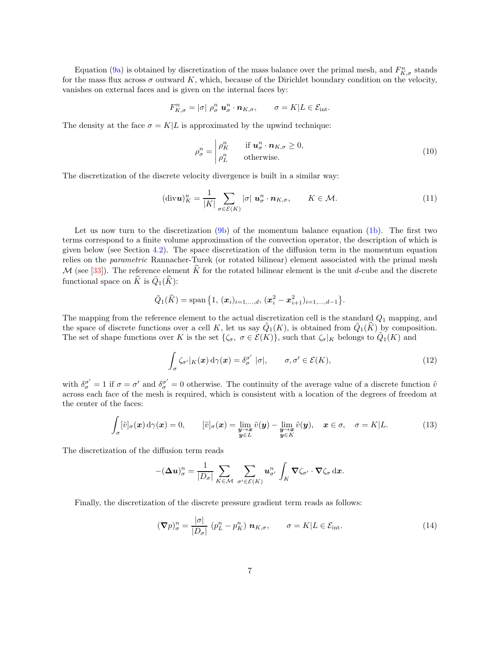Equation [\(9a\)](#page-5-1) is obtained by discretization of the mass balance over the primal mesh, and  $F_{K,\sigma}^n$  stands for the mass flux across  $\sigma$  outward K, which, because of the Dirichlet boundary condition on the velocity, vanishes on external faces and is given on the internal faces by:

$$
F_{K,\sigma}^n = |\sigma| \rho_{\sigma}^n \mathbf{u}_{\sigma}^n \cdot \mathbf{n}_{K,\sigma}, \qquad \sigma = K|L \in \mathcal{E}_{\text{int}}.
$$

The density at the face  $\sigma = K|L$  is approximated by the upwind technique:

<span id="page-6-4"></span><span id="page-6-0"></span>
$$
\rho_{\sigma}^{n} = \begin{vmatrix} \rho_{K}^{n} & \text{if } \mathbf{u}_{\sigma}^{n} \cdot \mathbf{n}_{K,\sigma} \ge 0, \\ \rho_{L}^{n} & \text{otherwise.} \end{vmatrix}
$$
 (10)

The discretization of the discrete velocity divergence is built in a similar way:

$$
(\text{div}\boldsymbol{u})_K^n = \frac{1}{|K|} \sum_{\sigma \in \mathcal{E}(K)} |\sigma| \boldsymbol{u}_\sigma^n \cdot \boldsymbol{n}_{K,\sigma}, \qquad K \in \mathcal{M}.
$$
 (11)

Let us now turn to the discretization  $(9b)$  of the momentum balance equation  $(1b)$ . The first two terms correspond to a finite volume approximation of the convection operator, the description of which is given below (see Section [4.2\)](#page-7-0). The space discretization of the diffusion term in the momentum equation relies on the *parametric* Rannacher-Turek (or rotated bilinear) element associated with the primal mesh M (see [\[33\]](#page-45-5)). The reference element  $\hat{K}$  for the rotated bilinear element is the unit d-cube and the discrete functional space on  $\widehat{K}$  is  $\widetilde{Q}_1(\widehat{K})$ :

$$
\tilde{Q}_1(\widehat{K}) = \text{span} \{ 1, (\boldsymbol{x}_i)_{i=1,\dots,d}, (\boldsymbol{x}_i^2 - \boldsymbol{x}_{i+1}^2)_{i=1,\dots,d-1} \}.
$$

The mapping from the reference element to the actual discretization cell is the standard  $Q_1$  mapping, and the space of discrete functions over a cell K, let us say  $\tilde{Q}_1(K)$ , is obtained from  $\tilde{Q}_1(\hat{K})$  by composition. The set of shape functions over K is the set  $\{\zeta_\sigma, \sigma \in \mathcal{E}(K)\}\)$ , such that  $\zeta_\sigma|_K$  belongs to  $\tilde{Q}_1(K)$  and

<span id="page-6-3"></span><span id="page-6-2"></span>
$$
\int_{\sigma} \zeta_{\sigma'}|_{K}(\boldsymbol{x}) d\gamma(\boldsymbol{x}) = \delta_{\sigma}^{\sigma'} |\sigma|, \qquad \sigma, \sigma' \in \mathcal{E}(K),
$$
\n(12)

with  $\delta_{\sigma}^{\sigma'}=1$  if  $\sigma=\sigma'$  and  $\delta_{\sigma}^{\sigma'}=0$  otherwise. The continuity of the average value of a discrete function  $\tilde{v}$ across each face of the mesh is required, which is consistent with a location of the degrees of freedom at the center of the faces:

$$
\int_{\sigma} [\tilde{v}]_{\sigma}(\boldsymbol{x}) d\gamma(\boldsymbol{x}) = 0, \qquad [\tilde{v}]_{\sigma}(\boldsymbol{x}) = \lim_{\substack{\boldsymbol{y} \to \boldsymbol{x} \\ \boldsymbol{y} \in L}} \tilde{v}(\boldsymbol{y}) - \lim_{\substack{\boldsymbol{y} \to \boldsymbol{x} \\ \boldsymbol{y} \in K}} \tilde{v}(\boldsymbol{y}), \quad \boldsymbol{x} \in \sigma, \quad \sigma = K | L. \tag{13}
$$

The discretization of the diffusion term reads

$$
-(\boldsymbol{\Delta u})_{\sigma}^{n}=\frac{1}{|D_{\sigma}|}\sum_{K\in\mathcal{M}}\sum_{\sigma'\in\mathcal{E}(K)}\boldsymbol{u}_{\sigma'}^{n}\int_{K}\boldsymbol{\nabla}\zeta_{\sigma'}\cdot\boldsymbol{\nabla}\zeta_{\sigma}\,\mathrm{d}\boldsymbol{x}.
$$

Finally, the discretization of the discrete pressure gradient term reads as follows:

<span id="page-6-1"></span>
$$
(\nabla p)_{\sigma}^{n} = \frac{|\sigma|}{|D_{\sigma}|} (p_{L}^{n} - p_{K}^{n}) \mathbf{n}_{K,\sigma}, \qquad \sigma = K|L \in \mathcal{E}_{\text{int}}.
$$
 (14)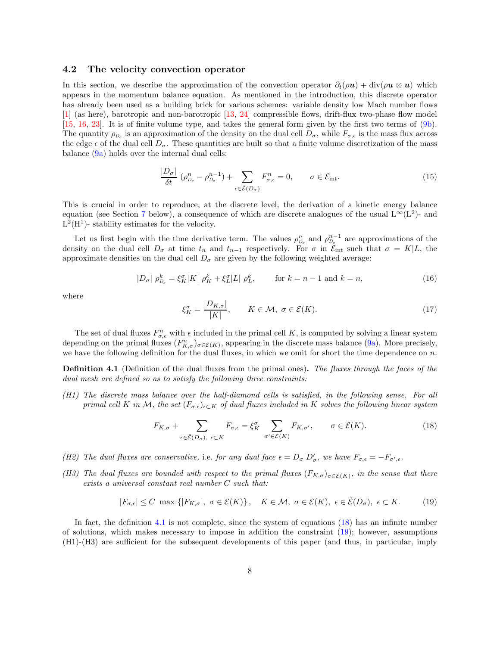#### <span id="page-7-0"></span>4.2 The velocity convection operator

In this section, we describe the approximation of the convection operator  $\partial_t(\rho \mathbf{u}) + \text{div}(\rho \mathbf{u} \otimes \mathbf{u})$  which appears in the momentum balance equation. As mentioned in the introduction, this discrete operator has already been used as a building brick for various schemes: variable density low Mach number flows [\[1\]](#page-44-1) (as here), barotropic and non-barotropic [\[13,](#page-44-3) [24\]](#page-45-11) compressible flows, drift-flux two-phase flow model [\[15,](#page-44-7) [16,](#page-45-14) [23\]](#page-45-15). It is of finite volume type, and takes the general form given by the first two terms of [\(9b\)](#page-5-2). The quantity  $\rho_{D_{\sigma}}$  is an approximation of the density on the dual cell  $D_{\sigma}$ , while  $F_{\sigma,\epsilon}$  is the mass flux across the edge  $\epsilon$  of the dual cell  $D_{\sigma}$ . These quantities are built so that a finite volume discretization of the mass balance [\(9a\)](#page-5-1) holds over the internal dual cells:

<span id="page-7-5"></span>
$$
\frac{|D_{\sigma}|}{\delta t} \left( \rho_{D_{\sigma}}^n - \rho_{D_{\sigma}}^{n-1} \right) + \sum_{\epsilon \in \tilde{\mathcal{E}}(D_{\sigma})} F_{\sigma,\epsilon}^n = 0, \qquad \sigma \in \mathcal{E}_{\text{int}}.
$$
\n(15)

This is crucial in order to reproduce, at the discrete level, the derivation of a kinetic energy balance equation (see Section [7](#page-19-0) below), a consequence of which are discrete analogues of the usual  $L^{\infty}(L^2)$ - and  $L^2(H^1)$ - stability estimates for the velocity.

Let us first begin with the time derivative term. The values  $\rho_{D_{\sigma}}^n$  and  $\rho_{D_{\sigma}}^{n-1}$  are approximations of the density on the dual cell  $D_{\sigma}$  at time  $t_n$  and  $t_{n-1}$  respectively. For  $\sigma$  in  $\mathcal{E}_{int}$  such that  $\sigma = K|L$ , the approximate densities on the dual cell  $D_{\sigma}$  are given by the following weighted average:

$$
|D_{\sigma}| \rho_{D_{\sigma}}^k = \xi_K^{\sigma} |K| \rho_K^k + \xi_L^{\sigma} |L| \rho_L^k, \qquad \text{for } k = n - 1 \text{ and } k = n,
$$
\n
$$
(16)
$$

where

<span id="page-7-6"></span><span id="page-7-4"></span><span id="page-7-2"></span>
$$
\xi_K^{\sigma} = \frac{|D_{K,\sigma}|}{|K|}, \qquad K \in \mathcal{M}, \ \sigma \in \mathcal{E}(K). \tag{17}
$$

The set of dual fluxes  $F_{\sigma,\epsilon}^n$  with  $\epsilon$  included in the primal cell K, is computed by solving a linear system depending on the primal fluxes  $(F_{K,\sigma}^n)_{\sigma\in\mathcal{E}(K)}$ , appearing in the discrete mass balance [\(9a\)](#page-5-1). More precisely, we have the following definition for the dual fluxes, in which we omit for short the time dependence on  $n$ .

<span id="page-7-1"></span>**Definition 4.1** (Definition of the dual fluxes from the primal ones). The fluxes through the faces of the dual mesh are defined so as to satisfy the following three constraints:

(H1) The discrete mass balance over the half-diamond cells is satisfied, in the following sense. For all primal cell K in M, the set  $(F_{\sigma,\epsilon})_{\epsilon\subset K}$  of dual fluxes included in K solves the following linear system

<span id="page-7-3"></span>
$$
F_{K,\sigma} + \sum_{\epsilon \in \tilde{\mathcal{E}}(D_{\sigma}), \ \epsilon \subset K} F_{\sigma,\epsilon} = \xi_K^{\sigma} \sum_{\sigma' \in \mathcal{E}(K)} F_{K,\sigma'}, \qquad \sigma \in \mathcal{E}(K). \tag{18}
$$

- (H2) The dual fluxes are conservative, i.e. for any dual face  $\epsilon = D_{\sigma} | D'_{\sigma}$ , we have  $F_{\sigma,\epsilon} = -F_{\sigma',\epsilon}$ .
- (H3) The dual fluxes are bounded with respect to the primal fluxes  $(F_{K,\sigma})_{\sigma\in\mathcal{E}(K)}$ , in the sense that there exists a universal constant real number C such that:

$$
|F_{\sigma,\epsilon}| \le C \max \{|F_{K,\sigma}|, \ \sigma \in \mathcal{E}(K)\}, \quad K \in \mathcal{M}, \ \sigma \in \mathcal{E}(K), \ \epsilon \in \tilde{\mathcal{E}}(D_{\sigma}), \ \epsilon \subset K. \tag{19}
$$

In fact, the definition [4.1](#page-7-1) is not complete, since the system of equations [\(18\)](#page-7-2) has an infinite number of solutions, which makes necessary to impose in addition the constraint [\(19\)](#page-7-3); however, assumptions (H1)-(H3) are sufficient for the subsequent developments of this paper (and thus, in particular, imply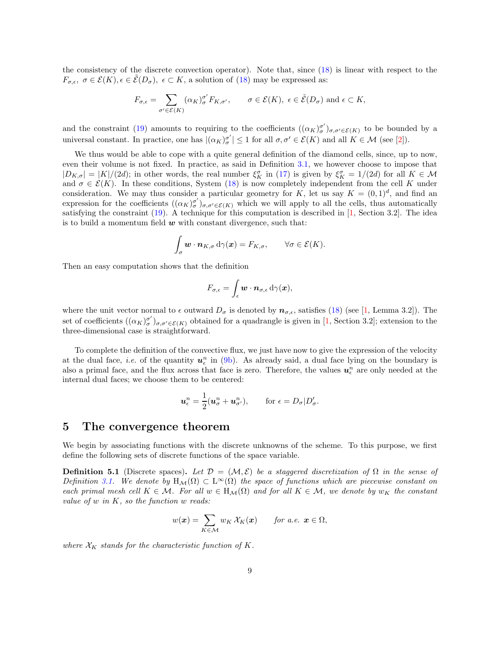the consistency of the discrete convection operator). Note that, since [\(18\)](#page-7-2) is linear with respect to the  $F_{\sigma,\epsilon}, \ \sigma \in \mathcal{E}(K), \epsilon \in \tilde{\mathcal{E}}(D_{\sigma}), \ \epsilon \subset K$ , a solution of [\(18\)](#page-7-2) may be expressed as:

$$
F_{\sigma,\epsilon} = \sum_{\sigma' \in \mathcal{E}(K)} (\alpha_K)_{\sigma}^{\sigma'} F_{K,\sigma'}, \qquad \sigma \in \mathcal{E}(K), \ \epsilon \in \tilde{\mathcal{E}}(D_{\sigma}) \text{ and } \epsilon \subset K,
$$

and the constraint [\(19\)](#page-7-3) amounts to requiring to the coefficients  $((\alpha_K)_{\sigma}^{\sigma})$  $\sigma$ <sup>'</sup>)<sub>σ,σ'</sub>∈ε<sub>(K)</sub> to be bounded by a universal constant. In practice, one has  $|(\alpha_K)_{\sigma}^{\sigma'}\rangle$  $|\sigma'|\leq 1$  for all  $\sigma,\sigma'\in \mathcal{E}(K)$  and all  $K\in \mathcal{M}$  (see [\[2\]](#page-44-8)).

We thus would be able to cope with a quite general definition of the diamond cells, since, up to now, even their volume is not fixed. In practice, as said in Definition [3.1,](#page-3-1) we however choose to impose that  $|D_{K,\sigma}|=|K|/(2d)$ ; in other words, the real number  $\xi_K^{\sigma}$  in [\(17\)](#page-7-4) is given by  $\xi_K^{\sigma}=1/(2d)$  for all  $K\in\mathcal{M}$ and  $\sigma \in \mathcal{E}(K)$ . In these conditions, System [\(18\)](#page-7-2) is now completely independent from the cell K under consideration. We may thus consider a particular geometry for K, let us say  $K = (0, 1)<sup>d</sup>$ , and find an expression for the coefficients  $((\alpha_K)_{\sigma}^{\sigma'}$  $\sigma'_{\sigma}$ )<sub> $\sigma$ , $\sigma' \in \mathcal{E}(K)$ </sub> which we will apply to all the cells, thus automatically satisfying the constraint  $(19)$ . A technique for this computation is described in [\[1,](#page-44-1) Section 3.2]. The idea is to build a momentum field  $w$  with constant divergence, such that:

$$
\int_{\sigma} \mathbf{w} \cdot \mathbf{n}_{K,\sigma} d\gamma(\mathbf{x}) = F_{K,\sigma}, \qquad \forall \sigma \in \mathcal{E}(K).
$$

Then an easy computation shows that the definition

$$
F_{\sigma,\epsilon} = \int_{\epsilon} \boldsymbol{w} \cdot \boldsymbol{n}_{\sigma,\epsilon} \,\mathrm{d}\gamma(\boldsymbol{x}),
$$

where the unit vector normal to  $\epsilon$  outward  $D_{\sigma}$  is denoted by  $n_{\sigma,\epsilon}$ , satisfies [\(18\)](#page-7-2) (see [\[1,](#page-44-1) Lemma 3.2]). The set of coefficients  $((\alpha_K)_{\sigma}^{\sigma'}$  $\sigma'_{\sigma}$ )<sub> $\sigma, \sigma' \in \mathcal{E}(K)$ </sub> obtained for a quadrangle is given in [\[1,](#page-44-1) Section 3.2]; extension to the three-dimensional case is straightforward.

To complete the definition of the convective flux, we just have now to give the expression of the velocity at the dual face, *i.e.* of the quantity  $u_{\epsilon}^{n}$  in [\(9b\)](#page-5-2). As already said, a dual face lying on the boundary is also a primal face, and the flux across that face is zero. Therefore, the values  $u_i^n$  are only needed at the internal dual faces; we choose them to be centered:

$$
\boldsymbol{u}_{\epsilon}^{n} = \frac{1}{2}(\boldsymbol{u}_{\sigma}^{n} + \boldsymbol{u}_{\sigma'}^{n}), \quad \text{for } \epsilon = D_{\sigma} | D'_{\sigma}.
$$

### <span id="page-8-0"></span>5 The convergence theorem

We begin by associating functions with the discrete unknowns of the scheme. To this purpose, we first define the following sets of discrete functions of the space variable.

<span id="page-8-1"></span>**Definition 5.1** (Discrete spaces). Let  $\mathcal{D} = (\mathcal{M}, \mathcal{E})$  be a staggered discretization of  $\Omega$  in the sense of Definition [3.1.](#page-3-1) We denote by  $H_{\mathcal{M}}(\Omega) \subset L^{\infty}(\Omega)$  the space of functions which are piecewise constant on each primal mesh cell  $K \in \mathcal{M}$ . For all  $w \in H_{\mathcal{M}}(\Omega)$  and for all  $K \in \mathcal{M}$ , we denote by  $w_K$  the constant value of  $w$  in  $K$ , so the function  $w$  reads:

$$
w(\boldsymbol{x}) = \sum_{K \in \mathcal{M}} w_K \, \mathcal{X}_K(\boldsymbol{x}) \qquad \text{for a.e. } \boldsymbol{x} \in \Omega,
$$

where  $\mathcal{X}_K$  stands for the characteristic function of K.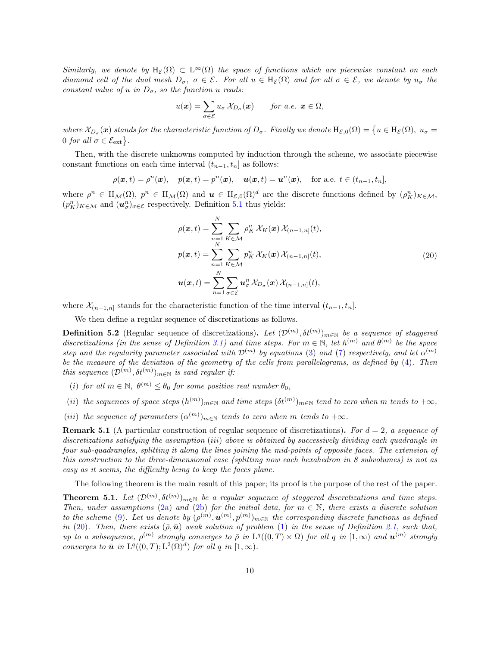Similarly, we denote by  $H_{\mathcal{E}}(\Omega) \subset L^{\infty}(\Omega)$  the space of functions which are piecewise constant on each diamond cell of the dual mesh  $D_{\sigma}$ ,  $\sigma \in \mathcal{E}$ . For all  $u \in H_{\mathcal{E}}(\Omega)$  and for all  $\sigma \in \mathcal{E}$ , we denote by  $u_{\sigma}$  the constant value of u in  $D_{\sigma}$ , so the function u reads:

$$
u(\boldsymbol{x}) = \sum_{\sigma \in \mathcal{E}} u_{\sigma} \, \mathcal{X}_{D_{\sigma}}(\boldsymbol{x}) \qquad \text{for a.e. } \boldsymbol{x} \in \Omega,
$$

where  $\mathcal{X}_{D_{\sigma}}(\bm{x})$  stands for the characteristic function of  $D_{\sigma}$ . Finally we denote  $H_{\mathcal{E},0}(\Omega) = \{u \in H_{\mathcal{E}}(\Omega), u_{\sigma} =$ 0 for all  $\sigma \in \mathcal{E}_{ext}$ .

Then, with the discrete unknowns computed by induction through the scheme, we associate piecewise constant functions on each time interval  $(t_{n-1}, t_n]$  as follows:

 $\rho(\boldsymbol{x},t) = \rho^n(\boldsymbol{x}), \quad p(\boldsymbol{x},t) = p^n(\boldsymbol{x}), \quad \boldsymbol{u}(\boldsymbol{x},t) = \boldsymbol{u}^n(\boldsymbol{x}), \quad \text{for a.e. } t \in (t_{n-1},t_n],$ 

where  $\rho^n \in H_{\mathcal{M}}(\Omega)$ ,  $p^n \in H_{\mathcal{M}}(\Omega)$  and  $u \in H_{\mathcal{E},0}(\Omega)^d$  are the discrete functions defined by  $(\rho_K^n)_{K \in \mathcal{M}}$ ,  $(p_K^n)_{K \in \mathcal{M}}$  and  $(\mathbf{u}_\sigma^n)_{\sigma \in \mathcal{E}}$  respectively. Definition [5.1](#page-8-1) thus yields:

<span id="page-9-0"></span>
$$
\rho(\boldsymbol{x},t) = \sum_{n=1}^{N} \sum_{K \in \mathcal{M}} \rho_K^n \mathcal{X}_K(\boldsymbol{x}) \mathcal{X}_{(n-1,n]}(t),
$$
  
\n
$$
p(\boldsymbol{x},t) = \sum_{n=1}^{N} \sum_{K \in \mathcal{M}} p_K^n \mathcal{X}_K(\boldsymbol{x}) \mathcal{X}_{(n-1,n]}(t),
$$
  
\n
$$
\boldsymbol{u}(\boldsymbol{x},t) = \sum_{n=1}^{N} \sum_{\sigma \in \mathcal{E}} \boldsymbol{u}_{\sigma}^n \mathcal{X}_{D_{\sigma}}(\boldsymbol{x}) \mathcal{X}_{(n-1,n]}(t),
$$
\n(20)

where  $\mathcal{X}_{(n-1,n]}$  stands for the characteristic function of the time interval  $(t_{n-1}, t_n]$ .

We then define a regular sequence of discretizations as follows.

<span id="page-9-1"></span>**Definition 5.2** (Regular sequence of discretizations). Let  $(\mathcal{D}^{(m)}, \delta t^{(m)})_{m \in \mathbb{N}}$  be a sequence of staggered discretizations (in the sense of Definition [3.1\)](#page-3-1) and time steps. For  $m \in \mathbb{N}$ , let  $h^{(m)}$  and  $\theta^{(m)}$  be the space step and the regularity parameter associated with  $\mathcal{D}^{(m)}$  by equations [\(3\)](#page-4-1) and [\(7\)](#page-5-3) respectively, and let  $\alpha^{(m)}$ be the measure of the deviation of the geometry of the cells from parallelograms, as defined by [\(4\)](#page-4-2). Then this sequence  $(\mathcal{D}^{(m)}, \delta t^{(m)})_{m \in \mathbb{N}}$  is said regular if:

- (i) for all  $m \in \mathbb{N}$ ,  $\theta^{(m)} \leq \theta_0$  for some positive real number  $\theta_0$ ,
- (ii) the sequences of space steps  $(h^{(m)})_{m\in\mathbb{N}}$  and time steps  $(\delta t^{(m)})_{m\in\mathbb{N}}$  tend to zero when m tends to  $+\infty$ ,
- (iii) the sequence of parameters  $(\alpha^{(m)})_{m\in\mathbb{N}}$  tends to zero when m tends to  $+\infty$ .

**Remark 5.1** (A particular construction of regular sequence of discretizations). For  $d = 2$ , a sequence of discretizations satisfying the assumption (iii) above is obtained by successively dividing each quadrangle in four sub-quadrangles, splitting it along the lines joining the mid-points of opposite faces. The extension of this construction to the three-dimensional case (splitting now each hexahedron in 8 subvolumes) is not as easy as it seems, the difficulty being to keep the faces plane.

The following theorem is the main result of this paper; its proof is the purpose of the rest of the paper.

<span id="page-9-2"></span>**Theorem 5.1.** Let  $(\mathcal{D}^{(m)}, \delta t^{(m)})_{m \in \mathbb{N}}$  be a regular sequence of staggered discretizations and time steps. Then, under assumptions [\(2a\)](#page-2-5) and [\(2b\)](#page-2-6) for the initial data, for  $m \in \mathbb{N}$ , there exists a discrete solution to the scheme [\(9\)](#page-5-4). Let us denote by  $(\rho^{(m)}, u^{(m)}, p^{(m)})_{m \in \mathbb{N}}$  the corresponding discrete functions as defined in [\(20\)](#page-9-0). Then, there exists  $(\bar{\rho}, \bar{\mathbf{u}})$  weak solution of problem [\(1\)](#page-2-4) in the sense of Definition [2.1,](#page-2-7) such that, up to a subsequence,  $\rho^{(m)}$  strongly converges to  $\bar{\rho}$  in  $\mathrm{L}^q((0,T)\times\Omega)$  for all q in  $[1,\infty)$  and  $\bm{u}^{(m)}$  strongly converges to  $\bar{u}$  in  $L^q((0,T); L^2(\Omega)^d)$  for all q in  $[1, \infty)$ .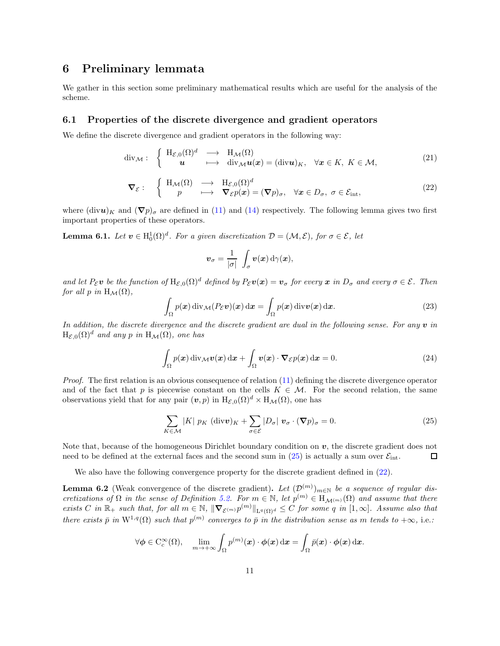### <span id="page-10-0"></span>6 Preliminary lemmata

We gather in this section some preliminary mathematical results which are useful for the analysis of the scheme.

### 6.1 Properties of the discrete divergence and gradient operators

We define the discrete divergence and gradient operators in the following way:

<span id="page-10-2"></span>
$$
\operatorname{div}_{\mathcal{M}}: \begin{cases} H_{\mathcal{E},0}(\Omega)^d \longrightarrow H_{\mathcal{M}}(\Omega) \\ u \longmapsto \operatorname{div}_{\mathcal{M}} u(x) = (\operatorname{div} u)_K, \quad \forall x \in K, \ K \in \mathcal{M}, \end{cases} (21)
$$

$$
\nabla_{\mathcal{E}}: \begin{cases} H_{\mathcal{M}}(\Omega) & \longrightarrow & H_{\mathcal{E},0}(\Omega)^{d} \\ p & \longmapsto & \nabla_{\mathcal{E}} p(x) = (\nabla p)_{\sigma}, \quad \forall x \in D_{\sigma}, \ \sigma \in \mathcal{E}_{\text{int}}, \end{cases}
$$
(22)

where  $(\text{div}u)_K$  and  $(\nabla p)_{\sigma}$  are defined in [\(11\)](#page-6-0) and [\(14\)](#page-6-1) respectively. The following lemma gives two first important properties of these operators.

<span id="page-10-5"></span>**Lemma 6.1.** Let  $\mathbf{v} \in \mathrm{H}_0^1(\Omega)^d$ . For a given discretization  $\mathcal{D} = (\mathcal{M}, \mathcal{E})$ , for  $\sigma \in \mathcal{E}$ , let

<span id="page-10-4"></span><span id="page-10-3"></span>
$$
\boldsymbol{v}_{\sigma} = \frac{1}{|\sigma|} \int_{\sigma} \boldsymbol{v}(\boldsymbol{x}) \,\mathrm{d}\gamma(\boldsymbol{x}),
$$

and let  $P_{\mathcal{E}} v$  be the function of  $H_{\mathcal{E},0}(\Omega)^d$  defined by  $P_{\mathcal{E}} v(x) = v_{\sigma}$  for every  $x$  in  $D_{\sigma}$  and every  $\sigma \in \mathcal{E}$ . Then for all p in  $H_{\mathcal{M}}(\Omega)$ ,

$$
\int_{\Omega} p(\boldsymbol{x}) \operatorname{div}_{\mathcal{M}} (P_{\mathcal{E}} \boldsymbol{v}) (\boldsymbol{x}) \, \mathrm{d}\boldsymbol{x} = \int_{\Omega} p(\boldsymbol{x}) \operatorname{div} \boldsymbol{v} (\boldsymbol{x}) \, \mathrm{d}\boldsymbol{x}.
$$
\n(23)

In addition, the discrete divergence and the discrete gradient are dual in the following sense. For any  $v$  in  $H_{\mathcal{E},0}(\Omega)^d$  and any p in  $H_{\mathcal{M}}(\Omega)$ , one has

$$
\int_{\Omega} p(\boldsymbol{x}) \operatorname{div}_{\mathcal{M}} \boldsymbol{v}(\boldsymbol{x}) \, \mathrm{d}\boldsymbol{x} + \int_{\Omega} \boldsymbol{v}(\boldsymbol{x}) \cdot \boldsymbol{\nabla}_{\mathcal{E}} p(\boldsymbol{x}) \, \mathrm{d}\boldsymbol{x} = 0.
$$
\n(24)

Proof. The first relation is an obvious consequence of relation [\(11\)](#page-6-0) defining the discrete divergence operator and of the fact that p is piecewise constant on the cells  $K \in \mathcal{M}$ . For the second relation, the same observations yield that for any pair  $(v, p)$  in  $H_{\mathcal{E},0}(\Omega)^d \times H_{\mathcal{M}}(\Omega)$ , one has

<span id="page-10-1"></span>
$$
\sum_{K \in \mathcal{M}} |K| \ p_K \ (\text{div} \boldsymbol{v})_K + \sum_{\sigma \in \mathcal{E}} |D_{\sigma}| \ \boldsymbol{v}_{\sigma} \cdot (\boldsymbol{\nabla} p)_{\sigma} = 0. \tag{25}
$$

Note that, because of the homogeneous Dirichlet boundary condition on  $v$ , the discrete gradient does not need to be defined at the external faces and the second sum in [\(25\)](#page-10-1) is actually a sum over  $\mathcal{E}_{\text{int}}$ .  $\Box$ 

We also have the following convergence property for the discrete gradient defined in  $(22)$ .

<span id="page-10-6"></span>**Lemma 6.2** (Weak convergence of the discrete gradient). Let  $(\mathcal{D}^{(m)})_{m\in\mathbb{N}}$  be a sequence of regular discretizations of  $\Omega$  in the sense of Definition [5.2.](#page-9-1) For  $m \in \mathbb{N}$ , let  $p^{(m)} \in H_{\mathcal{M}^{(m)}}(\Omega)$  and assume that there exists C in  $\mathbb{R}_+$  such that, for all  $m \in \mathbb{N}$ ,  $\|\nabla_{\mathcal{E}^{(m)}} p^{(m)}\|_{\mathbb{L}^q(\Omega)^d} \leq C$  for some q in  $[1,\infty]$ . Assume also that there exists  $\bar{p}$  in  $W^{1,q}(\Omega)$  such that  $p^{(m)}$  converges to  $\bar{p}$  in the distribution sense as m tends to  $+\infty$ , i.e.:

$$
\forall \phi \in C_c^{\infty}(\Omega), \quad \lim_{m \to +\infty} \int_{\Omega} p^{(m)}(\boldsymbol{x}) \cdot \phi(\boldsymbol{x}) \, d\boldsymbol{x} = \int_{\Omega} \bar{p}(\boldsymbol{x}) \cdot \phi(\boldsymbol{x}) \, d\boldsymbol{x}.
$$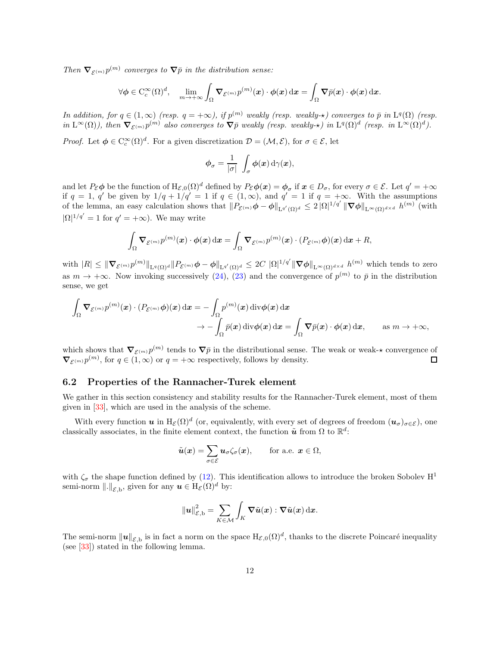Then  $\nabla_{\mathcal{E}^{(m)}} p^{(m)}$  converges to  $\nabla \bar{p}$  in the distribution sense:

$$
\forall \phi \in \mathrm{C}^\infty_c(\Omega)^d, \quad \lim_{m \to +\infty} \int_\Omega \boldsymbol{\nabla}_{\mathcal{E}^{(m)}} p^{(m)}(\boldsymbol{x}) \cdot \phi(\boldsymbol{x}) \,\mathrm{d} \boldsymbol{x} = \int_\Omega \boldsymbol{\nabla} \bar{p}(\boldsymbol{x}) \cdot \phi(\boldsymbol{x}) \,\mathrm{d} \boldsymbol{x}.
$$

In addition, for  $q \in (1,\infty)$  (resp.  $q = +\infty$ ), if  $p^{(m)}$  weakly (resp. weakly- $\star$ ) converges to  $\bar{p}$  in  $\mathrm{L}^q(\Omega)$  (resp. in  $\mathbb{L}^{\infty}(\Omega)$ ), then  $\nabla_{\mathcal{E}^{(m)}} p^{(m)}$  also converges to  $\nabla \bar{p}$  weakly (resp. weakly- $\star$ ) in  $\mathbb{L}^{q}(\Omega)^{d}$  (resp. in  $\mathbb{L}^{\infty}(\Omega)^{d}$ ).

*Proof.* Let  $\phi \in C_c^{\infty}(\Omega)^d$ . For a given discretization  $\mathcal{D} = (\mathcal{M}, \mathcal{E})$ , for  $\sigma \in \mathcal{E}$ , let

$$
\phi_\sigma = \frac{1}{|\sigma|} \ \int_\sigma \phi(\boldsymbol{x}) \,\mathrm{d}\gamma(\boldsymbol{x}),
$$

and let  $P_{\mathcal{E}}\phi$  be the function of  $H_{\mathcal{E},0}(\Omega)^d$  defined by  $P_{\mathcal{E}}\phi(x) = \phi_{\sigma}$  if  $x \in D_{\sigma}$ , for every  $\sigma \in \mathcal{E}$ . Let  $q' = +\infty$ if  $q = 1$ , q' be given by  $1/q + 1/q' = 1$  if  $q \in (1, \infty)$ , and  $q' = 1$  if  $q = +\infty$ . With the assumptions of the lemma, an easy calculation shows that  $||P_{\mathcal{E}^{(m)}}\phi - \phi||_{\mathcal{L}^{q'}(\Omega)^d} \leq 2 |\Omega|^{1/q'} ||\nabla \phi||_{\mathcal{L}^{\infty}(\Omega)^{d \times d}} h^{(m)}$  (with  $|\Omega|^{1/q'} = 1$  for  $q' = +\infty$ ). We may write

$$
\int_{\Omega} \boldsymbol{\nabla}_{\mathcal{E}^{(m)}} p^{(m)}(\boldsymbol{x}) \cdot \boldsymbol{\phi}(\boldsymbol{x}) \,\mathrm{d}\boldsymbol{x} = \int_{\Omega} \boldsymbol{\nabla}_{\mathcal{E}^{(m)}} p^{(m)}(\boldsymbol{x}) \cdot (P_{\mathcal{E}^{(m)}} \boldsymbol{\phi})(\boldsymbol{x}) \,\mathrm{d}\boldsymbol{x} + R,
$$

with  $|R| \leq \|\nabla_{\mathcal{E}^{(m)}} p^{(m)}\|_{\mathrm{L}^q(\Omega)^d} \|P_{\mathcal{E}^{(m)}} \phi - \phi\|_{\mathrm{L}^{q'}(\Omega)^d} \leq 2C \|\Omega|^{1/q'} \|\nabla \phi\|_{\mathrm{L}^{\infty}(\Omega)^{d \times d}} \; h^{(m)}$  which tends to zero as  $m \to +\infty$ . Now invoking successively [\(24\)](#page-10-3), [\(23\)](#page-10-4) and the convergence of  $p^{(m)}$  to  $\bar{p}$  in the distribution sense, we get

$$
\int_{\Omega} \nabla_{\mathcal{E}^{(m)}} p^{(m)}(\boldsymbol{x}) \cdot (P_{\mathcal{E}^{(m)}} \phi)(\boldsymbol{x}) d\boldsymbol{x} = -\int_{\Omega} p^{(m)}(\boldsymbol{x}) \operatorname{div} \phi(\boldsymbol{x}) d\boldsymbol{x} \n\to -\int_{\Omega} \bar{p}(\boldsymbol{x}) \operatorname{div} \phi(\boldsymbol{x}) d\boldsymbol{x} = \int_{\Omega} \nabla \bar{p}(\boldsymbol{x}) \cdot \phi(\boldsymbol{x}) d\boldsymbol{x}, \quad \text{as } m \to +\infty,
$$

which shows that  $\nabla_{\mathcal{E}^{(m)}} p^{(m)}$  tends to  $\nabla \bar{p}$  in the distributional sense. The weak or weak-\* convergence of  $\nabla_{\mathcal{E}^{(m)}} p^{(m)}$ , for  $q \in (1,\infty)$  or  $q = +\infty$  respectively, follows by density.  $\Box$ 

#### 6.2 Properties of the Rannacher-Turek element

We gather in this section consistency and stability results for the Rannacher-Turek element, most of them given in [\[33\]](#page-45-5), which are used in the analysis of the scheme.

With every function  $u$  in  $H_{\mathcal{E}}(\Omega)^d$  (or, equivalently, with every set of degrees of freedom  $(u_{\sigma})_{\sigma \in \mathcal{E}}$ ), one classically associates, in the finite element context, the function  $\tilde{\boldsymbol{u}}$  from  $\Omega$  to  $\mathbb{R}^d$ :

$$
\tilde{u}(x) = \sum_{\sigma \in \mathcal{E}} u_{\sigma} \zeta_{\sigma}(x), \quad \text{for a.e. } x \in \Omega,
$$

with  $\zeta_{\sigma}$  the shape function defined by [\(12\)](#page-6-2). This identification allows to introduce the broken Sobolev H<sup>1</sup> semi-norm  $\|.\|_{\mathcal{E},\mathbf{b}}$ , given for any  $\mathbf{u} \in \mathbf{H}_{\mathcal{E}}(\Omega)^d$  by:

$$
\|\mathbf{u}\|_{\mathcal{E},\mathrm{b}}^2 = \sum_{K\in\mathcal{M}} \int_K \boldsymbol{\nabla}\tilde{\mathbf{u}}(\mathbf{x}): \boldsymbol{\nabla}\tilde{\mathbf{u}}(\mathbf{x})\,\mathrm{d}\mathbf{x}.
$$

The semi-norm  $\|\boldsymbol{u}\|_{\mathcal{E},\text{b}}$  is in fact a norm on the space  $H_{\mathcal{E},0}(\Omega)^d$ , thanks to the discrete Poincaré inequality (see [\[33\]](#page-45-5)) stated in the following lemma.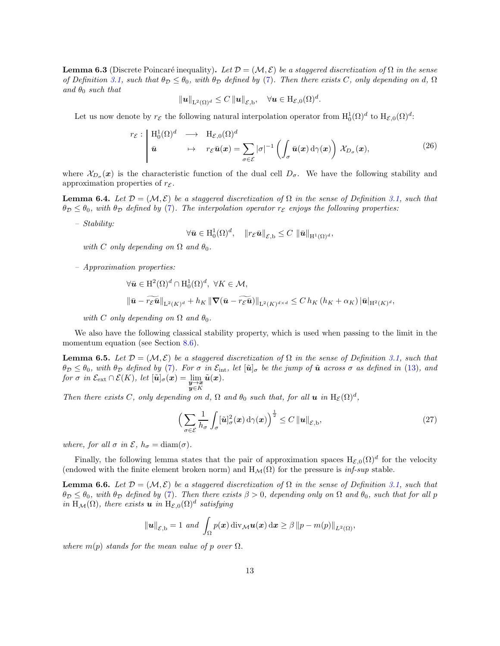<span id="page-12-0"></span>**Lemma 6.3** (Discrete Poincaré inequality). Let  $\mathcal{D} = (\mathcal{M}, \mathcal{E})$  be a staggered discretization of  $\Omega$  in the sense of Definition [3.1,](#page-3-1) such that  $\theta_{\mathcal{D}} \leq \theta_0$ , with  $\theta_{\mathcal{D}}$  defined by [\(7\)](#page-5-3). Then there exists C, only depending on d,  $\Omega$ and  $\theta_0$  such that

<span id="page-12-1"></span>
$$
\|\boldsymbol{u}\|_{\mathrm{L}^2(\Omega)^d}\leq C\,\|\boldsymbol{u}\|_{\mathcal{E},\mathrm{b}},\quad\forall\boldsymbol{u}\in\mathrm{H}_{\mathcal{E},0}(\Omega)^d.
$$

Let us now denote by  $r_{\mathcal{E}}$  the following natural interpolation operator from  $H_0^1(\Omega)^d$  to  $H_{\mathcal{E},0}(\Omega)^d$ :

$$
r_{\mathcal{E}}: \begin{vmatrix} H_0^1(\Omega)^d & \longrightarrow & H_{\mathcal{E},0}(\Omega)^d \\ \bar{u} & \mapsto & r_{\mathcal{E}}\bar{u}(x) = \sum_{\sigma \in \mathcal{E}} |\sigma|^{-1} \left( \int_{\sigma} \bar{u}(x) d\gamma(x) \right) \mathcal{X}_{D_{\sigma}}(x), \end{vmatrix}
$$
(26)

where  $\mathcal{X}_{D_{\sigma}}(x)$  is the characteristic function of the dual cell  $D_{\sigma}$ . We have the following stability and approximation properties of  $r_{\mathcal{E}}$ .

<span id="page-12-2"></span>**Lemma 6.4.** Let  $\mathcal{D} = (\mathcal{M}, \mathcal{E})$  be a staggered discretization of  $\Omega$  in the sense of Definition [3.1,](#page-3-1) such that  $\theta_{\mathcal{D}} \leq \theta_0$ , with  $\theta_{\mathcal{D}}$  defined by [\(7\)](#page-5-3). The interpolation operator  $r_{\mathcal{E}}$  enjoys the following properties:

– Stability:

$$
\forall \bar{\boldsymbol{u}}\in \mathrm{H}_0^1(\Omega)^d,\quad \Vert r_{\mathcal{E}}\bar{\boldsymbol{u}} \Vert_{\mathcal{E},\mathrm{b}}\leq C\ \Vert \bar{\boldsymbol{u}} \Vert_{\mathrm{H}^1(\Omega)^d},
$$

with C only depending on  $\Omega$  and  $\theta_0$ .

– Approximation properties:

$$
\forall \bar{\mathbf{u}} \in \mathrm{H}^{2}(\Omega)^{d} \cap \mathrm{H}_{0}^{1}(\Omega)^{d}, \ \forall K \in \mathcal{M},
$$

$$
\|\bar{\mathbf{u}} - \widetilde{r_{\varepsilon}\bar{\mathbf{u}}}\|_{\mathrm{L}^{2}(K)^{d}} + h_{K} \|\nabla(\bar{\mathbf{u}} - \widetilde{r_{\varepsilon}\bar{\mathbf{u}}})\|_{\mathrm{L}^{2}(K)^{d \times d}} \leq C h_{K} \left(h_{K} + \alpha_{K}\right) |\bar{\mathbf{u}}|_{\mathrm{H}^{2}(K)^{d}},
$$

with C only depending on  $\Omega$  and  $\theta_0$ .

We also have the following classical stability property, which is used when passing to the limit in the momentum equation (see Section [8.6\)](#page-34-0).

<span id="page-12-4"></span>**Lemma 6.5.** Let  $\mathcal{D} = (\mathcal{M}, \mathcal{E})$  be a staggered discretization of  $\Omega$  in the sense of Definition [3.1,](#page-3-1) such that  $\theta_{\mathcal{D}} \leq \theta_0$ , with  $\theta_{\mathcal{D}}$  defined by [\(7\)](#page-5-3). For  $\sigma$  in  $\mathcal{E}_{int}$ , let  $[\tilde{\mathbf{u}}]_{\sigma}$  be the jump of  $\tilde{\mathbf{u}}$  across  $\sigma$  as defined in [\(13\)](#page-6-3), and for  $\sigma$  in  $\mathcal{E}_{ext} \cap \mathcal{E}(K)$ , let  $[\tilde{u}]_{\sigma}(\boldsymbol{x}) = \lim_{\substack{\boldsymbol{y} \to \boldsymbol{x} \\ \boldsymbol{y} \in K}}$  $\tilde{\boldsymbol{u}}(\boldsymbol{x})$  .

Then there exists C, only depending on d,  $\Omega$  and  $\theta_0$  such that, for all **u** in H<sub>E</sub> $(\Omega)^d$ ,

<span id="page-12-3"></span>
$$
\left(\sum_{\sigma\in\mathcal{E}}\frac{1}{h_{\sigma}}\int_{\sigma}[\tilde{\boldsymbol{u}}]_{\sigma}^{2}(\boldsymbol{x})\,\mathrm{d}\gamma(\boldsymbol{x})\right)^{\frac{1}{2}}\leq C\,\|\boldsymbol{u}\|_{\mathcal{E},\mathbf{b}},\tag{27}
$$

where, for all  $\sigma$  in  $\mathcal{E}$ ,  $h_{\sigma} = \text{diam}(\sigma)$ .

Finally, the following lemma states that the pair of approximation spaces  $H_{\mathcal{E},0}(\Omega)^d$  for the velocity (endowed with the finite element broken norm) and  $H_{\mathcal{M}}(\Omega)$  for the pressure is *inf-sup* stable.

<span id="page-12-5"></span>**Lemma 6.6.** Let  $\mathcal{D} = (\mathcal{M}, \mathcal{E})$  be a staggered discretization of  $\Omega$  in the sense of Definition [3.1,](#page-3-1) such that  $\theta_{\mathcal{D}} \leq \theta_0$ , with  $\theta_{\mathcal{D}}$  defined by [\(7\)](#page-5-3). Then there exists  $\beta > 0$ , depending only on  $\Omega$  and  $\theta_0$ , such that for all p in H<sub>M</sub>( $\Omega$ ), there exists **u** in H<sub>E,0</sub>( $\Omega$ )<sup>d</sup> satisfying

$$
\|\mathbf{u}\|_{\mathcal{E},\mathrm{b}}=1\ \ and\ \int_{\Omega}p(\mathbf{x})\mathrm{div}_{\mathcal{M}}\mathbf{u}(\mathbf{x})\mathrm{d}\mathbf{x}\geq \beta\left\|p-m(p)\right\|_{L^{2}(\Omega)},
$$

where  $m(p)$  stands for the mean value of p over  $\Omega$ .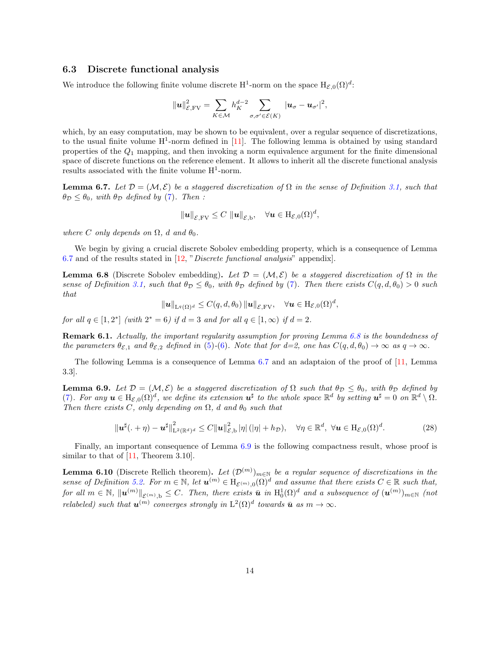### 6.3 Discrete functional analysis

We introduce the following finite volume discrete H<sup>1</sup>-norm on the space  $H_{\mathcal{E},0}(\Omega)^d$ :

$$
\|\mathbf{u}\|_{\mathcal{E},\text{FV}}^2 = \sum_{K\in\mathcal{M}} h_K^{d-2} \sum_{\sigma,\sigma'\in\mathcal{E}(K)} |\mathbf{u}_\sigma - \mathbf{u}_{\sigma'}|^2,
$$

which, by an easy computation, may be shown to be equivalent, over a regular sequence of discretizations, to the usual finite volume  $H^1$ -norm defined in [\[11\]](#page-44-9). The following lemma is obtained by using standard properties of the  $Q_1$  mapping, and then invoking a norm equivalence argument for the finite dimensional space of discrete functions on the reference element. It allows to inherit all the discrete functional analysis results associated with the finite volume  $H^1$ -norm.

<span id="page-13-0"></span>**Lemma 6.7.** Let  $\mathcal{D} = (\mathcal{M}, \mathcal{E})$  be a staggered discretization of  $\Omega$  in the sense of Definition [3.1,](#page-3-1) such that  $\theta_{\mathcal{D}} \leq \theta_0$ , with  $\theta_{\mathcal{D}}$  defined by [\(7\)](#page-5-3). Then :

$$
\|\mathbf{u}\|_{\mathcal{E},\mathrm{FV}}\leq C\ \|\mathbf{u}\|_{\mathcal{E},\mathrm{b}},\quad \forall \mathbf{u}\in \mathrm{H}_{\mathcal{E},0}(\Omega)^d,
$$

where C only depends on  $\Omega$ , d and  $\theta_0$ .

We begin by giving a crucial discrete Sobolev embedding property, which is a consequence of Lemma [6.7](#page-13-0) and of the results stated in [\[12,](#page-44-10) "Discrete functional analysis" appendix].

<span id="page-13-1"></span>**Lemma 6.8** (Discrete Sobolev embedding). Let  $\mathcal{D} = (\mathcal{M}, \mathcal{E})$  be a staggered discretization of  $\Omega$  in the sense of Definition [3.1,](#page-3-1) such that  $\theta_{\mathcal{D}} \leq \theta_0$ , with  $\theta_{\mathcal{D}}$  defined by [\(7\)](#page-5-3). Then there exists  $C(q, d, \theta_0) > 0$  such that

<span id="page-13-4"></span>
$$
\|\boldsymbol{u}\|_{\mathrm{L}^q(\Omega)^d}\leq C(q,d,\theta_0)\,\|\boldsymbol{u}\|_{\mathcal{E},\mathrm{FV}},\quad\forall \boldsymbol{u}\in \mathrm{H}_{\mathcal{E},0}(\Omega)^d,
$$

for all  $q \in [1, 2^*]$  (with  $2^* = 6$ ) if  $d = 3$  and for all  $q \in [1, \infty)$  if  $d = 2$ .

Remark 6.1. Actually, the important regularity assumption for proving Lemma [6.8](#page-13-1) is the boundedness of the parameters  $\theta_{\mathcal{E},1}$  and  $\theta_{\mathcal{E},2}$  defined in [\(5\)](#page-4-3)-[\(6\)](#page-4-4). Note that for d=2, one has  $C(q, d, \theta_0) \to \infty$  as  $q \to \infty$ .

The following Lemma is a consequence of Lemma [6.7](#page-13-0) and an adaptaion of the proof of [\[11,](#page-44-9) Lemma 3.3].

<span id="page-13-2"></span>**Lemma 6.9.** Let  $\mathcal{D} = (\mathcal{M}, \mathcal{E})$  be a staggered discretization of  $\Omega$  such that  $\theta_{\mathcal{D}} \leq \theta_0$ , with  $\theta_{\mathcal{D}}$  defined by [\(7\)](#page-5-3). For any  $u \in H_{\mathcal{E},0}(\Omega)^d$ , we define its extension  $u^{\sharp}$  to the whole space  $\mathbb{R}^d$  by setting  $u^{\sharp} = 0$  on  $\mathbb{R}^d \setminus \Omega$ . Then there exists C, only depending on  $\Omega$ , d and  $\theta_0$  such that

$$
\|\boldsymbol{u}^{\sharp}(\boldsymbol{A}+\boldsymbol{\eta})-\boldsymbol{u}^{\sharp}\|_{\mathbf{L}^{2}(\mathbb{R}^{d})^{d}}^{2} \leq C\|\boldsymbol{u}\|_{\mathcal{E},\mathbf{b}}^{2}|\boldsymbol{\eta}|(|\boldsymbol{\eta}|+h_{\mathcal{D}}), \quad \forall \boldsymbol{\eta} \in \mathbb{R}^{d}, \ \forall \boldsymbol{u} \in \mathbf{H}_{\mathcal{E},0}(\Omega)^{d}.
$$

Finally, an important consequence of Lemma [6.9](#page-13-2) is the following compactness result, whose proof is similar to that of [\[11,](#page-44-9) Theorem 3.10].

<span id="page-13-3"></span>**Lemma 6.10** (Discrete Rellich theorem). Let  $(\mathcal{D}^{(m)})_{m\in\mathbb{N}}$  be a regular sequence of discretizations in the sense of Definition [5.2.](#page-9-1) For  $m \in \mathbb{N}$ , let  $\mathbf{u}^{(m)} \in H_{\mathcal{E}^{(m)},0}(\Omega)^d$  and assume that there exists  $C \in \mathbb{R}$  such that,  $for\ all\ m\in\mathbb{N},\ \|\bm{u}^{(m)}\|_{\mathcal{E}^{(m)},\mathbf{b}}\leq C.$  Then, there exists  $\bar{\bm{u}}$  in  $\mathrm{H}_0^1(\Omega)^d$  and a subsequence of  $(\bm{u}^{(m)})_{m\in\mathbb{N}}$  (not relabeled) such that  $\bm{u}^{(m)}$  converges strongly in  $\mathrm{L}^2(\Omega)^d$  towards  $\bar{\bm{u}}$  as  $m \to \infty$ .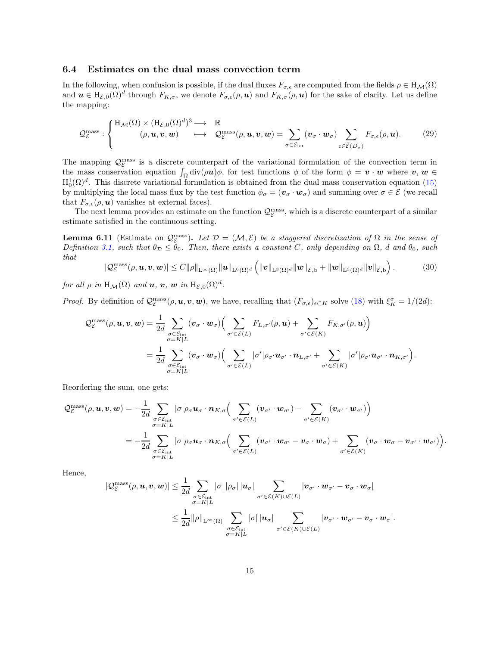#### 6.4 Estimates on the dual mass convection term

In the following, when confusion is possible, if the dual fluxes  $F_{\sigma,\epsilon}$  are computed from the fields  $\rho \in H_{\mathcal{M}}(\Omega)$ and  $u \in H_{\mathcal{E},0}(\Omega)^d$  through  $F_{K,\sigma}$ , we denote  $F_{\sigma,\epsilon}(\rho,\mathbf{u})$  and  $F_{K,\sigma}(\rho,\mathbf{u})$  for the sake of clarity. Let us define the mapping:

$$
\mathcal{Q}_{\mathcal{E}}^{\text{mass}}:\begin{cases}\text{H}_{\mathcal{M}}(\Omega)\times(\text{H}_{\mathcal{E},0}(\Omega)^d)^3\longrightarrow\mathbb{R} \\ (\rho,\mathbf{u},\mathbf{v},\mathbf{w})\longrightarrow\mathcal{Q}_{\mathcal{E}}^{\text{mass}}(\rho,\mathbf{u},\mathbf{v},\mathbf{w})=\sum_{\sigma\in\mathcal{E}_{\text{int}}}(\mathbf{v}_{\sigma}\cdot\mathbf{w}_{\sigma})\sum_{\epsilon\in\tilde{\mathcal{E}}(D_{\sigma})}F_{\sigma,\epsilon}(\rho,\mathbf{u}).\end{cases}
$$
(29)

The mapping  $\mathcal{Q}_{\mathcal{E}}^{\text{mass}}$  is a discrete counterpart of the variational formulation of the convection term in the mass conservation equation  $\int_{\Omega} \text{div}(\rho \boldsymbol{u}) \phi$ , for test functions  $\phi$  of the form  $\phi = \boldsymbol{v} \cdot \boldsymbol{w}$  where  $\boldsymbol{v}, \boldsymbol{w} \in$  $H_0^1(\Omega)^d$ . This discrete variational formulation is obtained from the dual mass conservation equation [\(15\)](#page-7-5) by multiplying the local mass flux by the test function  $\phi_{\sigma} = (\mathbf{v}_{\sigma} \cdot \mathbf{w}_{\sigma})$  and summing over  $\sigma \in \mathcal{E}$  (we recall that  $F_{\sigma,\epsilon}(\rho,\mathbf{u})$  vanishes at external faces).

The next lemma provides an estimate on the function  $\mathcal{Q}_{\mathcal{E}}^{\text{mass}}$ , which is a discrete counterpart of a similar estimate satisfied in the continuous setting.

<span id="page-14-0"></span>**Lemma 6.11** (Estimate on  $\mathcal{Q}_{\mathcal{E}}^{\text{mass}}$ ). Let  $\mathcal{D} = (\mathcal{M}, \mathcal{E})$  be a staggered discretization of  $\Omega$  in the sense of Definition [3.1,](#page-3-1) such that  $\theta_D \leq \theta_0$ . Then, there exists a constant C, only depending on  $\Omega$ , d and  $\theta_0$ , such that

$$
|\mathcal{Q}_{\mathcal{E}}^{\text{mass}}(\rho,\boldsymbol{u},\boldsymbol{v},\boldsymbol{w})| \leq C \|\rho\|_{\mathcal{L}^{\infty}(\Omega)} \|\boldsymbol{u}\|_{\mathcal{L}^{6}(\Omega)^{d}} \left( \|\boldsymbol{v}\|_{\mathcal{L}^{3}(\Omega)^{d}} \|\boldsymbol{w}\|_{\mathcal{E},\mathbf{b}} + \|\boldsymbol{w}\|_{\mathcal{L}^{3}(\Omega)^{d}} \|\boldsymbol{v}\|_{\mathcal{E},\mathbf{b}} \right).
$$
(30)

for all  $\rho$  in  $H_{\mathcal{M}}(\Omega)$  and  $\boldsymbol{u}, \boldsymbol{v}, \boldsymbol{w}$  in  $H_{\mathcal{E},0}(\Omega)^d$ .

*Proof.* By definition of  $\mathcal{Q}_{\mathcal{E}}^{\text{mass}}(\rho, \boldsymbol{u}, \boldsymbol{v}, \boldsymbol{w})$ , we have, recalling that  $(F_{\sigma,\epsilon})_{\epsilon \subset K}$  solve [\(18\)](#page-7-2) with  $\xi_K^{\sigma} = 1/(2d)$ :

$$
\mathcal{Q}_{\mathcal{E}}^{\text{mass}}(\rho, \boldsymbol{u}, \boldsymbol{v}, \boldsymbol{w}) = \frac{1}{2d} \sum_{\substack{\sigma \in \mathcal{E}_{\text{int}} \\ \sigma = K | L}} (\boldsymbol{v}_{\sigma} \cdot \boldsymbol{w}_{\sigma}) \Big( \sum_{\substack{\sigma' \in \mathcal{E}(L) \\ \sigma' \in \mathcal{E}(L)}} F_{L, \sigma'}(\rho, \boldsymbol{u}) + \sum_{\substack{\sigma' \in \mathcal{E}(K) \\ \sigma' \in \mathcal{E}(K)}} F_{K, \sigma'}(\rho, \boldsymbol{u}) \Big) \n= \frac{1}{2d} \sum_{\substack{\sigma \in \mathcal{E}_{\text{int}} \\ \sigma = K | L}} (\boldsymbol{v}_{\sigma} \cdot \boldsymbol{w}_{\sigma}) \Big( \sum_{\substack{\sigma' \in \mathcal{E}(L) \\ \sigma' \in \mathcal{E}(L)}} |\sigma'| \rho_{\sigma'} \boldsymbol{u}_{\sigma'} \cdot \boldsymbol{n}_{L, \sigma'} + \sum_{\substack{\sigma' \in \mathcal{E}(K) \\ \sigma' \in \mathcal{E}(K)}} |\sigma'| \rho_{\sigma'} \boldsymbol{u}_{\sigma'} \cdot \boldsymbol{n}_{K, \sigma'} \Big).
$$

Reordering the sum, one gets:

$$
\mathcal{Q}_{\mathcal{E}}^{\text{mass}}(\rho, \boldsymbol{u}, \boldsymbol{v}, \boldsymbol{w}) = -\frac{1}{2d} \sum_{\substack{\sigma \in \mathcal{E}_{\text{int}} \\ \sigma = K|L}} |\sigma| \rho_{\sigma} \boldsymbol{u}_{\sigma} \cdot \boldsymbol{n}_{K,\sigma} \Big( \sum_{\substack{\sigma' \in \mathcal{E}(L) \\ \sigma' \in \mathcal{E}(L)}} (\boldsymbol{v}_{\sigma'} \cdot \boldsymbol{w}_{\sigma'}) - \sum_{\substack{\sigma' \in \mathcal{E}(K) \\ \sigma' \in \mathcal{E}(K)}} (\boldsymbol{v}_{\sigma'} \cdot \boldsymbol{w}_{\sigma'}) \Big) \Big) = -\frac{1}{2d} \sum_{\substack{\sigma \in \mathcal{E}_{\text{int}} \\ \sigma = K|L}} |\sigma| \rho_{\sigma} \boldsymbol{u}_{\sigma} \cdot \boldsymbol{n}_{K,\sigma} \Big( \sum_{\substack{\sigma' \in \mathcal{E}(L) \\ \sigma' \in \mathcal{E}(L)}} (\boldsymbol{v}_{\sigma'} \cdot \boldsymbol{w}_{\sigma'} - \boldsymbol{v}_{\sigma} \cdot \boldsymbol{w}_{\sigma}) + \sum_{\substack{\sigma' \in \mathcal{E}(K) \\ \sigma' \in \mathcal{E}(K)}} (\boldsymbol{v}_{\sigma} \cdot \boldsymbol{w}_{\sigma} - \boldsymbol{v}_{\sigma'} \cdot \boldsymbol{w}_{\sigma'}) \Big).
$$

Hence,

$$
|\mathcal{Q}_{\mathcal{E}}^{\text{mass}}(\rho, \boldsymbol{u}, \boldsymbol{v}, \boldsymbol{w})| \leq \frac{1}{2d} \sum_{\substack{\sigma \in \mathcal{E}_{\text{int}} \\ \sigma = K|L}} |\sigma| |\rho_{\sigma}| |\boldsymbol{u}_{\sigma}| \sum_{\substack{\sigma' \in \mathcal{E}(K) \cup \mathcal{E}(L) \\ \sigma' \in \mathcal{E}(K) \cup \mathcal{E}(L)}} |\boldsymbol{v}_{\sigma'} \cdot \boldsymbol{w}_{\sigma'} - \boldsymbol{v}_{\sigma} \cdot \boldsymbol{w}_{\sigma}|
$$
  

$$
\leq \frac{1}{2d} ||\rho||_{\mathcal{L}^{\infty}(\Omega)} \sum_{\substack{\sigma \in \mathcal{E}_{\text{int}} \\ \sigma = K|L}} |\sigma| |\boldsymbol{u}_{\sigma}| \sum_{\substack{\sigma' \in \mathcal{E}(K) \cup \mathcal{E}(L)}} |\boldsymbol{v}_{\sigma'} \cdot \boldsymbol{w}_{\sigma'} - \boldsymbol{v}_{\sigma} \cdot \boldsymbol{w}_{\sigma}|.
$$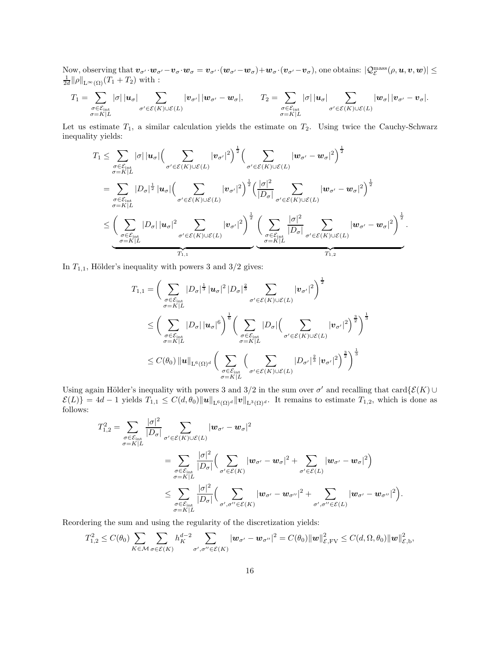Now, observing that  $v_{\sigma'} \cdot w_{\sigma'} - v_{\sigma} \cdot w_{\sigma} = v_{\sigma'} \cdot (w_{\sigma'} - w_{\sigma}) + w_{\sigma} \cdot (v_{\sigma'} - v_{\sigma})$ , one obtains:  $|\mathcal{Q}_\mathcal{E}^{\text{mass}}(\rho, \boldsymbol{u}, \boldsymbol{v}, \boldsymbol{w})| \leq$  $\frac{1}{2d} \|\rho\|_{L^{\infty}(\Omega)} (T_1 + T_2)$  with :

$$
T_1 = \sum_{\substack{\sigma \in \mathcal{E}_{\rm int} \\ \sigma = K|L}} |\sigma| |u_{\sigma}| \sum_{\substack{\sigma' \in \mathcal{E}(K) \cup \mathcal{E}(L)}} |v_{\sigma'}| |w_{\sigma'} - w_{\sigma}|, \qquad T_2 = \sum_{\substack{\sigma \in \mathcal{E}_{\rm int} \\ \sigma = K|L}} |\sigma| |u_{\sigma}| \sum_{\substack{\sigma' \in \mathcal{E}(K) \cup \mathcal{E}(L)}} |w_{\sigma}| |v_{\sigma'} - v_{\sigma}|.
$$

Let us estimate  $T_1$ , a similar calculation yields the estimate on  $T_2$ . Using twice the Cauchy-Schwarz inequality yields:

$$
T_1 \leq \sum_{\substack{\sigma \in \mathcal{E}_{\text{int}} \\ \sigma = K|L}} |\sigma| |u_{\sigma}| \Big( \sum_{\substack{\sigma' \in \mathcal{E}(K) \cup \mathcal{E}(L) \\ \sigma' \in \mathcal{E}(K) \cup \mathcal{E}(L)}} |v_{\sigma'}|^2 \Big)^{\frac{1}{2}} \Big( \sum_{\substack{\sigma' \in \mathcal{E}(K) \cup \mathcal{E}(L) \\ \sigma \in \mathcal{E}_{\text{int}}}} |w_{\sigma'} - w_{\sigma}|^2 \Big)^{\frac{1}{2}} \\ = \sum_{\substack{\sigma \in \mathcal{E}_{\text{int}} \\ \sigma = K|L}} |D_{\sigma}|^{\frac{1}{2}} |u_{\sigma}| \Big( \sum_{\substack{\sigma' \in \mathcal{E}(K) \cup \mathcal{E}(L) \\ \sigma' \in \mathcal{E}(K) \cup \mathcal{E}(L)}} |v_{\sigma'}|^2 \Big)^{\frac{1}{2}} \Big( \frac{|\sigma|^2}{|D_{\sigma}|} \sum_{\substack{\sigma' \in \mathcal{E}(K) \cup \mathcal{E}(L) \\ \sigma = K|L}} |w_{\sigma'} - w_{\sigma}|^2 \Big)^{\frac{1}{2}} \\ \leq \underbrace{\Big( \sum_{\substack{\sigma \in \mathcal{E}_{\text{int}} \\ \sigma = K|L}} |D_{\sigma}| |u_{\sigma}|^2 \sum_{\substack{\sigma' \in \mathcal{E}(K) \cup \mathcal{E}(L) \\ \sigma = K|L}} |v_{\sigma'}|^2 \Big)^{\frac{1}{2}}}_{T_{1,1}} \underbrace{\Big( \sum_{\substack{\sigma \in \mathcal{E}_{\text{int}} \\ \sigma = K|L}} \frac{|\sigma|^2}{|D_{\sigma}|} \sum_{\substack{\sigma' \in \mathcal{E}(K) \cup \mathcal{E}(L) \\ \tau_{1,2}} } |w_{\sigma'} - w_{\sigma}|^2 \Big)^{\frac{1}{2}}}_{T_{1,2}}.
$$

In  ${\cal T}_{1,1},$  Hölder's inequality with powers 3 and 3/2 gives:

$$
T_{1,1} = \left(\sum_{\substack{\sigma \in \mathcal{E}_{\text{int}} \\ \sigma = K|L}} |D_{\sigma}|^{\frac{1}{3}} |\mathbf{u}_{\sigma}|^{2} |D_{\sigma}|^{\frac{2}{3}} \sum_{\substack{\sigma' \in \mathcal{E}(K) \cup \mathcal{E}(L) \\ \sigma \in \mathcal{E}_{\text{int}}}} |\mathbf{v}_{\sigma'}|^{2}\right)^{\frac{1}{2}}
$$
  

$$
\leq \left(\sum_{\substack{\sigma \in \mathcal{E}_{\text{int}} \\ \sigma = K|L}} |D_{\sigma}| |\mathbf{u}_{\sigma}|^{6}\right)^{\frac{1}{6}} \left(\sum_{\substack{\sigma \in \mathcal{E}_{\text{int}} \\ \sigma = K|L}} |D_{\sigma}| \left(\sum_{\substack{\sigma' \in \mathcal{E}(K) \cup \mathcal{E}(L) \\ \sigma' \in \mathcal{E}(K) \cup \mathcal{E}(L)}} |\mathbf{v}_{\sigma'}|^{2}\right)^{\frac{3}{2}}\right)^{\frac{1}{3}}
$$
  

$$
\leq C(\theta_{0}) ||\mathbf{u}||_{\mathbf{L}^{6}(\Omega)^{d}} \left(\sum_{\substack{\sigma \in \mathcal{E}_{\text{int}} \\ \sigma = K|L}} \left(\sum_{\substack{\sigma' \in \mathcal{E}(K) \cup \mathcal{E}(L) \\ \sigma' \in \mathcal{E}(K) \cup \mathcal{E}(L)}} |D_{\sigma'}|^{\frac{2}{3}} |\mathbf{v}_{\sigma'}|^{2}\right)^{\frac{3}{2}}\right)^{\frac{1}{3}}
$$

Using again Hölder's inequality with powers 3 and 3/2 in the sum over  $\sigma'$  and recalling that card $\{\mathcal{E}(K) \cup$  $\mathcal{E}(L)$  = 4d – 1 yields  $T_{1,1} \leq C(d,\theta_0) ||\boldsymbol{u}||_{\mathcal{L}^6(\Omega)^d} ||\boldsymbol{v}||_{\mathcal{L}^3(\Omega)^d}$ . It remains to estimate  $T_{1,2}$ , which is done as follows:

$$
T_{1,2}^{2} = \sum_{\substack{\sigma \in \mathcal{E}_{int} \\ \sigma = K|L}} \frac{|\sigma|^{2}}{|\mathcal{D}_{\sigma}|} \sum_{\substack{\sigma' \in \mathcal{E}(K) \cup \mathcal{E}(L) \\ \sigma = K|L}} |w_{\sigma'} - w_{\sigma}|^{2}
$$
  

$$
= \sum_{\substack{\sigma \in \mathcal{E}_{int} \\ \sigma = K|L}} \frac{|\sigma|^{2}}{|\mathcal{D}_{\sigma}|} \Big(\sum_{\substack{\sigma' \in \mathcal{E}(K) \\ \sigma' \in \mathcal{E}(K)}} |w_{\sigma'} - w_{\sigma}|^{2} + \sum_{\substack{\sigma' \in \mathcal{E}(L) \\ \sigma' \in \mathcal{E}(L)}} |w_{\sigma'} - w_{\sigma'}|^{2}\Big)
$$
  

$$
\leq \sum_{\substack{\sigma \in \mathcal{E}_{int} \\ \sigma = K|L}} \frac{|\sigma|^{2}}{|\mathcal{D}_{\sigma}|} \Big(\sum_{\substack{\sigma', \sigma'' \in \mathcal{E}(K) \\ \sigma', \sigma'' \in \mathcal{E}(K)}} |w_{\sigma'} - w_{\sigma''}|^{2} + \sum_{\substack{\sigma', \sigma'' \in \mathcal{E}(L) \\ \sigma', \sigma'' \in \mathcal{E}(L)}} |w_{\sigma'} - w_{\sigma''}|^{2}\Big).
$$

Reordering the sum and using the regularity of the discretization yields:

$$
T_{1,2}^2 \leq C(\theta_0) \sum_{K \in \mathcal{M}} \sum_{\sigma \in \mathcal{E}(K)} h_K^{d-2} \sum_{\sigma', \sigma'' \in \mathcal{E}(K)} |\boldsymbol{w}_{\sigma'} - \boldsymbol{w}_{\sigma''}|^2 = C(\theta_0) ||\boldsymbol{w}||_{\mathcal{E},\text{FV}}^2 \leq C(d,\Omega,\theta_0) ||\boldsymbol{w}||_{\mathcal{E},\text{b}}^2,
$$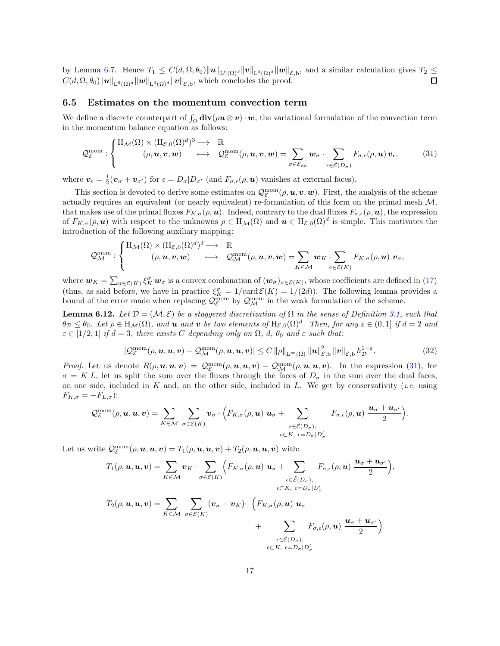by Lemma [6.7.](#page-13-0) Hence  $T_1 \leq C(d,\Omega,\theta_0) ||\boldsymbol{u}||_{\mathbf{L}^{6}(\Omega)^d} ||\boldsymbol{v}||_{\mathbf{L}^{3}(\Omega)^d} ||\boldsymbol{w}||_{\mathcal{E},\mathbf{b}},$  and a similar calculation gives  $T_2 \leq$  $C(d,\Omega,\theta_0) \| \bm{u} \|_{\textnormal{L}^6(\Omega)^d} \| \bm{w} \|_{\textnormal{L}^3(\Omega)^d} \| \bm{v} \|_{\mathcal{E},\textnormal{b}},$  which concludes the proof.

### 6.5 Estimates on the momentum convection term

We define a discrete counterpart of  $\int_{\Omega} \mathbf{div}(\rho \mathbf{u} \otimes \mathbf{v}) \cdot \mathbf{w}$ , the variational formulation of the convection term in the momentum balance equation as follows:

<span id="page-16-1"></span>
$$
\mathcal{Q}_{\mathcal{E}}^{\text{mom}}: \begin{cases} \mathcal{H}_{\mathcal{M}}(\Omega) \times (\mathcal{H}_{\mathcal{E},0}(\Omega)^d)^3 \longrightarrow & \mathbb{R} \\ (\rho, \mathbf{u}, \mathbf{v}, \mathbf{w}) \longrightarrow & \mathcal{Q}_{\mathcal{E}}^{\text{mom}}(\rho, \mathbf{u}, \mathbf{v}, \mathbf{w}) = \sum_{\sigma \in \mathcal{E}_{\text{int}}} \mathbf{w}_{\sigma} \cdot \sum_{\epsilon \in \tilde{\mathcal{E}}(D_{\sigma})} F_{\sigma,\epsilon}(\rho, \mathbf{u}) \mathbf{v}_{\epsilon}, \end{cases} (31)
$$

where  $v_{\epsilon} = \frac{1}{2} (v_{\sigma} + v_{\sigma'})$  for  $\epsilon = D_{\sigma} | D_{\sigma'}$  (and  $F_{\sigma,\epsilon}(\rho, u)$  vanishes at external faces).

This section is devoted to derive some estimates on  $\mathcal{Q}_{\mathcal{E}}^{\text{mom}}(\rho,\boldsymbol{u},\boldsymbol{v},\boldsymbol{w})$ . First, the analysis of the scheme actually requires an equivalent (or nearly equivalent) re-formulation of this form on the primal mesh  $M$ , that makes use of the primal fluxes  $F_{K,\sigma}(\rho,\boldsymbol{u})$ . Indeed, contrary to the dual fluxes  $F_{\sigma,\epsilon}(\rho,\boldsymbol{u})$ , the expression of  $F_{K,\sigma}(\rho,\mathbf{u})$  with respect to the unknowns  $\rho \in H_{\mathcal{M}}(\Omega)$  and  $\mathbf{u} \in H_{\mathcal{E},0}(\Omega)^d$  is simple. This motivates the introduction of the following auxiliary mapping:

$$
\mathcal{Q}_{\mathcal{M}}^{\text{mom}}: \left\{ \begin{aligned} &\mathcal{H}_{\mathcal{M}}(\Omega) \times (\mathcal{H}_{\mathcal{E},0}(\Omega)^d)^3 \longrightarrow &\mathbb{R} \\ &(\rho,\textbf{\textit{u}},\textbf{\textit{v}},\textbf{\textit{w}}) &\longmapsto &\mathcal{Q}_{\mathcal{M}}^{\text{mom}}(\rho,\textbf{\textit{u}},\textbf{\textit{v}},\textbf{\textit{w}}) = \sum_{K\in\mathcal{M}} \textbf{\textit{w}}_K \cdot \sum_{\sigma\in\mathcal{E}(K)} F_{K,\sigma}(\rho,\textbf{\textit{u}}) \textbf{\textit{v}}_\sigma, \end{aligned} \right.
$$

where  $w_K = \sum_{\sigma \in \mathcal{E}(K)} \xi_K^{\sigma} w_{\sigma}$  is a convex combination of  $(w_{\sigma})_{\sigma \in \mathcal{E}(K)}$ , whose coefficients are defined in [\(17\)](#page-7-4) (thus, as said before, we have in practice  $\xi_K^{\sigma} = 1/\text{card }\mathcal{E}(K) = 1/(2d)$ ). The following lemma provides a bound of the error made when replacing  $\mathcal{Q}_{\mathcal{E}}^{\text{mom}}$  by  $\mathcal{Q}_{\mathcal{M}}^{\text{mom}}$  in the weak formulation of the scheme.

<span id="page-16-0"></span>**Lemma 6.12.** Let  $\mathcal{D} = (\mathcal{M}, \mathcal{E})$  be a staggered discretization of  $\Omega$  in the sense of Definition [3.1,](#page-3-1) such that  $\theta_{\mathcal{D}} \leq \theta_0$ . Let  $\rho \in H_{\mathcal{M}}(\Omega)$ , and **u** and **v** be two elements of  $H_{\mathcal{E},0}(\Omega)^d$ . Then, for any  $\varepsilon \in (0,1]$  if  $d=2$  and  $\varepsilon \in [1/2, 1]$  if  $d = 3$ , there exists C depending only on  $\Omega$ , d,  $\theta_0$  and  $\varepsilon$  such that:

<span id="page-16-2"></span>
$$
|\mathcal{Q}_{\mathcal{E}}^{\text{mom}}(\rho, \boldsymbol{u}, \boldsymbol{u}, \boldsymbol{v}) - \mathcal{Q}_{\mathcal{M}}^{\text{mom}}(\rho, \boldsymbol{u}, \boldsymbol{u}, \boldsymbol{v})| \le C \left\| \rho \right\|_{\mathcal{L}^{\infty}(\Omega)} \left\| \boldsymbol{u} \right\|_{\mathcal{E}, \mathbf{b}}^2 \left\| \boldsymbol{v} \right\|_{\mathcal{E}, \mathbf{b}} h_{\mathcal{D}}^{1-\varepsilon}.
$$
 (32)

*Proof.* Let us denote  $R(\rho, \mathbf{u}, \mathbf{u}, \mathbf{v}) = Q_{\mathcal{E}}^{\text{mom}}(\rho, \mathbf{u}, \mathbf{u}, \mathbf{v}) - Q_{\mathcal{M}}^{\text{mom}}(\rho, \mathbf{u}, \mathbf{u}, \mathbf{v})$ . In the expression [\(31\)](#page-16-1), for  $\sigma = K|L$ , let us split the sum over the fluxes through the faces of  $D_{\sigma}$  in the sum over the dual faces, on one side, included in  $K$  and, on the other side, included in  $L$ . We get by conservativity (*i.e.* using  $F_{K,\sigma} = -F_{L,\sigma}$ :

$$
\mathcal{Q}_{\mathcal{E}}^{\text{mom}}(\rho, \boldsymbol{u}, \boldsymbol{u}, \boldsymbol{v}) = \sum_{K \in \mathcal{M}} \sum_{\sigma \in \mathcal{E}(K)} \boldsymbol{v}_{\sigma} \cdot (F_{K,\sigma}(\rho, \boldsymbol{u}) \, \boldsymbol{u}_{\sigma} + \sum_{\epsilon \in \tilde{\mathcal{E}}(D_{\sigma}), \atop \epsilon \subset K, \epsilon = D_{\sigma} | D_{\sigma}'} F_{\sigma,\epsilon}(\rho, \boldsymbol{u}) \, \frac{\boldsymbol{u}_{\sigma} + \boldsymbol{u}_{\sigma'}}{2} \big).
$$

Let us write  $\mathcal{Q}_{\mathcal{E}}^{\text{mom}}(\rho, \boldsymbol{u}, \boldsymbol{u}, \boldsymbol{v}) = T_1(\rho, \boldsymbol{u}, \boldsymbol{u}, \boldsymbol{v}) + T_2(\rho, \boldsymbol{u}, \boldsymbol{u}, \boldsymbol{v})$  with:

$$
T_1(\rho, \boldsymbol{u}, \boldsymbol{u}, \boldsymbol{v}) = \sum_{K \in \mathcal{M}} \boldsymbol{v}_K \cdot \sum_{\sigma \in \mathcal{E}(K)} \Big( F_{K,\sigma}(\rho, \boldsymbol{u}) \, \, \boldsymbol{u}_\sigma + \sum_{\epsilon \in \tilde{\mathcal{E}}(D_\sigma), \atop \epsilon \subset K, \ \epsilon = D_\sigma | D'_\sigma} F_{\sigma,\epsilon}(\rho, \boldsymbol{u}) \, \frac{\boldsymbol{u}_\sigma + \boldsymbol{u}_{\sigma'}}{2} \Big),
$$

$$
T_2(\rho, \mathbf{u}, \mathbf{u}, \mathbf{v}) = \sum_{K \in \mathcal{M}} \sum_{\sigma \in \mathcal{E}(K)} (\mathbf{v}_{\sigma} - \mathbf{v}_K) \cdot \left( F_{K,\sigma}(\rho, \mathbf{u}) \mathbf{u}_{\sigma} + \sum_{\substack{\epsilon \in \tilde{\mathcal{E}}(D_{\sigma}), \\ \epsilon \subset K, \epsilon = D_{\sigma} | D'_{\sigma}}} F_{\sigma,\epsilon}(\rho, \mathbf{u}) \frac{\mathbf{u}_{\sigma} + \mathbf{u}_{\sigma'}}{2} \right).
$$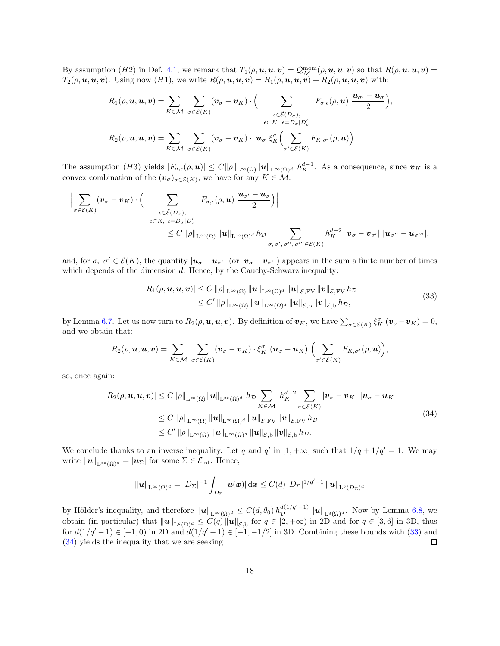By assumption (H2) in Def. [4.1,](#page-7-1) we remark that  $T_1(\rho, \mathbf{u}, \mathbf{u}, \mathbf{v}) = \mathcal{Q}_{\mathcal{M}}^{\text{mom}}(\rho, \mathbf{u}, \mathbf{u}, \mathbf{v})$  so that  $R(\rho, \mathbf{u}, \mathbf{u}, \mathbf{v}) =$  $T_2(\rho, \boldsymbol{u}, \boldsymbol{u}, \boldsymbol{v})$ . Using now  $(H1)$ , we write  $R(\rho, \boldsymbol{u}, \boldsymbol{u}, \boldsymbol{v}) = R_1(\rho, \boldsymbol{u}, \boldsymbol{u}, \boldsymbol{v}) + R_2(\rho, \boldsymbol{u}, \boldsymbol{u}, \boldsymbol{v})$  with:

$$
R_1(\rho, \mathbf{u}, \mathbf{u}, \mathbf{v}) = \sum_{K \in \mathcal{M}} \sum_{\sigma \in \mathcal{E}(K)} (\mathbf{v}_{\sigma} - \mathbf{v}_K) \cdot \Big( \sum_{\epsilon \in \tilde{\mathcal{E}}(D_{\sigma}), \atop \epsilon \subset K, \epsilon = D_{\sigma} | D'_{\sigma}} F_{\sigma, \epsilon}(\rho, \mathbf{u}) \frac{\mathbf{u}_{\sigma'} - \mathbf{u}_{\sigma}}{2} \Big),
$$
  

$$
R_2(\rho, \mathbf{u}, \mathbf{u}, \mathbf{v}) = \sum_{K \in \mathcal{M}} \sum_{\sigma \in \mathcal{E}(K)} (\mathbf{v}_{\sigma} - \mathbf{v}_K) \cdot \mathbf{u}_{\sigma} \xi_K^{\sigma} \Big( \sum_{\sigma' \in \mathcal{E}(K)} F_{K, \sigma'}(\rho, \mathbf{u}) \Big).
$$

The assumption  $(H3)$  yields  $|F_{\sigma,\epsilon}(\rho,\boldsymbol{u})| \leq C ||\rho||_{\mathbb{L}^{\infty}(\Omega)} ||\boldsymbol{u}||_{\mathbb{L}^{\infty}(\Omega)^{d}} h_K^{d-1}$ . As a consequence, since  $\boldsymbol{v}_K$  is a convex combination of the  $(\mathbf{v}_{\sigma})_{\sigma \in \mathcal{E}(K)}$ , we have for any  $K \in \mathcal{M}$ :

$$
\Big| \sum_{\sigma \in \mathcal{E}(K)} (\boldsymbol{v}_{\sigma} - \boldsymbol{v}_{K}) \cdot \Big( \sum_{\epsilon \in \tilde{\mathcal{E}}(D_{\sigma}), \\ \epsilon \subset K, \\ \epsilon = D_{\sigma} | D_{\sigma}' } F_{\sigma,\epsilon}(\rho, \boldsymbol{u}) \frac{\boldsymbol{u}_{\sigma'} - \boldsymbol{u}_{\sigma}}{2} \Big) \Big|
$$
  
\$\leq C ||\rho||\_{\mathbf{L}^{\infty}(\Omega)} ||\boldsymbol{u}||\_{\mathbf{L}^{\infty}(\Omega)^{d}} h\_{\mathcal{D}} \sum\_{\sigma, \sigma', \sigma'', \sigma''', \epsilon \in (K)} h\_{K}^{d-2} | \boldsymbol{v}\_{\sigma} - \boldsymbol{v}\_{\sigma'}| | \boldsymbol{u}\_{\sigma''} - \boldsymbol{u}\_{\sigma'''} |,

and, for  $\sigma, \sigma' \in \mathcal{E}(K)$ , the quantity  $|u_{\sigma} - u_{\sigma'}|$  (or  $|v_{\sigma} - v_{\sigma'}|$ ) appears in the sum a finite number of times which depends of the dimension  $d$ . Hence, by the Cauchy-Schwarz inequality:

<span id="page-17-0"></span>
$$
|R_1(\rho, \mathbf{u}, \mathbf{u}, \mathbf{v})| \le C \|\rho\|_{\mathbf{L}^\infty(\Omega)} \|\mathbf{u}\|_{\mathbf{L}^\infty(\Omega)^d} \|\mathbf{u}\|_{\mathcal{E}, \text{FV}} \|\mathbf{v}\|_{\mathcal{E}, \text{FV}} h_{\mathcal{D}} \le C' \|\rho\|_{\mathbf{L}^\infty(\Omega)} \|\mathbf{u}\|_{\mathbf{L}^\infty(\Omega)^d} \|\mathbf{u}\|_{\mathcal{E}, \mathbf{b}} \|\mathbf{v}\|_{\mathcal{E}, \mathbf{b}} h_{\mathcal{D}},
$$
\n(33)

by Lemma [6.7.](#page-13-0) Let us now turn to  $R_2(\rho, \mathbf{u}, \mathbf{u}, \mathbf{v})$ . By definition of  $\mathbf{v}_K$ , we have  $\sum_{\sigma \in \mathcal{E}(K)} \xi_K^{\sigma} (\mathbf{v}_{\sigma} - \mathbf{v}_K) = 0$ , and we obtain that:

$$
R_2(\rho, \mathbf{u}, \mathbf{u}, \mathbf{v}) = \sum_{K \in \mathcal{M}} \sum_{\sigma \in \mathcal{E}(K)} (\mathbf{v}_{\sigma} - \mathbf{v}_K) \cdot \xi_K^{\sigma} (\mathbf{u}_{\sigma} - \mathbf{u}_K) \left( \sum_{\sigma' \in \mathcal{E}(K)} F_{K, \sigma'}(\rho, \mathbf{u}) \right),
$$

so, once again:

$$
|R_2(\rho, \mathbf{u}, \mathbf{u}, \mathbf{v})| \le C \|\rho\|_{\mathbf{L}^\infty(\Omega)} \|\mathbf{u}\|_{\mathbf{L}^\infty(\Omega)^d} h_{\mathcal{D}} \sum_{K \in \mathcal{M}} h_K^{d-2} \sum_{\sigma \in \mathcal{E}(K)} |\mathbf{v}_\sigma - \mathbf{v}_K| \ |\mathbf{u}_\sigma - \mathbf{u}_K|
$$
  
\n
$$
\le C \|\rho\|_{\mathbf{L}^\infty(\Omega)} \|\mathbf{u}\|_{\mathbf{L}^\infty(\Omega)^d} \|\mathbf{u}\|_{\mathcal{E}, \text{FV}} \|\mathbf{v}\|_{\mathcal{E}, \text{FV}} h_{\mathcal{D}}
$$
  
\n
$$
\le C' \|\rho\|_{\mathbf{L}^\infty(\Omega)} \|\mathbf{u}\|_{\mathbf{L}^\infty(\Omega)^d} \|\mathbf{u}\|_{\mathcal{E}, \mathbf{b}} \|\mathbf{v}\|_{\mathcal{E}, \mathbf{b}} h_{\mathcal{D}}.
$$
\n(34)

We conclude thanks to an inverse inequality. Let q and q' in  $[1, +\infty]$  such that  $1/q + 1/q' = 1$ . We may write  $||u||_{L^{\infty}(\Omega)^d} = |u_{\Sigma}|$  for some  $\Sigma \in \mathcal{E}_{int}$ . Hence,

<span id="page-17-1"></span>
$$
\|{\bm u}\|_{\mathrm{L}^\infty(\Omega)^d}=|D_\Sigma|^{-1}\int_{D_\Sigma}|{\bm u}({\bm x})|\,\mathrm{d}{\bm x}\leq C(d)\,|D_\Sigma|^{1/q'-1}\,\|{\bm u}\|_{\mathrm{L}^q(D_\Sigma)^d}
$$

by Hölder's inequality, and therefore  $||u||_{L^{\infty}(\Omega)^d} \leq C(d, \theta_0) h_{\mathcal{D}}^{d(1/q'-1)} ||u||_{L^q(\Omega)^d}$ . Now by Lemma [6.8,](#page-13-1) we obtain (in particular) that  $\|u\|_{L^q(\Omega)^d} \leq C(q) \|u\|_{\mathcal{E},\mathbf{b}}$  for  $q \in [2,+\infty)$  in 2D and for  $q \in [3,6]$  in 3D, thus for  $d(1/q'-1) \in [-1,0)$  in 2D and  $d(1/q'-1) \in [-1,-1/2]$  in 3D. Combining these bounds with [\(33\)](#page-17-0) and [\(34\)](#page-17-1) yields the inequality that we are seeking.  $\Box$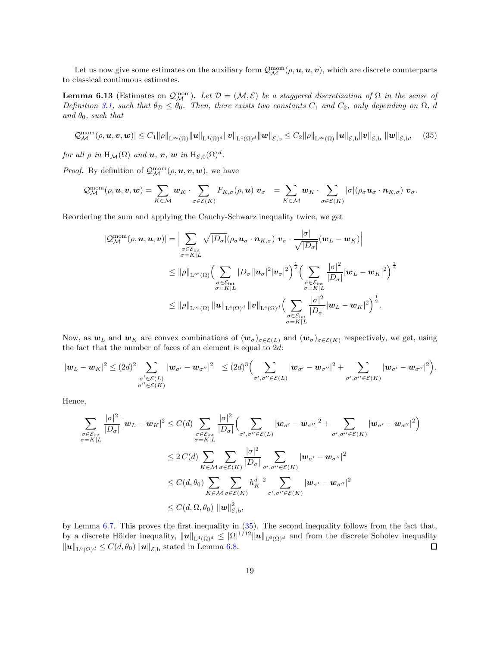Let us now give some estimates on the auxiliary form  $\mathcal{Q}_{\mathcal{M}}^{\text{mom}}(\rho,\mathbf{u},\mathbf{u},\mathbf{v})$ , which are discrete counterparts to classical continuous estimates.

<span id="page-18-1"></span>**Lemma 6.13** (Estimates on  $\mathcal{Q}_{\mathcal{M}}^{\text{mom}}$ ). Let  $\mathcal{D} = (\mathcal{M}, \mathcal{E})$  be a staggered discretization of  $\Omega$  in the sense of Definition [3.1,](#page-3-1) such that  $\theta_{\mathcal{D}} \leq \theta_0$ . Then, there exists two constants  $C_1$  and  $C_2$ , only depending on  $\Omega$ , d and  $\theta_0$ , such that

 $|\mathcal{Q}_{\mathcal{M}}^{\text{mom}}(\rho, \boldsymbol{u}, \boldsymbol{v}, \boldsymbol{w})| \leq C_1 \|\rho\|_{\text{L}^\infty(\Omega)} \|\boldsymbol{u}\|_{\text{L}^4(\Omega)^d} \|\boldsymbol{v}\|_{\text{L}^4(\Omega)^d} \|\boldsymbol{w}\|_{\mathcal{E}, \text{b}} \leq C_2 \|\rho\|_{\text{L}^\infty(\Omega)} \|\boldsymbol{u}\|_{\mathcal{E}, \text{b}} \|\boldsymbol{v}\|_{\mathcal{E}, \text{b}} \|\boldsymbol{w}\|_{\mathcal{E}, \text{b}}$  $(35)$ 

for all  $\rho$  in  $H_{\mathcal{M}}(\Omega)$  and  $\boldsymbol{u}, \boldsymbol{v}, \boldsymbol{w}$  in  $H_{\mathcal{E},0}(\Omega)^d$ .

*Proof.* By definition of  $\mathcal{Q}_{\mathcal{M}}^{\text{mom}}(\rho, \boldsymbol{u}, \boldsymbol{v}, \boldsymbol{w})$ , we have

$$
\mathcal{Q}_{\mathcal{M}}^{\text{mom}}(\rho, \boldsymbol{u}, \boldsymbol{v}, \boldsymbol{w}) = \sum_{K \in \mathcal{M}} \boldsymbol{w}_{K} \cdot \sum_{\sigma \in \mathcal{E}(K)} F_{K, \sigma}(\rho, \boldsymbol{u}) \; \boldsymbol{v}_{\sigma} \quad = \sum_{K \in \mathcal{M}} \boldsymbol{w}_{K} \cdot \sum_{\sigma \in \mathcal{E}(K)} |\sigma| (\rho_{\sigma} \boldsymbol{u}_{\sigma} \cdot \boldsymbol{n}_{K, \sigma}) \; \boldsymbol{v}_{\sigma}.
$$

Reordering the sum and applying the Cauchy-Schwarz inequality twice, we get

<span id="page-18-0"></span>
$$
|\mathcal{Q}_{\mathcal{M}}^{\text{mom}}(\rho, \boldsymbol{u}, \boldsymbol{u}, \boldsymbol{v})| = \Big| \sum_{\substack{\sigma \in \mathcal{E}_{\text{int}} \\ \sigma = K|L}} \sqrt{|D_{\sigma}|} (\rho_{\sigma} \boldsymbol{u}_{\sigma} \cdot \boldsymbol{n}_{K,\sigma}) \, \boldsymbol{v}_{\sigma} \cdot \frac{|\sigma|}{\sqrt{|D_{\sigma}|}} (\boldsymbol{w}_{L} - \boldsymbol{w}_{K}) \Big|
$$
  
\$\leq \|\rho\|\_{L^{\infty}(\Omega)} \Big( \sum\_{\substack{\sigma \in \mathcal{E}\_{\text{int}} \\ \sigma = K|L}} |D\_{\sigma}| |\boldsymbol{u}\_{\sigma}|^{2} |\boldsymbol{v}\_{\sigma}|^{2} \Big)^{\frac{1}{2}} \Big( \sum\_{\substack{\sigma \in \mathcal{E}\_{\text{int}} \\ \sigma = K|L}} \frac{|\sigma|^{2}}{|D\_{\sigma}|} |\boldsymbol{w}\_{L} - \boldsymbol{w}\_{K}|^{2} \Big)^{\frac{1}{2}} \Big| \Big( \sum\_{\substack{\sigma \in \mathcal{E}\_{\text{int}} \\ \sigma = K|L}} \frac{|\sigma|^{2}}{|D\_{\sigma}|} |\boldsymbol{w}\_{L} - \boldsymbol{w}\_{K}|^{2} \Big)^{\frac{1}{2}} \Big) \Big|  
\$\leq \|\rho\|\_{L^{\infty}(\Omega)} \|\boldsymbol{u}\|\_{L^{4}(\Omega)^{d}} \|\boldsymbol{v}\|\_{L^{4}(\Omega)^{d}} \Big( \sum\_{\substack{\sigma \in \mathcal{E}\_{\text{int}} \\ \sigma = K|L}} \frac{|\sigma|^{2}}{|D\_{\sigma}|} |\boldsymbol{w}\_{L} - \boldsymbol{w}\_{K}|^{2} \Big)^{\frac{1}{2}} \Big|.\end{array}

Now, as  $w_L$  and  $w_K$  are convex combinations of  $(w_{\sigma})_{\sigma \in \mathcal{E}(L)}$  and  $(w_{\sigma})_{\sigma \in \mathcal{E}(K)}$  respectively, we get, using the fact that the number of faces of an element is equal to  $2d$ :

$$
|\boldsymbol{w}_L - \boldsymbol{w}_K|^2 \leq (2d)^2 \sum_{\substack{\sigma' \in \mathcal{E}(L) \\ \sigma'' \in \mathcal{E}(K)}} |\boldsymbol{w}_{\sigma'} - \boldsymbol{w}_{\sigma''}|^2 \leq (2d)^3 \Big( \sum_{\substack{\sigma', \sigma'' \in \mathcal{E}(L) \\ \sigma', \sigma'' \in \mathcal{E}(L)}} |\boldsymbol{w}_{\sigma'} - \boldsymbol{w}_{\sigma''}|^2 + \sum_{\substack{\sigma', \sigma'' \in \mathcal{E}(K) \\ \sigma'' \in \mathcal{E}(K)}} |\boldsymbol{w}_{\sigma'} - \boldsymbol{w}_{\sigma''}|^2 \Big).
$$

Hence,

$$
\sum_{\substack{\sigma \in \mathcal{E}_{int} \\ \sigma = K|L}} \frac{|\sigma|^2}{|D_{\sigma}|} |w_L - w_K|^2 \le C(d) \sum_{\substack{\sigma \in \mathcal{E}_{int} \\ \sigma = K|L}} \frac{|\sigma|^2}{|D_{\sigma}|} \Big( \sum_{\substack{\sigma', \sigma'' \in \mathcal{E}(L) \\ \sigma \in K|L}} |w_{\sigma'} - w_{\sigma''}|^2 + \sum_{\substack{\sigma', \sigma'' \in \mathcal{E}(K) \\ \sigma \in K|L}} |w_{\sigma'} - w_{\sigma''}|^2 \Big)
$$
  

$$
\le 2 C(d) \sum_{K \in \mathcal{M}} \sum_{\sigma \in \mathcal{E}(K)} \frac{|\sigma|^2}{|D_{\sigma}|} \sum_{\substack{\sigma', \sigma'' \in \mathcal{E}(K) \\ \sigma', \sigma'' \in \mathcal{E}(K)}} |w_{\sigma'} - w_{\sigma''}|^2
$$
  

$$
\le C(d, \theta_0) \sum_{K \in \mathcal{M}} \sum_{\sigma \in \mathcal{E}(K)} h_K^{d-2} \sum_{\sigma', \sigma'' \in \mathcal{E}(K)} |w_{\sigma'} - w_{\sigma''}|^2
$$
  

$$
\le C(d, \Omega, \theta_0) ||w||_{\mathcal{E}, b}^2,
$$

by Lemma [6.7.](#page-13-0) This proves the first inequality in [\(35\)](#page-18-0). The second inequality follows from the fact that, by a discrete Hölder inequality,  $||u||_{L^4(\Omega)^d} \leq |\Omega|^{1/12} ||u||_{L^6(\Omega)^d}$  and from the discrete Sobolev inequality  $\|\boldsymbol{u}\|_{\text{L}^6(\Omega)^d} \leq C(d,\theta_0) \, \|\boldsymbol{u}\|_{\mathcal{E},\text{b}}$  stated in Lemma [6.8.](#page-13-1)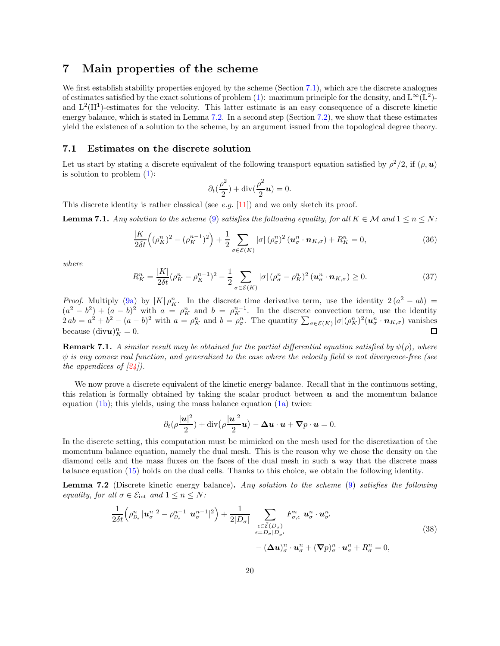### <span id="page-19-0"></span>7 Main properties of the scheme

We first establish stability properties enjoyed by the scheme (Section [7.1\)](#page-19-1), which are the discrete analogues of estimates satisfied by the exact solutions of problem [\(1\)](#page-2-4): maximum principle for the density, and  $L^{\infty}(L^2)$ and  $L^2(H^1)$ -estimates for the velocity. This latter estimate is an easy consequence of a discrete kinetic energy balance, which is stated in Lemma [7.2.](#page-19-2) In a second step (Section [7.2\)](#page-22-0), we show that these estimates yield the existence of a solution to the scheme, by an argument issued from the topological degree theory.

#### <span id="page-19-1"></span>7.1 Estimates on the discrete solution

Let us start by stating a discrete equivalent of the following transport equation satisfied by  $\rho^2/2$ , if  $(\rho, u)$ is solution to problem [\(1\)](#page-2-4):

<span id="page-19-5"></span><span id="page-19-4"></span>
$$
\partial_t(\frac{\rho^2}{2}) + \operatorname{div}(\frac{\rho^2}{2}\boldsymbol{u}) = 0.
$$

This discrete identity is rather classical (see  $e.g.$  [\[11\]](#page-44-9)) and we only sketch its proof.

<span id="page-19-3"></span>**Lemma 7.1.** Any solution to the scheme [\(9\)](#page-5-4) satisfies the following equality, for all  $K \in \mathcal{M}$  and  $1 \leq n \leq N$ :

$$
\frac{|K|}{2\delta t}\left((\rho_K^n)^2 - (\rho_K^{n-1})^2\right) + \frac{1}{2}\sum_{\sigma \in \mathcal{E}(K)} |\sigma| \left((\rho_\sigma^n)^2 \left(\mathbf{u}_\sigma^n \cdot \mathbf{n}_{K,\sigma}\right) + R_K^n = 0,\right)
$$
\n(36)

where

$$
R_K^n = \frac{|K|}{2\delta t} (\rho_K^n - \rho_K^{n-1})^2 - \frac{1}{2} \sum_{\sigma \in \mathcal{E}(K)} |\sigma| (\rho_\sigma^n - \rho_K^n)^2 (\mathbf{u}_\sigma^n \cdot \mathbf{n}_{K,\sigma}) \ge 0. \tag{37}
$$

*Proof.* Multiply [\(9a\)](#page-5-1) by  $|K|\rho_K^n$ . In the discrete time derivative term, use the identity  $2(a^2 - ab)$  =  $(a^2 - b^2) + (a - b)^2$  with  $a = \rho_K^n$  and  $b = \rho_K^{n-1}$ . In the discrete convection term, use the identity  $2 ab = a^2 + b^2 - (a - b)^2$  with  $a = \rho_K^n$  and  $b = \rho_{\sigma}^n$ . The quantity  $\sum_{\sigma \in \mathcal{E}(K)} |\sigma| (\rho_K^n)^2 (\mathbf{u}_{\sigma}^n \cdot \mathbf{n}_{K,\sigma})$  vanishes because  $(\text{div}\mathbf{u})_K^n=0.$  $\Box$ 

**Remark 7.1.** A similar result may be obtained for the partial differential equation satisfied by  $\psi(\rho)$ , where  $\psi$  is any convex real function, and generalized to the case where the velocity field is not divergence-free (see the appendices of  $\lceil 24 \rceil$ .

We now prove a discrete equivalent of the kinetic energy balance. Recall that in the continuous setting, this relation is formally obtained by taking the scalar product between  $\boldsymbol{u}$  and the momentum balance equation  $(1b)$ ; this yields, using the mass balance equation  $(1a)$  twice:

<span id="page-19-6"></span>
$$
\partial_t(\rho \frac{|\boldsymbol{u}|^2}{2}) + \operatorname{div}(\rho \frac{|\boldsymbol{u}|^2}{2}\boldsymbol{u}) - \boldsymbol{\Delta u} \cdot \boldsymbol{u} + \boldsymbol{\nabla} p \cdot \boldsymbol{u} = 0.
$$

In the discrete setting, this computation must be mimicked on the mesh used for the discretization of the momentum balance equation, namely the dual mesh. This is the reason why we chose the density on the diamond cells and the mass fluxes on the faces of the dual mesh in such a way that the discrete mass balance equation [\(15\)](#page-7-5) holds on the dual cells. Thanks to this choice, we obtain the following identity.

<span id="page-19-2"></span>Lemma 7.2 (Discrete kinetic energy balance). Any solution to the scheme [\(9\)](#page-5-4) satisfies the following equality, for all  $\sigma \in \mathcal{E}_{int}$  and  $1 \leq n \leq N$ :

$$
\frac{1}{2\delta t} \left( \rho_{D_{\sigma}}^{n} | \mathbf{u}_{\sigma}^{n} |^{2} - \rho_{D_{\sigma}}^{n-1} | \mathbf{u}_{\sigma}^{n-1} |^{2} \right) + \frac{1}{2|D_{\sigma}|} \sum_{\epsilon \in \tilde{\mathcal{E}}(D_{\sigma}) \atop \epsilon = D_{\sigma}|D_{\sigma'}} F_{\sigma,\epsilon}^{n} \mathbf{u}_{\sigma}^{n} \cdot \mathbf{u}_{\sigma'}^{n}
$$
\n
$$
- (\Delta \mathbf{u})_{\sigma}^{n} \cdot \mathbf{u}_{\sigma}^{n} + (\nabla p)_{\sigma}^{n} \cdot \mathbf{u}_{\sigma}^{n} + R_{\sigma}^{n} = 0,
$$
\n(38)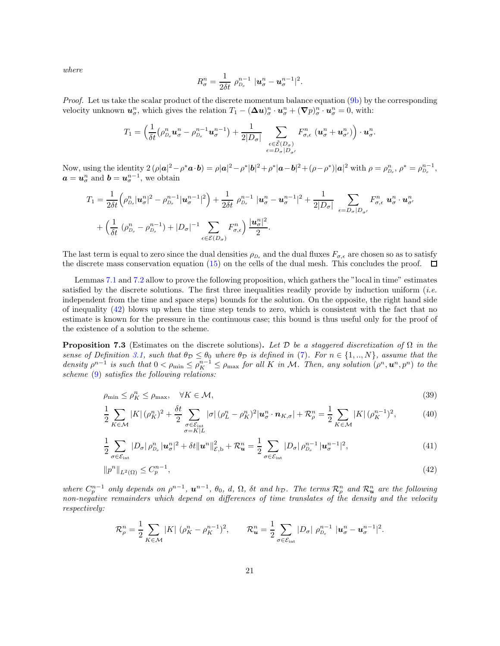where

$$
R_{\sigma}^{n} = \frac{1}{2\delta t} \rho_{D_{\sigma}}^{n-1} \, | \mathbf{u}_{\sigma}^{n} - \mathbf{u}_{\sigma}^{n-1} |^{2}.
$$

*Proof.* Let us take the scalar product of the discrete momentum balance equation  $(9b)$  by the corresponding velocity unknown  $u_{\sigma}^n$ , which gives the relation  $T_1 - (\Delta u)_{\sigma}^n \cdot u_{\sigma}^n + (\nabla p)_{\sigma}^n \cdot u_{\sigma}^n = 0$ , with:

$$
T_1 = \left(\frac{1}{\delta t} \left(\rho_{D_{\sigma}}^n \mathbf{u}_{\sigma}^n - \rho_{D_{\sigma}}^{n-1} \mathbf{u}_{\sigma}^{n-1}\right) + \frac{1}{2|D_{\sigma}|} \sum_{\substack{\epsilon \in \tilde{\mathcal{E}}(D_{\sigma}) \\ \epsilon = D_{\sigma}|D_{\sigma'}}} F_{\sigma,\epsilon}^n \left(\mathbf{u}_{\sigma}^n + \mathbf{u}_{\sigma'}^n\right)\right) \cdot \mathbf{u}_{\sigma}^n.
$$

Now, using the identity  $2(\rho|\mathbf{a}|^2 - \rho^*\mathbf{a} \cdot \mathbf{b}) = \rho|\mathbf{a}|^2 - \rho^*|\mathbf{b}|^2 + \rho^*|\mathbf{a} - \mathbf{b}|^2 + (\rho - \rho^*)|\mathbf{a}|^2$  with  $\rho = \rho_{D_{\sigma}}^n$ ,  $\rho^* = \rho_{D_{\sigma}}^{n-1}$ ,  $a = u_{\sigma}^{n}$  and  $b = u_{\sigma}^{n-1}$ , we obtain

$$
T_1 = \frac{1}{2\delta t} \left( \rho_{D_{\sigma}}^n | \mathbf{u}_{\sigma}^n|^2 - \rho_{D_{\sigma}}^{n-1} | \mathbf{u}_{\sigma}^{n-1} |^2 \right) + \frac{1}{2\delta t} \rho_{D_{\sigma}}^{n-1} | \mathbf{u}_{\sigma}^n - \mathbf{u}_{\sigma}^{n-1} |^2 + \frac{1}{2|D_{\sigma}|} \sum_{\epsilon = D_{\sigma}|D_{\sigma'}} F_{\sigma,\epsilon}^n \mathbf{u}_{\sigma}^n \cdot \mathbf{u}_{\sigma'}^{n}
$$

$$
+ \left( \frac{1}{\delta t} \left( \rho_{D_{\sigma}}^n - \rho_{D_{\sigma}}^{n-1} \right) + |D_{\sigma}|^{-1} \sum_{\epsilon \in \mathcal{E}(D_{\sigma})} F_{\sigma,\epsilon}^n \right) \frac{|\mathbf{u}_{\sigma}^n|^2}{2}.
$$

The last term is equal to zero since the dual densities  $\rho_{D_{\sigma}}$  and the dual fluxes  $F_{\sigma,\epsilon}$  are chosen so as to satisfy the discrete mass conservation equation [\(15\)](#page-7-5) on the cells of the dual mesh. This concludes the proof.  $\Box$ 

Lemmas [7.1](#page-19-3) and [7.2](#page-19-2) allow to prove the following proposition, which gathers the "local in time" estimates satisfied by the discrete solutions. The first three inequalities readily provide by induction uniform (*i.e.* independent from the time and space steps) bounds for the solution. On the opposite, the right hand side of inequality [\(42\)](#page-20-0) blows up when the time step tends to zero, which is consistent with the fact that no estimate is known for the pressure in the continuous case; this bound is thus useful only for the proof of the existence of a solution to the scheme.

<span id="page-20-4"></span>**Proposition 7.3** (Estimates on the discrete solutions). Let D be a staggered discretization of  $\Omega$  in the sense of Definition [3.1,](#page-3-1) such that  $\theta_{\mathcal{D}} \leq \theta_0$  where  $\theta_{\mathcal{D}}$  is defined in [\(7\)](#page-5-3). For  $n \in \{1,..,N\}$ , assume that the density  $\rho^{n-1}$  is such that  $0 < \rho_{\min} \leq \rho_K^{n-1} \leq \rho_{\max}$  for all K in M. Then, any solution  $(\rho^n, \mathbf{u}^n, p^n)$  to the scheme [\(9\)](#page-5-4) satisfies the following relations:

<span id="page-20-1"></span>
$$
\rho_{\min} \le \rho_K^n \le \rho_{\max}, \quad \forall K \in \mathcal{M}, \tag{39}
$$

<span id="page-20-2"></span>
$$
\frac{1}{2} \sum_{K \in \mathcal{M}} |K| \left( \rho_K^n \right)^2 + \frac{\delta t}{2} \sum_{\substack{\sigma \in \mathcal{E}_{\text{int}} \\ \sigma = K|L}} |\sigma| \left( \rho_L^n - \rho_K^n \right)^2 |u_\sigma^n \cdot \mathbf{n}_{K,\sigma}| + \mathcal{R}_\rho^n = \frac{1}{2} \sum_{K \in \mathcal{M}} |K| \left( \rho_K^{n-1} \right)^2, \tag{40}
$$

$$
\frac{1}{2} \sum_{\sigma \in \mathcal{E}_{\text{int}}} |D_{\sigma}| \rho_{D_{\sigma}}^{n} |u_{\sigma}^{n}|^{2} + \delta t \|u^{n}\|_{\mathcal{E},\mathbf{b}}^{2} + \mathcal{R}_{\mathbf{u}}^{n} = \frac{1}{2} \sum_{\sigma \in \mathcal{E}_{\text{int}}} |D_{\sigma}| \rho_{D_{\sigma}}^{n-1} |u_{\sigma}^{n-1}|^{2}, \tag{41}
$$

$$
||p^n||_{L^2(\Omega)} \le C_p^{n-1},\tag{42}
$$

where  $C_p^{n-1}$  only depends on  $\rho^{n-1}$ ,  $\boldsymbol{u}^{n-1}$ ,  $\theta_0$ , d,  $\Omega$ ,  $\delta t$  and  $h_{\mathcal{D}}$ . The terms  $\mathcal{R}_\rho^n$  and  $\mathcal{R}_u^n$  are the following non-negative remainders which depend on differences of time translates of the density and the velocity respectively:

<span id="page-20-3"></span><span id="page-20-0"></span>
$$
\mathcal{R}_{\rho}^{n} = \frac{1}{2} \sum_{K \in \mathcal{M}} |K| \; (\rho_{K}^{n} - \rho_{K}^{n-1})^{2}, \qquad \mathcal{R}_{\boldsymbol{u}}^{n} = \frac{1}{2} \sum_{\sigma \in \mathcal{E}_{\text{int}}} |D_{\sigma}| \; \rho_{D_{\sigma}}^{n-1} \; |\boldsymbol{u}_{\sigma}^{n} - \boldsymbol{u}_{\sigma}^{n-1}|^{2}.
$$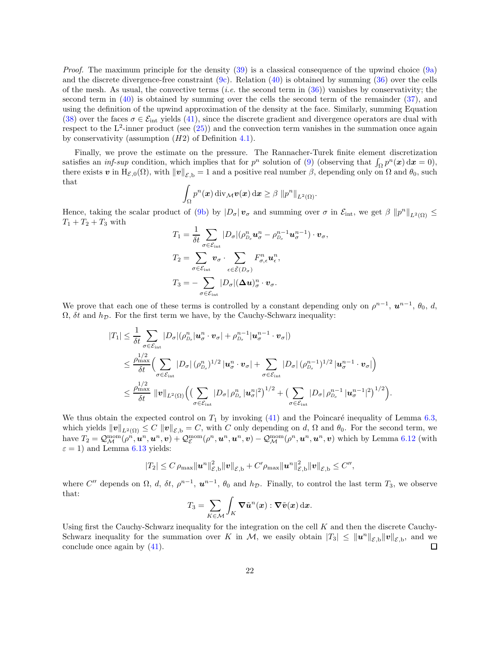*Proof.* The maximum principle for the density  $(39)$  is a classical consequence of the upwind choice  $(9a)$ and the discrete divergence-free constraint  $(9c)$ . Relation  $(40)$  is obtained by summing  $(36)$  over the cells of the mesh. As usual, the convective terms (*i.e.* the second term in  $(36)$ ) vanishes by conservativity; the second term in [\(40\)](#page-20-2) is obtained by summing over the cells the second term of the remainder [\(37\)](#page-19-5), and using the definition of the upwind approximation of the density at the face. Similarly, summing Equation [\(38\)](#page-19-6) over the faces  $\sigma \in \mathcal{E}_{int}$  yields [\(41\)](#page-20-3), since the discrete gradient and divergence operators are dual with respect to the  $L^2$ -inner product (see  $(25)$ ) and the convection term vanishes in the summation once again by conservativity (assumption  $(H2)$  of Definition [4.1\)](#page-7-1).

Finally, we prove the estimate on the pressure. The Rannacher-Turek finite element discretization satisfies an *inf-sup* condition, which implies that for  $p^n$  solution of [\(9\)](#page-5-4) (observing that  $\int_{\Omega} p^n(\mathbf{x}) d\mathbf{x} = 0$ ), there exists v in H<sub>E,0</sub>( $\Omega$ ), with  $\|\mathbf{v}\|_{\mathcal{E},\mathbf{b}} = 1$  and a positive real number  $\beta$ , depending only on  $\Omega$  and  $\theta_0$ , such that

$$
\int_{\Omega}p^{n}(\boldsymbol{x})\operatorname{div}_{\mathcal{M}}\boldsymbol{v}(\boldsymbol{x})\operatorname{d}\!\boldsymbol{x}\geq \beta\;\|p^{n}\|_{L^{2}(\Omega)}.
$$

Hence, taking the scalar product of [\(9b\)](#page-5-2) by  $|D_{\sigma}| \mathbf{v}_{\sigma}$  and summing over  $\sigma$  in  $\mathcal{E}_{\text{int}}$ , we get  $\beta \|p^{n}\|_{L^{2}(\Omega)} \leq$  $T_1 + T_2 + T_3$  with

$$
T_1 = \frac{1}{\delta t} \sum_{\sigma \in \mathcal{E}_{\text{int}}} |D_{\sigma}| (\rho_{D_{\sigma}}^n \mathbf{u}_{\sigma}^n - \rho_{D_{\sigma}}^{n-1} \mathbf{u}_{\sigma}^{n-1}) \cdot \mathbf{v}_{\sigma},
$$
  
\n
$$
T_2 = \sum_{\sigma \in \mathcal{E}_{\text{int}}} \mathbf{v}_{\sigma} \cdot \sum_{\epsilon \in \tilde{\mathcal{E}}(D_{\sigma})} F_{\sigma,\epsilon}^n \mathbf{u}_{\epsilon}^n,
$$
  
\n
$$
T_3 = - \sum_{\sigma \in \mathcal{E}_{\text{int}}} |D_{\sigma}| (\Delta \mathbf{u})_{\sigma}^n \cdot \mathbf{v}_{\sigma}.
$$

We prove that each one of these terms is controlled by a constant depending only on  $\rho^{n-1}$ ,  $\mathbf{u}^{n-1}$ ,  $\theta_0$ , d,  $\Omega$ ,  $\delta t$  and  $h_{\mathcal{D}}$ . For the first term we have, by the Cauchy-Schwarz inequality:

$$
|T_1| \leq \frac{1}{\delta t} \sum_{\sigma \in \mathcal{E}_{\text{int}}} |D_{\sigma}| (\rho_{D_{\sigma}}^n | \mathbf{u}_{\sigma}^n \cdot \mathbf{v}_{\sigma}| + \rho_{D_{\sigma}}^{n-1} | \mathbf{u}_{\sigma}^{n-1} \cdot \mathbf{v}_{\sigma}|)
$$
  
\n
$$
\leq \frac{\rho_{\text{max}}^{1/2}}{\delta t} \Big( \sum_{\sigma \in \mathcal{E}_{\text{int}}} |D_{\sigma}| (\rho_{D_{\sigma}}^n)^{1/2} |\mathbf{u}_{\sigma}^n \cdot \mathbf{v}_{\sigma}| + \sum_{\sigma \in \mathcal{E}_{\text{int}}} |D_{\sigma}| (\rho_{D_{\sigma}}^{n-1})^{1/2} |\mathbf{u}_{\sigma}^{n-1} \cdot \mathbf{v}_{\sigma}| \Big)
$$
  
\n
$$
\leq \frac{\rho_{\text{max}}^{1/2}}{\delta t} ||\mathbf{v}||_{L^2(\Omega)} \Big( \Big( \sum_{\sigma \in \mathcal{E}_{\text{int}}} |D_{\sigma}| \rho_{D_{\sigma}}^n | \mathbf{u}_{\sigma}^n |^2 \Big)^{1/2} + \Big( \sum_{\sigma \in \mathcal{E}_{\text{int}}} |D_{\sigma}| \rho_{D_{\sigma}}^{n-1} | \mathbf{u}_{\sigma}^{n-1} |^2 \Big)^{1/2} \Big).
$$

We thus obtain the expected control on  $T_1$  by invoking [\(41\)](#page-20-3) and the Poincaré inequality of Lemma [6.3,](#page-12-0) which yields  $\|\boldsymbol{v}\|_{L^2(\Omega)} \leq C \|\boldsymbol{v}\|_{\mathcal{E},\mathbf{b}} = C$ , with C only depending on d,  $\Omega$  and  $\theta_0$ . For the second term, we have  $T_2 = \mathcal{Q}_{\mathcal{M}}^{\text{mom}}(\rho^n, \hat{\boldsymbol{u}}^n, \boldsymbol{u}^n, \boldsymbol{v}) + \mathcal{Q}_{\mathcal{E}}^{\text{mom}}(\rho^n, \boldsymbol{u}^n, \boldsymbol{u}^n, \boldsymbol{v}) - \mathcal{Q}_{\mathcal{M}}^{\text{mom}}(\rho^n, \boldsymbol{u}^n, \boldsymbol{u}^n, \boldsymbol{v})$  which by Lemma [6.12](#page-16-0) (with  $\varepsilon = 1$ ) and Lemma [6.13](#page-18-1) yields:

$$
|T_2| \leq C \rho_{\max} ||\boldsymbol{u}^n||_{\mathcal{E},\mathbf{b}}^2 ||\boldsymbol{v}||_{\mathcal{E},\mathbf{b}} + C' \rho_{\max} ||\boldsymbol{u}^n||_{\mathcal{E},\mathbf{b}}^2 ||\boldsymbol{v}||_{\mathcal{E},\mathbf{b}} \leq C'',
$$

where  $C''$  depends on  $\Omega$ , d,  $\delta t$ ,  $\rho^{n-1}$ ,  $u^{n-1}$ ,  $\theta_0$  and  $h_{\mathcal{D}}$ . Finally, to control the last term  $T_3$ , we observe that:

$$
T_3 = \sum_{K \in \mathcal{M}} \int_K \nabla \tilde{u}^n(\boldsymbol{x}) : \nabla \tilde{v}(\boldsymbol{x}) \, \mathrm{d}\boldsymbol{x}.
$$

Using first the Cauchy-Schwarz inequality for the integration on the cell  $K$  and then the discrete Cauchy-Schwarz inequality for the summation over K in M, we easily obtain  $|T_3| \leq ||u^n||_{\mathcal{E},b} ||v||_{\mathcal{E},b}$ , and we conclude once again by [\(41\)](#page-20-3). □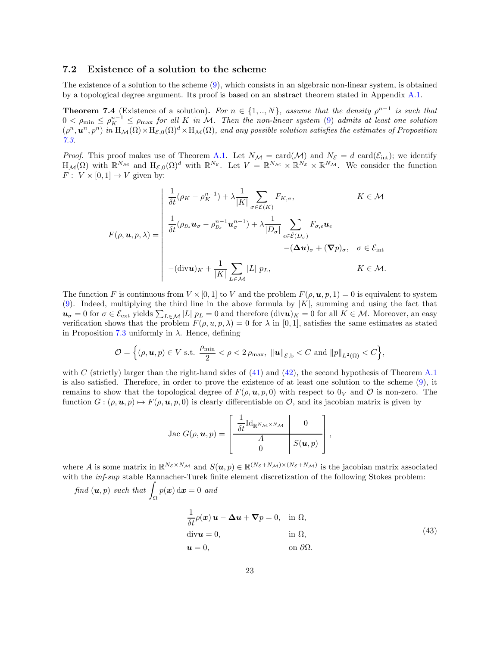### <span id="page-22-0"></span>7.2 Existence of a solution to the scheme

The existence of a solution to the scheme [\(9\)](#page-5-4), which consists in an algebraic non-linear system, is obtained by a topological degree argument. Its proof is based on an abstract theorem stated in Appendix [A.1.](#page-43-0)

**Theorem 7.4** (Existence of a solution). For  $n \in \{1,..,N\}$ , assume that the density  $\rho^{n-1}$  is such that  $0<\rho_{\min}\leq\rho_K^{n-1}\leq\rho_{\max}$  for all K in M. Then the non-linear system [\(9\)](#page-5-4) admits at least one solution  $(\rho^n, \mathbf{u}^n, p^n)$  in  $H_M(\Omega) \times H_{\mathcal{E},0}(\Omega)^d \times H_M(\Omega)$ , and any possible solution satisfies the estimates of Proposition [7.3.](#page-20-4)

*Proof.* This proof makes use of Theorem [A.1.](#page-43-0) Let  $N_{\mathcal{M}} = \text{card}(\mathcal{M})$  and  $N_{\mathcal{E}} = d \text{ card}(\mathcal{E}_{\text{int}})$ ; we identify  $H_{\mathcal{M}}(\Omega)$  with  $\mathbb{R}^{N_{\mathcal{M}}}$  and  $H_{\mathcal{E},0}(\Omega)^d$  with  $\mathbb{R}^{N_{\mathcal{E}}}$ . Let  $V = \mathbb{R}^{N_{\mathcal{M}}} \times \mathbb{R}^{N_{\mathcal{E}}} \times \mathbb{R}^{N_{\mathcal{M}}}$ . We consider the function  $F: V \times [0,1] \rightarrow V$  given by:

$$
F(\rho, \mathbf{u}, p, \lambda) = \begin{vmatrix} \frac{1}{\delta t} (\rho_K - \rho_K^{n-1}) + \lambda \frac{1}{|K|} \sum_{\sigma \in \mathcal{E}(K)} F_{K, \sigma}, & K \in \mathcal{M} \\ \frac{1}{\delta t} (\rho_{D_{\sigma}} \mathbf{u}_{\sigma} - \rho_{D_{\sigma}}^{n-1} \mathbf{u}_{\sigma}^{n-1}) + \lambda \frac{1}{|D_{\sigma}|} \sum_{\epsilon \in \tilde{\mathcal{E}}(D_{\sigma})} F_{\sigma, \epsilon} \mathbf{u}_{\epsilon} \\ -(\Delta \mathbf{u})_{\sigma} + (\nabla p)_{\sigma}, & \sigma \in \mathcal{E}_{\text{int}} \\ -(\text{div}\mathbf{u})_K + \frac{1}{|K|} \sum_{L \in \mathcal{M}} |L| \ p_L, & K \in \mathcal{M}. \end{vmatrix}
$$

The function F is continuous from  $V \times [0, 1]$  to V and the problem  $F(\rho, \mathbf{u}, p, 1) = 0$  is equivalent to system [\(9\)](#page-5-4). Indeed, multiplying the third line in the above formula by  $|K|$ , summing and using the fact that  $u_{\sigma} = 0$  for  $\sigma \in \mathcal{E}_{ext}$  yields  $\sum_{L \in \mathcal{M}} |L|$   $p_L = 0$  and therefore  $(\text{div} \boldsymbol{u})_K = 0$  for all  $K \in \mathcal{M}$ . Moreover, an easy verification shows that the problem  $F(\rho, u, p, \lambda) = 0$  for  $\lambda$  in [0, 1], satisfies the same estimates as stated in Proposition [7.3](#page-20-4) uniformly in  $\lambda$ . Hence, defining

$$
\mathcal{O} = \Big\{(\rho, \boldsymbol{u}, p) \in V \text{ s.t. } \frac{\rho_{\min}}{2} < \rho < 2 \, \rho_{\max}, \, \left\|\boldsymbol{u}\right\|_{\mathcal{E},\mathrm{b}} < C \text{ and } \left\|p\right\|_{L^2(\Omega)} < C\Big\},\
$$

with C (strictly) larger than the right-hand sides of  $(41)$  and  $(42)$ , the second hypothesis of Theorem [A.1](#page-43-0) is also satisfied. Therefore, in order to prove the existence of at least one solution to the scheme [\(9\)](#page-5-4), it remains to show that the topological degree of  $F(\rho, \mathbf{u}, p, 0)$  with respect to  $0_V$  and  $\mathcal O$  is non-zero. The function  $G : (\rho, \mathbf{u}, p) \mapsto F(\rho, \mathbf{u}, p, 0)$  is clearly differentiable on  $\mathcal{O}$ , and its jacobian matrix is given by

Jac 
$$
G(\rho, \mathbf{u}, p) = \begin{bmatrix} \frac{1}{\delta t} \mathrm{Id}_{\mathbb{R}^{N_{\mathcal{M}} \times N_{\mathcal{M}}}} & 0 \\ \frac{A}{0} & S(\mathbf{u}, p) \end{bmatrix}
$$
,

where A is some matrix in  $\mathbb{R}^{N_{\mathcal{E}} \times N_{\mathcal{M}}}$  and  $S(u, p) \in \mathbb{R}^{(N_{\mathcal{E}}+N_{\mathcal{M}}) \times (N_{\mathcal{E}}+N_{\mathcal{M}})}$  is the jacobian matrix associated with the inf-sup stable Rannacher-Turek finite element discretization of the following Stokes problem:

find  $(\boldsymbol{u}, p)$  such that Ω  $p(x) dx = 0$  and  $\frac{1}{\delta t}\rho(\boldsymbol{x})\,\boldsymbol{u} - \boldsymbol{\Delta u} + \boldsymbol{\nabla}p = 0$ , in  $\Omega$ ,

<span id="page-22-1"></span>
$$
\begin{aligned}\n\frac{\partial t}{\partial t} &= 0, & \text{in } \Omega, \\
\mathbf{u} &= 0, & \text{on } \partial \Omega.\n\end{aligned}\n\tag{43}
$$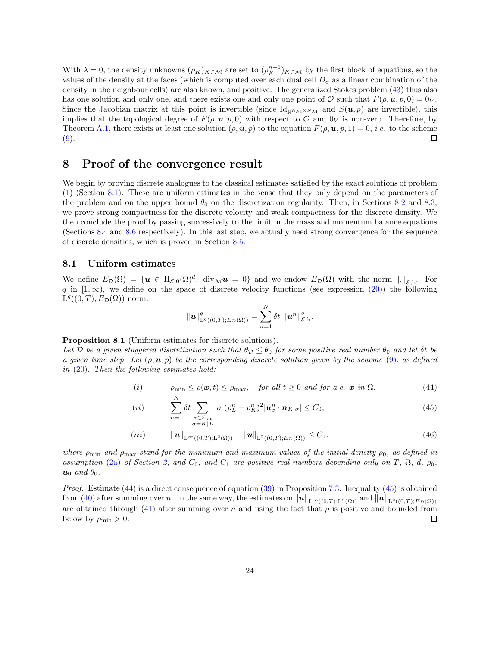With  $\lambda = 0$ , the density unknowns  $(\rho_K)_{K \in \mathcal{M}}$  are set to  $(\rho_K^{n-1})_{K \in \mathcal{M}}$  by the first block of equations, so the values of the density at the faces (which is computed over each dual cell  $D_{\sigma}$  as a linear combination of the density in the neighbour cells) are also known, and positive. The generalized Stokes problem [\(43\)](#page-22-1) thus also has one solution and only one, and there exists one and only one point of O such that  $F(\rho, \mathbf{u}, p, 0) = 0_V$ . Since the Jacobian matrix at this point is invertible (since  $\mathrm{Id}_{\mathbb{R}^N M \times N_M}$  and  $S(u, p)$  are invertible), this implies that the topological degree of  $F(\rho, \mathbf{u}, p, 0)$  with respect to  $\mathcal{O}$  and  $0_V$  is non-zero. Therefore, by Theorem [A.1,](#page-43-0) there exists at least one solution  $(\rho, \mathbf{u}, p)$  to the equation  $F(\rho, \mathbf{u}, p, 1) = 0$ , *i.e.* to the scheme  $(9).$  $(9).$ □

### <span id="page-23-0"></span>8 Proof of the convergence result

We begin by proving discrete analogues to the classical estimates satisfied by the exact solutions of problem [\(1\)](#page-2-4) (Section [8.1\)](#page-23-1). These are uniform estimates in the sense that they only depend on the parameters of the problem and on the upper bound  $\theta_0$  on the discretization regularity. Then, in Sections [8.2](#page-24-0) and [8.3,](#page-28-0) we prove strong compactness for the discrete velocity and weak compactness for the discrete density. We then conclude the proof by passing successively to the limit in the mass and momentum balance equations (Sections [8.4](#page-29-0) and [8.6](#page-34-0) respectively). In this last step, we actually need strong convergence for the sequence of discrete densities, which is proved in Section [8.5.](#page-33-0)

#### <span id="page-23-1"></span>8.1 Uniform estimates

We define  $E_{\mathcal{D}}(\Omega) = \{u \in H_{\mathcal{E},0}(\Omega)^d, \text{ div}_{\mathcal{M}}u = 0\}$  and we endow  $E_{\mathcal{D}}(\Omega)$  with the norm  $||.||_{\mathcal{E},\text{b}}$ . For q in  $[1, \infty)$ , we define on the space of discrete velocity functions (see expression [\(20\)](#page-9-0)) the following  $L^q((0,T);E_{\mathcal{D}}(\Omega))$  norm:

$$
\|\mathbf{u}\|_{\mathbf{L}^{q}((0,T);E_{\mathcal{D}}(\Omega))}^{q}=\sum_{n=1}^{N}\delta t\;\|\mathbf{u}^{n}\|_{\mathcal{E},\mathbf{b}}^{q}.
$$

Proposition 8.1 (Uniform estimates for discrete solutions).

Let D be a given staggered discretization such that  $\theta_{\mathcal{D}} \leq \theta_0$  for some positive real number  $\theta_0$  and let  $\delta t$  be a given time step. Let  $(\rho, \mathbf{u}, p)$  be the corresponding discrete solution given by the scheme [\(9\)](#page-5-4), as defined in  $(20)$ . Then the following estimates hold:

<span id="page-23-2"></span>(i) 
$$
\rho_{\min} \le \rho(\boldsymbol{x}, t) \le \rho_{\max}, \text{ for all } t \ge 0 \text{ and for a.e. } \boldsymbol{x} \text{ in } \Omega,
$$
 (44)

$$
(ii) \qquad \sum_{n=1}^{N} \delta t \sum_{\substack{\sigma \in \mathcal{E}_{\text{int}} \\ \sigma = K|L}} |\sigma| (\rho_L^n - \rho_K^n)^2 |u_\sigma^n \cdot \mathbf{n}_{K,\sigma}| \le C_0, \tag{45}
$$

$$
(iii) \t\t ||\boldsymbol{u}\|_{\mathcal{L}^{\infty}((0,T); \mathcal{L}^{2}(\Omega))} + \|\boldsymbol{u}\|_{\mathcal{L}^{2}((0,T); E_{\mathcal{D}}(\Omega))} \leq C_{1}.
$$
\t(46)

where  $\rho_{\min}$  and  $\rho_{\max}$  stand for the minimum and maximum values of the initial density  $\rho_0$ , as defined in assumption [\(2a\)](#page-2-5) of Section [2,](#page-2-0) and  $C_0$ , and  $C_1$  are positive real numbers depending only on T,  $\Omega$ , d,  $\rho_0$ ,  $u_0$  and  $\theta_0$ .

Proof. Estimate [\(44\)](#page-23-2) is a direct consequence of equation [\(39\)](#page-20-1) in Proposition [7.3.](#page-20-4) Inequality [\(45\)](#page-23-2) is obtained from [\(40\)](#page-20-2) after summing over n. In the same way, the estimates on  $\|\mathbf{u}\|_{\mathbf{L}^{\infty}((0,T);\mathbf{L}^2(\Omega))}$  and  $\|\mathbf{u}\|_{\mathbf{L}^2((0,T);E_{\mathcal{D}}(\Omega))}$ are obtained through [\(41\)](#page-20-3) after summing over n and using the fact that  $\rho$  is positive and bounded from below by  $\rho_{\min} > 0$ .  $\Box$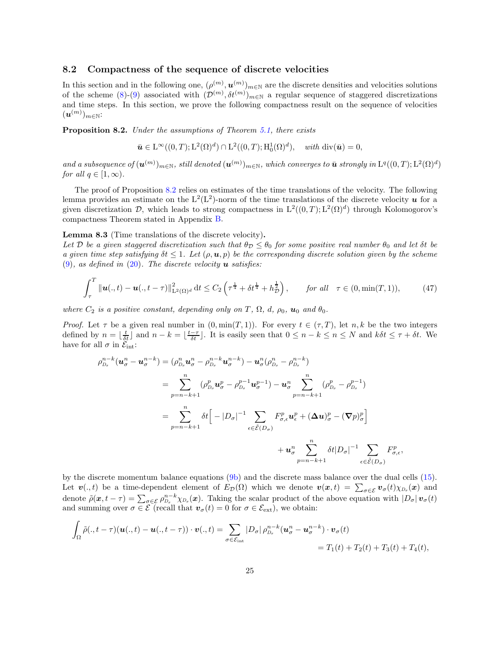### <span id="page-24-0"></span>8.2 Compactness of the sequence of discrete velocities

In this section and in the following one,  $(\rho^{(m)}, \mathbf{u}^{(m)})_{m \in \mathbb{N}}$  are the discrete densities and velocities solutions of the scheme  $(8)-(9)$  $(8)-(9)$  associated with  $(\mathcal{D}^{(m)}, \delta t^{(m)})_{m\in\mathbb{N}}$  a regular sequence of staggered discretizations and time steps. In this section, we prove the following compactness result on the sequence of velocities  $(\boldsymbol{u}^{(m)})_{m\in\mathbb{N}}$ :

<span id="page-24-1"></span>Proposition 8.2. Under the assumptions of Theorem [5.1,](#page-9-2) there exists

<span id="page-24-2"></span>
$$
\bar{\boldsymbol{u}} \in \mathcal{L}^{\infty}((0,T);\mathcal{L}^2(\Omega)^d) \cap \mathcal{L}^2((0,T);\mathcal{H}^1_0(\Omega)^d), \quad \text{with } \text{div}(\bar{\boldsymbol{u}}) = 0,
$$

and a subsequence of  $(\bm{u}^{(m)})_{m\in\mathbb{N}}$ , still denoted  $(\bm{u}^{(m)})_{m\in\mathbb{N}}$ , which converges to  $\bar{\bm{u}}$  strongly in  $\mathrm{L}^q((0,T);\mathrm{L}^2(\Omega)^d)$ for all  $q \in [1,\infty)$ .

The proof of Proposition [8.2](#page-24-1) relies on estimates of the time translations of the velocity. The following lemma provides an estimate on the  $L^2(L^2)$ -norm of the time translations of the discrete velocity  $u$  for a given discretization  $\mathcal{D}$ , which leads to strong compactness in  $L^2((0,T);L^2(\Omega)^d)$  through Kolomogorov's compactness Theorem stated in Appendix [B.](#page-43-1)

<span id="page-24-3"></span>Lemma 8.3 (Time translations of the discrete velocity).

Let D be a given staggered discretization such that  $\theta_{\mathcal{D}} \leq \theta_0$  for some positive real number  $\theta_0$  and let  $\delta t$  be a given time step satisfying  $\delta t \leq 1$ . Let  $(\rho, \mathbf{u}, p)$  be the corresponding discrete solution given by the scheme  $(9)$ , as defined in  $(20)$ . The discrete velocity **u** satisfies:

$$
\int_{\tau}^{T} \|\mathbf{u}(.,t) - \mathbf{u}(.,t-\tau)\|_{\mathcal{L}^{2}(\Omega)^{d}}^{2} \, \mathrm{d}t \leq C_{2} \left( \tau^{\frac{1}{4}} + \delta t^{\frac{1}{4}} + h_{\mathcal{D}}^{\frac{1}{2}} \right), \qquad \text{for all} \quad \tau \in (0,\min(T,1)), \tag{47}
$$

where  $C_2$  is a positive constant, depending only on T,  $\Omega$ , d,  $\rho_0$ ,  $\mathbf{u}_0$  and  $\theta_0$ .

*Proof.* Let  $\tau$  be a given real number in  $(0, \min(T, 1))$ . For every  $t \in (\tau, T)$ , let  $n, k$  be the two integers defined by  $n = \lfloor \frac{t}{\delta t} \rfloor$  and  $n - k = \lfloor \frac{t - \tau}{\delta t} \rfloor$ . It is easily seen that  $0 \le n - k \le n \le N$  and  $k \delta t \le \tau + \delta t$ . We have for all  $\sigma$  in  $\mathcal{E}_{\text{int}}$ :

$$
\rho_{D_{\sigma}}^{n-k}(\boldsymbol{u}_{\sigma}^{n}-\boldsymbol{u}_{\sigma}^{n-k}) = (\rho_{D_{\sigma}}^{n}\boldsymbol{u}_{\sigma}^{n}-\rho_{D_{\sigma}}^{n-k}\boldsymbol{u}_{\sigma}^{n-k}) - \boldsymbol{u}_{\sigma}^{n}(\rho_{D_{\sigma}}^{n}-\rho_{D_{\sigma}}^{n-k})
$$
\n
$$
= \sum_{p=n-k+1}^{n} (\rho_{D_{\sigma}}^{p}\boldsymbol{u}_{\sigma}^{p}-\rho_{D_{\sigma}}^{p-1}\boldsymbol{u}_{\sigma}^{p-1}) - \boldsymbol{u}_{\sigma}^{n} \sum_{p=n-k+1}^{n} (\rho_{D_{\sigma}}^{p}-\rho_{D_{\sigma}}^{p-1})
$$
\n
$$
= \sum_{p=n-k+1}^{n} \delta t \Big[ -|D_{\sigma}|^{-1} \sum_{\epsilon \in \tilde{\mathcal{E}}(D_{\sigma})} F_{\sigma,\epsilon}^{p}\boldsymbol{u}_{\epsilon}^{p} + (\Delta \boldsymbol{u})_{\sigma}^{p} - (\nabla p)_{\sigma}^{p} \Big]
$$
\n
$$
+ \boldsymbol{u}_{\sigma}^{n} \sum_{p=n-k+1}^{n} \delta t |D_{\sigma}|^{-1} \sum_{\epsilon \in \tilde{\mathcal{E}}(D_{\sigma})} F_{\sigma,\epsilon}^{p},
$$

by the discrete momentum balance equations [\(9b\)](#page-5-2) and the discrete mass balance over the dual cells [\(15\)](#page-7-5). Let  $\mathbf{v}(.,t)$  be a time-dependent element of  $E_{\mathcal{D}}(\Omega)$  which we denote  $\mathbf{v}(\boldsymbol{x},t) = \sum_{\sigma \in \mathcal{E}} \mathbf{v}_{\sigma}(t) \chi_{D_{\sigma}}(\boldsymbol{x})$  and denote  $\tilde{\rho}(\boldsymbol{x}, t - \tau) = \sum_{\sigma \in \mathcal{E}} \rho_{D_{\sigma}}^{n-k} \chi_{D_{\sigma}}(\boldsymbol{x})$ . Taking the scalar product of the above equation with  $|D_{\sigma}| \boldsymbol{v}_{\sigma}(t)$ and summing over  $\sigma \in \mathcal{E}$  (recall that  $\mathbf{v}_{\sigma}(t) = 0$  for  $\sigma \in \mathcal{E}_{\text{ext}}$ ), we obtain:

$$
\int_{\Omega} \tilde{\rho}(\cdot, t - \tau) (\boldsymbol{u}(\cdot, t) - \boldsymbol{u}(\cdot, t - \tau)) \cdot \boldsymbol{v}(\cdot, t) = \sum_{\sigma \in \mathcal{E}_{int}} |D_{\sigma}| \rho_{D_{\sigma}}^{n-k} (\boldsymbol{u}_{\sigma}^{n} - \boldsymbol{u}_{\sigma}^{n-k}) \cdot \boldsymbol{v}_{\sigma}(t)
$$
\n
$$
= T_1(t) + T_2(t) + T_3(t) + T_4(t),
$$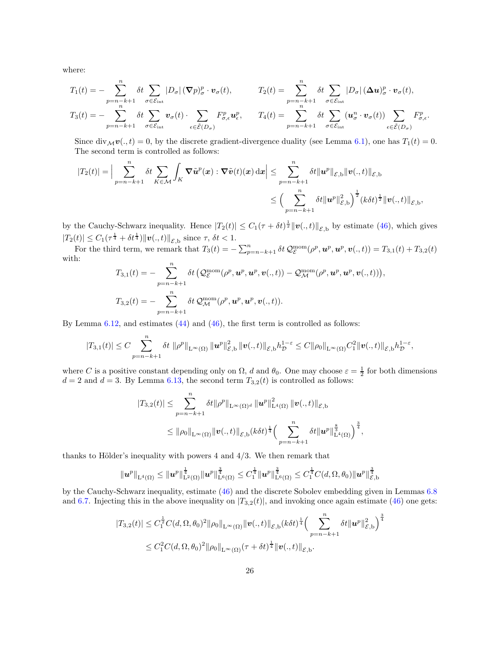where:

$$
T_1(t) = -\sum_{p=n-k+1}^n \delta t \sum_{\sigma \in \mathcal{E}_{\text{int}}} |D_{\sigma}| (\nabla p)_{\sigma}^p \cdot \mathbf{v}_{\sigma}(t), \qquad T_2(t) = \sum_{p=n-k+1}^n \delta t \sum_{\sigma \in \mathcal{E}_{\text{int}}} |D_{\sigma}| (\Delta u)_{\sigma}^p \cdot \mathbf{v}_{\sigma}(t),
$$
  

$$
T_3(t) = -\sum_{p=n-k+1}^n \delta t \sum_{\sigma \in \mathcal{E}_{\text{int}}} \mathbf{v}_{\sigma}(t) \cdot \sum_{\epsilon \in \tilde{\mathcal{E}}(D_{\sigma})} F_{\sigma,\epsilon}^p \mathbf{u}_{\epsilon}^p, \qquad T_4(t) = \sum_{p=n-k+1}^n \delta t \sum_{\sigma \in \mathcal{E}_{\text{int}}} (\mathbf{u}_{\sigma}^n \cdot \mathbf{v}_{\sigma}(t)) \sum_{\epsilon \in \tilde{\mathcal{E}}(D_{\sigma})} F_{\sigma,\epsilon}^p.
$$

Since div $\mathcal{M}v(., t) = 0$ , by the discrete gradient-divergence duality (see Lemma [6.1\)](#page-10-5), one has  $T_1(t) = 0$ . The second term is controlled as follows:

$$
|T_2(t)| = \Big| \sum_{p=n-k+1}^n \delta t \sum_{K \in \mathcal{M}} \int_K \nabla \tilde{u}^p(x) : \nabla \tilde{v}(t)(x) dx \Big| \leq \sum_{p=n-k+1}^n \delta t \|u^p\|_{\mathcal{E},\mathbf{b}} \|v(.,t)\|_{\mathcal{E},\mathbf{b}} \leq \Big( \sum_{p=n-k+1}^n \delta t \|u^p\|_{\mathcal{E},\mathbf{b}}^2 \Big)^{\frac{1}{2}} (k \delta t)^{\frac{1}{2}} \|v(.,t)\|_{\mathcal{E},\mathbf{b}},
$$

by the Cauchy-Schwarz inequality. Hence  $|T_2(t)| \leq C_1(\tau + \delta t)^{\frac{1}{2}} ||\boldsymbol{v}(.,t)||_{\mathcal{E},\mathbf{b}}$  by estimate [\(46\)](#page-23-2), which gives  $|T_2(t)| \leq C_1(\tau^{\frac{1}{4}} + \delta t^{\frac{1}{4}}) ||\boldsymbol{v}(., t)||_{\mathcal{E}, \mathbf{b}} \text{ since } \tau, \delta t < 1.$ 

For the third term, we remark that  $T_3(t) = -\sum_{p=n-k+1}^n \delta t \mathcal{Q}_{\mathcal{E}}^{\text{mom}}(\rho^p, \mathbf{u}^p, \mathbf{u}^p, \mathbf{v}(., t)) = T_{3,1}(t) + T_{3,2}(t)$ with:

$$
T_{3,1}(t) = -\sum_{p=n-k+1}^{n} \delta t \left( \mathcal{Q}_{\mathcal{E}}^{\text{mom}}(\rho^p, \mathbf{u}^p, \mathbf{u}^p, \mathbf{v}(.,t)) - \mathcal{Q}_{\mathcal{M}}^{\text{mom}}(\rho^p, \mathbf{u}^p, \mathbf{u}^p, \mathbf{v}(.,t)) \right),
$$
  

$$
T_{3,2}(t) = -\sum_{p=n-k+1}^{n} \delta t \mathcal{Q}_{\mathcal{M}}^{\text{mom}}(\rho^p, \mathbf{u}^p, \mathbf{u}^p, \mathbf{v}(.,t)).
$$

By Lemma [6.12,](#page-16-0) and estimates [\(44\)](#page-23-2) and [\(46\)](#page-23-2), the first term is controlled as follows:

$$
|T_{3,1}(t)| \leq C \sum_{p=n-k+1}^n \delta t \, \|\rho^p\|_{\mathcal{L}^\infty(\Omega)} \, \|u^p\|_{\mathcal{E},\mathbf{b}}^2 \, \|v(.,t)\|_{\mathcal{E},\mathbf{b}} h_{\mathcal{D}}^{1-\varepsilon} \leq C \|\rho_0\|_{\mathcal{L}^\infty(\Omega)} C_1^2 \|v(.,t)\|_{\mathcal{E},\mathbf{b}} h_{\mathcal{D}}^{1-\varepsilon},
$$

where C is a positive constant depending only on  $\Omega$ , d and  $\theta_0$ . One may choose  $\varepsilon = \frac{1}{2}$  for both dimensions  $d = 2$  and  $d = 3$ . By Lemma [6.13,](#page-18-1) the second term  $T_{3,2}(t)$  is controlled as follows:

$$
|T_{3,2}(t)| \leq \sum_{p=n-k+1}^{n} \delta t ||\rho^p||_{\mathcal{L}^{\infty}(\Omega)^d} ||u^p||_{\mathcal{L}^4(\Omega)}^2 ||v(.,t)||_{\mathcal{E},\mathbf{b}} \leq ||\rho_0||_{\mathcal{L}^{\infty}(\Omega)} ||v(.,t)||_{\mathcal{E},\mathbf{b}} (k\delta t)^{\frac{1}{4}} \Big(\sum_{p=n-k+1}^{n} \delta t ||u^p||_{\mathcal{L}^4(\Omega)}^{\frac{8}{3}}\Big)^{\frac{3}{4}},
$$

thanks to Hölder's inequality with powers  $4$  and  $4/3$ . We then remark that

$$
\|\bm{u}^p\|_{\mathrm{L}^4(\Omega)} \le \|\bm{u}^p\|_{\mathrm{L}^2(\Omega)}^{\frac{1}{4}} \|\bm{u}^p\|_{\mathrm{L}^6(\Omega)}^{\frac{3}{4}} \le C_1^{\frac{1}{4}} \|\bm{u}^p\|_{\mathrm{L}^6(\Omega)}^{\frac{3}{4}} \le C_1^{\frac{1}{4}} C(d,\Omega,\theta_0) \|\bm{u}^p\|_{\mathcal{E},\mathrm{b}}^{\frac{3}{4}}
$$

by the Cauchy-Schwarz inequality, estimate [\(46\)](#page-23-2) and the discrete Sobolev embedding given in Lemmas [6.8](#page-13-1) and [6.7.](#page-13-0) Injecting this in the above inequality on  $|T_{3,2}(t)|$ , and invoking once again estimate [\(46\)](#page-23-2) one gets:

$$
|T_{3,2}(t)| \leq C_1^{\frac{1}{2}} C(d,\Omega,\theta_0)^2 \|\rho_0\|_{\mathcal{L}^\infty(\Omega)} \|v(.,t)\|_{\mathcal{E},b} (k\delta t)^{\frac{1}{4}} \Big(\sum_{p=n-k+1}^n \delta t \|u^p\|_{\mathcal{E},b}^2\Big)^{\frac{3}{4}}
$$
  

$$
\leq C_1^2 C(d,\Omega,\theta_0)^2 \|\rho_0\|_{\mathcal{L}^\infty(\Omega)} (\tau+\delta t)^{\frac{1}{4}} \|v(.,t)\|_{\mathcal{E},b}.
$$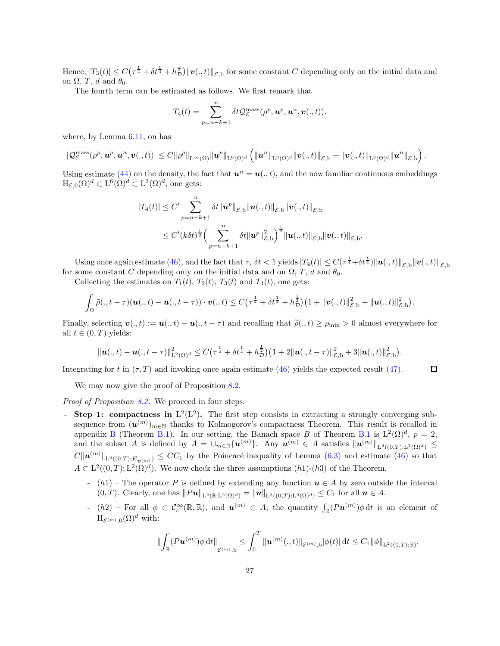Hence,  $|T_3(t)| \leq C(\tau^{\frac{1}{4}} + \delta t^{\frac{1}{4}} + h^{\frac{1}{2}}) ||\mathbf{v}(.,t)||_{\mathcal{E},\mathrm{b}}$  for some constant C depending only on the initial data and on  $\Omega$ , T, d and  $\theta_0$ .

The fourth term can be estimated as follows. We first remark that

$$
T_4(t) = \sum_{p=n-k+1}^n \delta t \mathcal{Q}_{\mathcal{E}}^{\text{mass}}(\rho^p, \mathbf{u}^p, \mathbf{u}^n, \mathbf{v}(., t)).
$$

where, by Lemma [6.11,](#page-14-0) on has

$$
|\mathcal{Q}^{\mathrm{mass}}_{\mathcal{E}}(\rho^p, \bm{u}^p, \bm{u}^n, \bm{v}(.,t))| \leq C \|\rho^p\|_{\mathrm{L}^{\infty}(\Omega)} \|\bm{u}^p\|_{\mathrm{L}^{6}(\Omega)^d} \left( \|\bm{u}^n\|_{\mathrm{L}^{3}(\Omega)^d} \|\bm{v}(.,t)\|_{\mathcal{E},\mathrm{b}} + \|\bm{v}(.,t)\|_{\mathrm{L}^{3}(\Omega)^d} \|\bm{u}^n\|_{\mathcal{E},\mathrm{b}} \right).
$$

Using estimate [\(44\)](#page-23-2) on the density, the fact that  $u^n = u(., t)$ , and the now familiar continuous embeddings  $H_{\mathcal{E},0}(\Omega)^d \subset L^6(\Omega)^d \subset L^3(\Omega)^d$ , one gets:

$$
|T_4(t)| \leq C' \sum_{p=n-k+1}^n \delta t ||\mathbf{u}^p||_{\mathcal{E},\mathbf{b}} \|\mathbf{u}(.,t)||_{\mathcal{E},\mathbf{b}} \|\mathbf{v}(.,t)||_{\mathcal{E},\mathbf{b}} \leq C' (k\delta t)^{\frac{1}{2}} \Big(\sum_{p=n-k+1}^n \delta t ||\mathbf{u}^p||_{\mathcal{E},\mathbf{b}}^2\Big)^{\frac{1}{2}} \|\mathbf{u}(.,t)||_{\mathcal{E},\mathbf{b}} \|\mathbf{v}(.,t)||_{\mathcal{E},\mathbf{b}}.
$$

Using once again estimate [\(46\)](#page-23-2), and the fact that  $\tau$ ,  $\delta t < 1$  yields  $|T_4(t)| \leq C(\tau^{\frac{1}{4}} + \delta t^{\frac{1}{4}}) ||u(.,t)||_{\mathcal{E},\mathrm{b}} ||v(.,t)||_{\mathcal{E},\mathrm{b}}$ for some constant C depending only on the initial data and on  $\Omega$ , T, d and  $\theta_0$ .

Collecting the estimates on  $T_1(t)$ ,  $T_2(t)$ ,  $T_3(t)$  and  $T_4(t)$ , one gets:

$$
\int_{\Omega} \tilde{\rho}(.,t-\tau)(\boldsymbol{u}(.,t)-\boldsymbol{u}(.,t-\tau))\cdot \boldsymbol{v}(.,t) \leq C\big(\tau^{\frac{1}{4}}+\delta t^{\frac{1}{4}}+h_D^{\frac{1}{2}}\big)\big(1+\|\boldsymbol{v}(.,t)\|_{\mathcal{E},b}^2+\|\boldsymbol{u}(.,t)\|_{\mathcal{E},b}^2\big).
$$

Finally, selecting  $\mathbf{v}(.,t) := \mathbf{u}(.,t) - \mathbf{u}(.,t-\tau)$  and recalling that  $\tilde{\rho}(.,t) \ge \rho_{\min} > 0$  almost everywhere for all  $t \in (0, T)$  yields:

$$
\|\mathbf{u}(.,t)-\mathbf{u}(.,t-\tau)\|_{\mathbf{L}^2(\Omega)^d}^2 \leq C(\tau^{\frac{1}{4}}+\delta t^{\frac{1}{4}}+h_D^{\frac{1}{2}})(1+2\|\mathbf{u}(.,t-\tau)\|_{\mathcal{E},b}^2+3\|\mathbf{u}(.,t)\|_{\mathcal{E},b}^2).
$$

Integrating for t in  $(\tau, T)$  and invoking once again estimate [\(46\)](#page-23-2) yields the expected result [\(47\)](#page-24-2).

We may now give the proof of Proposition [8.2.](#page-24-1)

Proof of Proposition [8.2.](#page-24-1) We proceed in four steps.

- Step 1: compactness in  $L^2(L^2)$ . The first step consists in extracting a strongly converging subsequence from  $(u^{(m)})_{m\in\mathbb{N}}$  thanks to Kolmogorov's compactness Theorem. This result is recalled in appendix [B](#page-43-1) (Theorem [B.1\)](#page-43-2). In our setting, the Banach space B of Theorem [B.1](#page-43-2) is  $L^2(\Omega)^d$ ,  $p=2$ , and the subset A is defined by  $A = \bigcup_{m\in\mathbb{N}} \{u^{(m)}\}$ . Any  $u^{(m)} \in A$  satisfies  $||u^{(m)}||_{L^2((0,T);L^2(\Omega)^d)} \le$  $C\|\mathbf{u}^{(m)}\|_{\mathcal{L}^2((0,T);E_{\mathcal{D}^{(m)}})} \leq CC_1$  by the Poincaré inequality of Lemma [\(6.3\)](#page-12-0) and estimate [\(46\)](#page-23-2) so that  $A \subset L^2((0,T); L^2(\Omega)^d)$ . We now check the three assumptions  $(h1)$ - $(h3)$  of the Theorem.
	- (h1) The operator P is defined by extending any function  $u \in A$  by zero outside the interval  $(0, T)$ . Clearly, one has  $||Pu||_{L^2(\mathbb{R};L^2(\Omega)^d)} = ||u||_{L^2((0,T);L^2(\Omega)^d)} \leq C_1$  for all  $u \in A$ .
	- $(h2)$  For all  $\phi \in \mathcal{C}_c^{\infty}(\mathbb{R}, \mathbb{R})$ , and  $\mathbf{u}^{(m)} \in A$ , the quantity  $\int_{\mathbb{R}}(P\mathbf{u}^{(m)})\phi \,dt$  is an element of  ${\rm H}_{\mathcal{E}^{(m)},0}(\Omega)^d$  with:

$$
\|\int_{\mathbb{R}}(P\bm{u}^{(m)})\phi\,\mathrm{d} t\|_{\mathcal{E}^{(m)},\mathrm{b}}\leq \int_0^T\|\bm{u}^{(m)}(.,t)\|_{\mathcal{E}^{(m)},\mathrm{b}}|\phi(t)|\,\mathrm{d} t\leq C_1\|\phi\|_{\mathrm{L}^2((0,T);\mathbb{R})},
$$

 $\Box$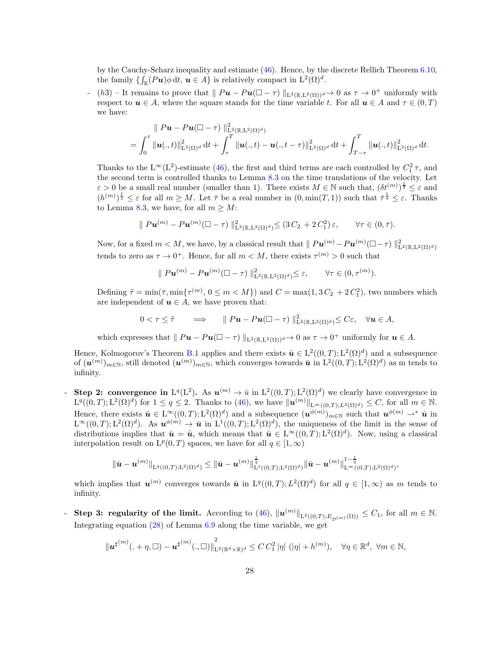by the Cauchy-Scharz inequality and estimate [\(46\)](#page-23-2). Hence, by the discrete Rellich Theorem [6.10,](#page-13-3) the family  $\{\int_{\mathbb{R}}(P\boldsymbol{u})\phi\,\mathrm{d}t, \, \boldsymbol{u} \in A\}$  is relatively compact in  $\mathcal{L}^2(\Omega)^d$ .

-  $(h3)$  – It remains to prove that  $\|Pu - Pu(\Box - \tau)\|_{L^2(\mathbb{R}, L^2(\Omega))^d} \to 0$  as  $\tau \to 0^+$  uniformly with respect to  $u \in A$ , where the square stands for the time variable t. For all  $u \in A$  and  $\tau \in (0, T)$ we have:

$$
\| P \mathbf{u} - P \mathbf{u} (\Box - \tau) \|_{\mathbf{L}^2(\mathbb{R},\mathbf{L}^2(\Omega)^d)}^2
$$
  
=  $\int_0^{\tau} \| \mathbf{u}(.,t) \|_{\mathbf{L}^2(\Omega)^d}^2 dt + \int_{\tau}^T \| \mathbf{u}(.,t) - \mathbf{u}(.,t-\tau) \|_{\mathbf{L}^2(\Omega)^d}^2 dt + \int_{T-\tau}^T \| \mathbf{u}(.,t) \|_{\mathbf{L}^2(\Omega)^d}^2 dt.$ 

Thanks to the L<sup>∞</sup>(L<sup>2</sup>)-estimate [\(46\)](#page-23-2), the first and third terms are each controlled by  $C_1^2 \tau$ , and the second term is controlled thanks to Lemma [8.3](#page-24-3) on the time translations of the velocity. Let  $\varepsilon > 0$  be a small real number (smaller than 1). There exists  $M \in \mathbb{N}$  such that,  $(\delta t^{(m)})^{\frac{1}{4}} \leq \varepsilon$  and  $(h^{(m)})^{\frac{1}{2}} \leq \varepsilon$  for all  $m \geq M$ . Let  $\overline{\tau}$  be a real number in  $(0, \min(T, 1))$  such that  $\overline{\tau}^{\frac{1}{4}} \leq \varepsilon$ . Thanks to Lemma [8.3,](#page-24-3) we have, for all  $m > M$ :

$$
\| P\mathbf{u}^{(m)} - P\mathbf{u}^{(m)}(\square - \tau) \|_{\mathbf{L}^2(\mathbb{R},\mathbf{L}^2(\Omega)^d)}^2 \leq (3C_2 + 2C_1^2)\varepsilon, \qquad \forall \tau \in (0,\bar{\tau}).
$$

Now, for a fixed  $m < M$ , we have, by a classical result that  $\| P u^{(m)} - P u^{(m)} (\Box - \tau) \|_{\text{L}^2(\mathbb{R},\text{L}^2(\Omega)^d)}^2$ tends to zero as  $\tau \to 0^+$ . Hence, for all  $m < M$ , there exists  $\tau^{(m)} > 0$  such that

$$
\| P\mathbf{u}^{(m)} - P\mathbf{u}^{(m)}(\square - \tau) \|_{\mathbf{L}^2(\mathbb{R},\mathbf{L}^2(\Omega)^d)}^2 \leq \varepsilon, \qquad \forall \tau \in (0,\tau^{(m)}).
$$

Defining  $\tilde{\tau} = \min(\bar{\tau}, \min\{\tau^{(m)}, 0 \le m < M\})$  and  $C = \max(1, 3C_2 + 2C_1^2)$ , two numbers which are independent of  $u \in A$ , we have proven that:

$$
0 < \tau \leq \tilde{\tau} \qquad \Longrightarrow \qquad \Vert P \mathbf{u} - P \mathbf{u} (\Box - \tau) \Vert_{\mathrm{L}^2(\mathbb{R},\mathrm{L}^2(\Omega)^d)}^2 \leq C \varepsilon, \quad \forall \mathbf{u} \in A,
$$

which expresses that  $||Pu - Pu( \Box - \tau) ||_{L^2(\mathbb{R}, L^2(\Omega))^d} \to 0$  as  $\tau \to 0^+$  uniformly for  $u \in A$ .

Hence, Kolmogorov's Theorem [B.1](#page-43-2) applies and there exists  $\bar{u} \in L^2((0,T); L^2(\Omega)^d)$  and a subsequence of  $(\bm{u}^{(m)})_{m\in\mathbb{N}}$ , still denoted  $(\bm{u}^{(m)})_{m\in\mathbb{N}}$ , which converges towards  $\bar{\bm{u}}$  in  $\mathrm{L}^2((0,T);\mathrm{L}^2(\Omega)^d)$  as m tends to infinity.

**Step 2: convergence in**  $L^q(L^2)$ . As  $u^{(m)} \to \bar{u}$  in  $L^2((0,T); L^2(\Omega)^d)$  we clearly have convergence in  $\mathrm{L}^q((0,T);\mathrm{L}^2(\Omega)^d)$  for  $1 \leq q \leq 2$ . Thanks to [\(46\)](#page-23-2), we have  $\|\mathbf{u}^{(m)}\|_{\mathrm{L}^{\infty}((0,T);\mathrm{L}^2(\Omega)^d)} \leq C$ , for all  $m \in \mathbb{N}$ . Hence, there exists  $\hat{u} \in L^{\infty}((0,T);L^2(\Omega)^d)$  and a subsequence  $(u^{\phi(m)})_{m\in\mathbb{N}}$  such that  $u^{\phi(m)} \to^* \hat{u}$  in  $L^{\infty}((0,T);L^2(\Omega)^d)$ . As  $u^{\phi(m)} \to \bar{u}$  in  $L^1((0,T);L^2(\Omega)^d)$ , the uniqueness of the limit in the sense of distributions implies that  $\bar{\mathbf{u}} = \hat{\mathbf{u}}$ , which means that  $\bar{\mathbf{u}} \in L^{\infty}((0,T); L^{2}(\Omega)^{d})$ . Now, using a classical interpolation result on  $L^p(0,T)$  spaces, we have for all  $q \in [1,\infty)$ 

$$
\|\bar{\mathbf{u}}-\mathbf{u}^{(m)}\|_{\mathrm{L}^q((0,T);\mathrm{L}^2(\Omega)^d)} \le \|\bar{\mathbf{u}}-\mathbf{u}^{(m)}\|_{\mathrm{L}^1((0,T);\mathrm{L}^2(\Omega)^d)}^{\frac{1}{q}}\|\bar{\mathbf{u}}-\mathbf{u}^{(m)}\|_{\mathrm{L}^\infty((0,T);\mathrm{L}^2(\Omega)^d)}^{1-\frac{1}{q}},
$$

which implies that  $u^{(m)}$  converges towards  $\bar{u}$  in  $L^q((0,T);L^2(\Omega)^d)$  for all  $q \in [1,\infty)$  as m tends to infinity.

- Step 3: regularity of the limit. According to [\(46\)](#page-23-2),  $\|\boldsymbol{u}^{(m)}\|_{\mathrm{L}^2((0,T);E_{\mathcal{D}^{(m)}}(\Omega))} \leq C_1$ , for all  $m \in \mathbb{N}$ . Integrating equation [\(28\)](#page-13-4) of Lemma [6.9](#page-13-2) along the time variable, we get

$$
\|\boldsymbol{u}^{\sharp(m)}(0,+\eta,\square)-\boldsymbol{u}^{\sharp(m)}(0,0)\|_{\mathrm{L}^2(\mathbb{R}^d\times\mathbb{R})^d}^2\leq C C_1^2\left|\eta\right|\left(|\eta|+h^{(m)}\right),\quad\forall\eta\in\mathbb{R}^d,\;\forall m\in\mathbb{N},
$$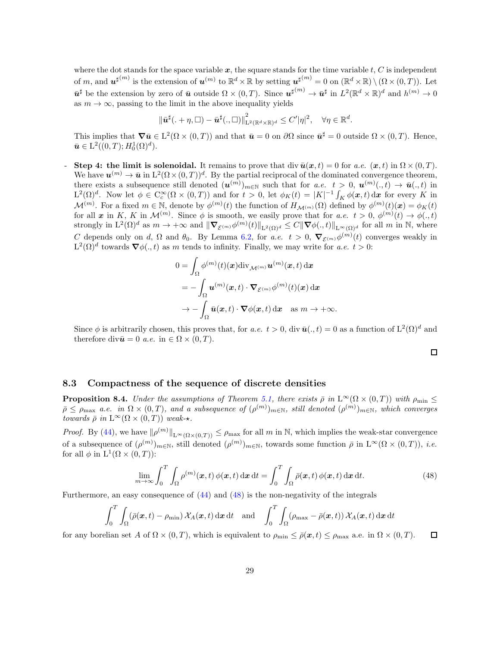where the dot stands for the space variable  $x$ , the square stands for the time variable  $t, C$  is independent of m, and  $u^{\sharp(m)}$  is the extension of  $u^{(m)}$  to  $\mathbb{R}^d \times \mathbb{R}$  by setting  $u^{\sharp(m)} = 0$  on  $(\mathbb{R}^d \times \mathbb{R}) \setminus (\Omega \times (0,T))$ . Let  $\bar{\mathbf{u}}^{\sharp}$  be the extension by zero of  $\bar{\mathbf{u}}$  outside  $\Omega \times (0,T)$ . Since  $\mathbf{u}^{\sharp(m)} \to \bar{\mathbf{u}}^{\sharp}$  in  $L^2(\mathbb{R}^d \times \mathbb{R})^d$  and  $h^{(m)} \to 0$ as  $m \to \infty$ , passing to the limit in the above inequality yields

$$
\|\bar{\boldsymbol{u}}^\sharp( . + \eta, \Box) - \bar{\boldsymbol{u}}^\sharp( ., \Box)\|_{\mathrm{L}^2(\mathbb{R}^d \times \mathbb{R})^d}^2 \leq C' |\eta|^2, \quad \forall \eta \in \mathbb{R}^d.
$$

This implies that  $\nabla \bar{u} \in L^2(\Omega \times (0,T))$  and that  $\bar{u} = 0$  on  $\partial \Omega$  since  $\bar{u}^{\sharp} = 0$  outside  $\Omega \times (0,T)$ . Hence,  $\bar{u} \in L^2((0,T); H_0^1(\Omega)^d).$ 

**Step 4: the limit is solenoidal.** It remains to prove that div  $\bar{u}(x, t) = 0$  for a.e.  $(x, t)$  in  $\Omega \times (0, T)$ . We have  $u^{(m)} \to \bar{u}$  in  $L^2(\Omega \times (0,T))^d$ . By the partial reciprocal of the dominated convergence theorem, there exists a subsequence still denoted  $(u^{(m)})_{m\in\mathbb{N}}$  such that for a.e.  $t > 0$ ,  $u^{(m)}(.,t) \to \bar{u}(. ,t)$  in  $L^2(\Omega)^d$ . Now let  $\phi \in C_c^{\infty}(\Omega \times (0,T))$  and for  $t > 0$ , let  $\phi_K(t) = |K|^{-1} \int_K \phi(x,t) dx$  for every K in  $\mathcal{M}^{(m)}$ . For a fixed  $m \in \mathbb{N}$ , denote by  $\phi^{(m)}(t)$  the function of  $H_{\mathcal{M}^{(m)}}(\Omega)$  defined by  $\phi^{(m)}(t)(\boldsymbol{x}) = \phi_K(t)$ for all x in K, K in  $\mathcal{M}^{(m)}$ . Since  $\phi$  is smooth, we easily prove that for a.e.  $t > 0$ ,  $\phi^{(m)}(t) \to \phi(0, t)$ strongly in  $L^2(\Omega)^d$  as  $m \to +\infty$  and  $\|\nabla_{\mathcal{E}^{(m)}}\phi^{(m)}(t)\|_{L^2(\Omega)^d} \leq C\|\nabla \phi(.,t)\|_{L^{\infty}(\Omega)^d}$  for all m in N, where C depends only on d,  $\Omega$  and  $\theta_0$ . By Lemma [6.2,](#page-10-6) for a.e.  $t > 0$ ,  $\nabla_{\mathcal{E}^{(m)}} \phi^{(m)}(t)$  converges weakly in  $L^2(\Omega)^d$  towards  $\nabla \phi(.,t)$  as m tends to infinity. Finally, we may write for a.e.  $t > 0$ :

$$
0 = \int_{\Omega} \phi^{(m)}(t)(\boldsymbol{x}) \mathrm{div}_{\mathcal{M}^{(m)}} \boldsymbol{u}^{(m)}(\boldsymbol{x}, t) \, \mathrm{d}\boldsymbol{x}
$$
  
=  $-\int_{\Omega} \boldsymbol{u}^{(m)}(\boldsymbol{x}, t) \cdot \nabla_{\mathcal{E}^{(m)}} \phi^{(m)}(t)(\boldsymbol{x}) \, \mathrm{d}\boldsymbol{x}$   
 $\rightarrow -\int_{\Omega} \bar{\boldsymbol{u}}(\boldsymbol{x}, t) \cdot \nabla \phi(\boldsymbol{x}, t) \, \mathrm{d}\boldsymbol{x}$  as  $m \rightarrow +\infty$ .

Since  $\phi$  is arbitrarily chosen, this proves that, for a.e.  $t > 0$ , div  $\bar{u}(., t) = 0$  as a function of  $L^2(\Omega)^d$  and therefore div $\bar{u} = 0$  a.e. in  $\in \Omega \times (0, T)$ .

<span id="page-28-0"></span>

|  | 8.3 Compactness of the sequence of discrete densities |  |  |  |  |
|--|-------------------------------------------------------|--|--|--|--|
|--|-------------------------------------------------------|--|--|--|--|

**Proposition 8.4.** Under the assumptions of Theorem [5.1,](#page-9-2) there exists  $\bar{\rho}$  in  $L^{\infty}(\Omega \times (0,T))$  with  $\rho_{\min} \leq$  $\bar{\rho}\leq \rho_{\max}$  a.e. in  $\Omega\times(0,T)$ , and a subsequence of  $(\rho^{(m)})_{m\in\mathbb{N}}$ , still denoted  $(\rho^{(m)})_{m\in\mathbb{N}}$ , which converges towards  $\bar{\rho}$  in  $L^{\infty}(\Omega \times (0,T))$  weak- $\star$ .

*Proof.* By [\(44\)](#page-23-2), we have  $\|\rho^{(m)}\|_{L^{\infty}(\Omega\times(0,T))} \leq \rho_{\max}$  for all m in N, which implies the weak-star convergence of a subsequence of  $(\rho^{(m)})_{m\in\mathbb{N}}$ , still denoted  $(\rho^{(m)})_{m\in\mathbb{N}}$ , towards some function  $\bar{\rho}$  in  $L^{\infty}(\Omega\times(0,T))$ , *i.e.* for all  $\phi$  in  $L^1(\Omega \times (0,T))$ :

$$
\lim_{m \to \infty} \int_0^T \int_{\Omega} \rho^{(m)}(\boldsymbol{x}, t) \phi(\boldsymbol{x}, t) \, d\boldsymbol{x} \, dt = \int_0^T \int_{\Omega} \bar{\rho}(\boldsymbol{x}, t) \phi(\boldsymbol{x}, t) \, d\boldsymbol{x} \, dt. \tag{48}
$$

Furthermore, an easy consequence of [\(44\)](#page-23-2) and [\(48\)](#page-28-1) is the non-negativity of the integrals

$$
\int_0^T \int_{\Omega} (\bar{\rho}(\mathbf{x}, t) - \rho_{\min}) \, \mathcal{X}_A(\mathbf{x}, t) \, \mathrm{d}\mathbf{x} \, \mathrm{d}t \quad \text{and} \quad \int_0^T \int_{\Omega} (\rho_{\max} - \bar{\rho}(\mathbf{x}, t)) \, \mathcal{X}_A(\mathbf{x}, t) \, \mathrm{d}\mathbf{x} \, \mathrm{d}t
$$

 $\Box$ for any borelian set A of  $\Omega \times (0,T)$ , which is equivalent to  $\rho_{\min} \leq \bar{\rho}(\mathbf{x},t) \leq \rho_{\max}$  a.e. in  $\Omega \times (0,T)$ .

<span id="page-28-1"></span> $\Box$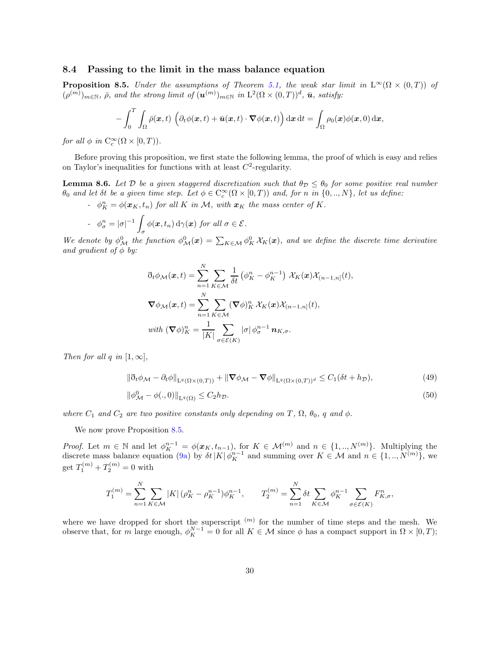### <span id="page-29-0"></span>8.4 Passing to the limit in the mass balance equation

<span id="page-29-1"></span>**Proposition 8.5.** Under the assumptions of Theorem [5.1,](#page-9-2) the weak star limit in  $L^{\infty}(\Omega \times (0,T))$  of  $(\rho^{(m)})_{m\in\mathbb{N}},$   $\bar{\rho},$  and the strong limit of  $(\bm{u}^{(m)})_{m\in\mathbb{N}}$  in  $\mathrm{L}^2(\Omega\times(0,T))^d,$   $\bar{\bm{u}},$  satisfy:

$$
-\int_0^T\int_{\Omega} \bar{\rho}(\boldsymbol{x},t) \left(\partial_t \phi(\boldsymbol{x},t)+\bar{\boldsymbol{u}}(\boldsymbol{x},t)\cdot \boldsymbol{\nabla} \phi(\boldsymbol{x},t)\right) \mathrm{d}\boldsymbol{x} \mathrm{d}t = \int_{\Omega} \rho_0(\boldsymbol{x}) \phi(\boldsymbol{x},0) \, \mathrm{d}\boldsymbol{x},
$$

for all  $\phi$  in  $C_c^{\infty}(\Omega \times [0, T)).$ 

Before proving this proposition, we first state the following lemma, the proof of which is easy and relies on Taylor's inequalities for functions with at least  $C<sup>2</sup>$ -regularity.

**Lemma 8.6.** Let D be a given staggered discretization such that  $\theta_{\mathcal{D}} \leq \theta_0$  for some positive real number  $\theta_0$  and let  $\delta t$  be a given time step. Let  $\phi \in C_c^{\infty}(\Omega \times [0,T))$  and, for n in  $\{0,..,N\}$ , let us define:

-  $\phi_K^n = \phi(\mathbf{x}_K, t_n)$  for all K in M, with  $\mathbf{x}_K$  the mass center of K.

$$
\varphi_{\sigma}^{n} = |\sigma|^{-1} \int_{\sigma} \phi(\mathbf{x}, t_n) \, d\gamma(\mathbf{x}) \text{ for all } \sigma \in \mathcal{E}.
$$

We denote by  $\phi^0_{\mathcal{M}}$  the function  $\phi^0_{\mathcal{M}}(\boldsymbol{x}) = \sum_{K \in \mathcal{M}} \phi^0_K \mathcal{X}_K(\boldsymbol{x})$ , and we define the discrete time derivative and gradient of  $\phi$  by:

$$
\begin{aligned}\n\eth_t \phi_{\mathcal{M}}(\boldsymbol{x},t) &= \sum_{n=1}^N \sum_{K \in \mathcal{M}} \frac{1}{\delta t} \left( \phi_K^n - \phi_K^{n-1} \right) \, \mathcal{X}_K(\boldsymbol{x}) \mathcal{X}_{(n-1,n]}(t), \\
\nabla \phi_{\mathcal{M}}(\boldsymbol{x},t) &= \sum_{n=1}^N \sum_{K \in \mathcal{M}} (\nabla \phi)_K^n \, \mathcal{X}_K(\boldsymbol{x}) \mathcal{X}_{(n-1,n]}(t), \\
\text{with } (\nabla \phi)_K^n = \frac{1}{|K|} \sum_{\sigma \in \mathcal{E}(K)} |\sigma| \, \phi_{\sigma}^{n-1} \, \mathbf{n}_{K,\sigma}.\n\end{aligned}
$$

Then for all q in  $[1,\infty]$ ,

$$
\|\eth_t \phi_{\mathcal{M}} - \partial_t \phi\|_{\mathcal{L}^q(\Omega \times (0,T))} + \|\nabla \phi_{\mathcal{M}} - \nabla \phi\|_{\mathcal{L}^q(\Omega \times (0,T))^d} \le C_1(\delta t + h_{\mathcal{D}}),\tag{49}
$$

<span id="page-29-3"></span><span id="page-29-2"></span>
$$
\|\phi_{\mathcal{M}}^0 - \phi(.,0)\|_{\mathcal{L}^q(\Omega)} \le C_2 h_{\mathcal{D}}.\tag{50}
$$

where  $C_1$  and  $C_2$  are two positive constants only depending on T,  $\Omega$ ,  $\theta_0$ , q and  $\phi$ .

We now prove Proposition [8.5.](#page-29-1)

*Proof.* Let  $m \in \mathbb{N}$  and let  $\phi_K^{n-1} = \phi(\mathbf{x}_K, t_{n-1})$ , for  $K \in \mathcal{M}^{(m)}$  and  $n \in \{1, ..., N^{(m)}\}$ . Multiplying the discrete mass balance equation [\(9a\)](#page-5-1) by  $\delta t |K| \phi_K^{n-1}$  and summing over  $K \in \mathcal{M}$  and  $n \in \{1, ..., N^{(m)}\}$ , we get  $T_1^{(m)} + T_2^{(m)} = 0$  with

$$
T_1^{(m)} = \sum_{n=1}^{N} \sum_{K \in \mathcal{M}} |K| \left( \rho_K^n - \rho_K^{n-1} \right) \phi_K^{n-1}, \qquad T_2^{(m)} = \sum_{n=1}^{N} \delta t \sum_{K \in \mathcal{M}} \phi_K^{n-1} \sum_{\sigma \in \mathcal{E}(K)} F_{K,\sigma}^n,
$$

where we have dropped for short the superscript  $(m)$  for the number of time steps and the mesh. We observe that, for m large enough,  $\phi_K^{N-1} = 0$  for all  $K \in \mathcal{M}$  since  $\phi$  has a compact support in  $\Omega \times [0, T)$ ;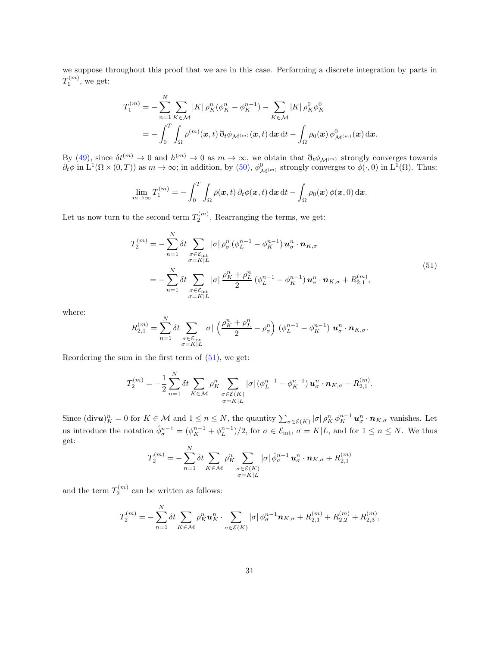we suppose throughout this proof that we are in this case. Performing a discrete integration by parts in  $T_1^{(m)}$ , we get:

$$
T_1^{(m)} = -\sum_{n=1}^N \sum_{K \in \mathcal{M}} |K| \rho_K^n (\phi_K^n - \phi_K^{n-1}) - \sum_{K \in \mathcal{M}} |K| \rho_K^0 \phi_K^0
$$
  
= 
$$
- \int_0^T \int_{\Omega} \rho^{(m)}(\boldsymbol{x}, t) \, \mathfrak{d}_t \phi_{\mathcal{M}^{(m)}}(\boldsymbol{x}, t) \, \mathrm{d}\boldsymbol{x} \, \mathrm{d}t - \int_{\Omega} \rho_0(\boldsymbol{x}) \, \phi_{\mathcal{M}^{(m)}}^0(\boldsymbol{x}) \, \mathrm{d}\boldsymbol{x}.
$$

By [\(49\)](#page-29-2), since  $\delta t^{(m)} \to 0$  and  $h^{(m)} \to 0$  as  $m \to \infty$ , we obtain that  $\eth_t \phi_{\mathcal{M}^{(m)}}$  strongly converges towards  $\partial_t \phi$  in  $L^1(\Omega \times (0,T))$  as  $m \to \infty$ ; in addition, by [\(50\)](#page-29-3),  $\phi^0_{\mathcal{M}^{(m)}}$  strongly converges to  $\phi(\cdot,0)$  in  $L^1(\Omega)$ . Thus:

$$
\lim_{m\to\infty}T_1^{(m)}=-\int_0^T\int_{\Omega}\bar{\rho}(\boldsymbol{x},t)\,\partial_t\phi(\boldsymbol{x},t)\,\mathrm{d}\boldsymbol{x}\,\mathrm{d}t-\int_{\Omega}\rho_0(\boldsymbol{x})\,\phi(\boldsymbol{x},0)\,\mathrm{d}\boldsymbol{x}.
$$

Let us now turn to the second term  $T_2^{(m)}$ . Rearranging the terms, we get:

<span id="page-30-0"></span>
$$
T_2^{(m)} = -\sum_{n=1}^N \delta t \sum_{\substack{\sigma \in \mathcal{E}_{\text{int}} \\ \sigma = K|L}} |\sigma| \rho_{\sigma}^n (\phi_L^{n-1} - \phi_K^{n-1}) \mathbf{u}_{\sigma}^n \cdot \mathbf{n}_{K,\sigma}
$$
  

$$
= -\sum_{n=1}^N \delta t \sum_{\substack{\sigma \in \mathcal{E}_{\text{int}} \\ \sigma = K|L}} |\sigma| \frac{\rho_K^n + \rho_L^n}{2} (\phi_L^{n-1} - \phi_K^{n-1}) \mathbf{u}_{\sigma}^n \cdot \mathbf{n}_{K,\sigma} + R_{2,1}^{(m)},
$$
(51)

where:

$$
R_{2,1}^{(m)}=\sum_{n=1}^N\delta t\sum_{\substack{\sigma\in\mathcal{E}_{\mathrm{int}}\\ \sigma=K|L}}|\sigma|\,\left(\frac{\rho_K^n+\rho_L^n}{2}-\rho_\sigma^n\right)\,\left(\phi_L^{n-1}-\phi_K^{n-1}\right)\,\boldsymbol{u}_\sigma^n\cdot\boldsymbol{n}_{K,\sigma}.
$$

Reordering the sum in the first term of  $(51)$ , we get:

$$
T_2^{(m)} = -\frac{1}{2} \sum_{n=1}^N \delta t \sum_{K \in \mathcal{M}} \rho_K^n \sum_{\substack{\sigma \in \mathcal{E}(K) \\ \sigma = K|L}} |\sigma| \left( \phi_L^{n-1} - \phi_K^{n-1} \right) \mathbf{u}_\sigma^n \cdot \mathbf{n}_{K,\sigma} + R_{2,1}^{(m)}.
$$

Since  $(\text{div}\mathbf{u})_K^n = 0$  for  $K \in \mathcal{M}$  and  $1 \leq n \leq N$ , the quantity  $\sum_{\sigma \in \mathcal{E}(K)} |\sigma| \rho_K^n \phi_K^{n-1} \mathbf{u}_\sigma^n \cdot \mathbf{n}_{K,\sigma}$  vanishes. Let us introduce the notation  $\hat{\phi}_{\sigma}^{n-1} = (\phi_K^{n-1} + \phi_L^{n-1})/2$ , for  $\sigma \in \mathcal{E}_{\text{int}}, \sigma = K|L$ , and for  $1 \leq n \leq N$ . We thus get:  $\mathbf{v}$ 

$$
T_2^{(m)} = -\sum_{n=1}^N \delta t \sum_{K \in \mathcal{M}} \rho_K^n \sum_{\substack{\sigma \in \mathcal{E}(K) \\ \sigma = K|L}} |\sigma| \hat{\phi}_{\sigma}^{n-1} \mathbf{u}_{\sigma}^n \cdot \mathbf{n}_{K,\sigma} + R_{2,1}^{(m)}
$$

and the term  $T_2^{(m)}$  can be written as follows:

$$
T_2^{(m)} = -\sum_{n=1}^N \delta t \sum_{K \in \mathcal{M}} \rho_K^n \mathbf{u}_K^n \cdot \sum_{\sigma \in \mathcal{E}(K)} |\sigma| \phi_{\sigma}^{n-1} \mathbf{n}_{K,\sigma} + R_{2,1}^{(m)} + R_{2,2}^{(m)} + R_{2,3}^{(m)},
$$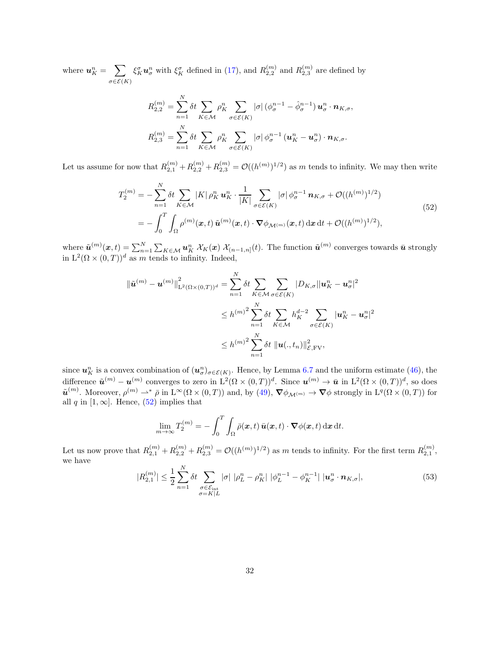where  $u_K^n = \sum$  $\sigma \in \mathcal{E}(K)$  $\xi_K^{\sigma} \mathbf{u}_\sigma^n$  with  $\xi_K^{\sigma}$  defined in [\(17\)](#page-7-4), and  $R_{2,2}^{(m)}$  and  $R_{2,3}^{(m)}$  are defined by

<span id="page-31-0"></span>
$$
R_{2,2}^{(m)} = \sum_{n=1}^{N} \delta t \sum_{K \in \mathcal{M}} \rho_K^n \sum_{\sigma \in \mathcal{E}(K)} |\sigma| (\phi_{\sigma}^{n-1} - \hat{\phi}_{\sigma}^{n-1}) \mathbf{u}_{\sigma}^n \cdot \mathbf{n}_{K,\sigma},
$$
  

$$
R_{2,3}^{(m)} = \sum_{n=1}^{N} \delta t \sum_{K \in \mathcal{M}} \rho_K^n \sum_{\sigma \in \mathcal{E}(K)} |\sigma| \phi_{\sigma}^{n-1} (\mathbf{u}_K^n - \mathbf{u}_{\sigma}^n) \cdot \mathbf{n}_{K,\sigma}.
$$

Let us assume for now that  $R_{2,1}^{(m)}+R_{2,2}^{(m)}+R_{2,3}^{(m)}=\mathcal{O}((h^{(m)})^{1/2})$  as m tends to infinity. We may then write

$$
T_2^{(m)} = -\sum_{n=1}^N \delta t \sum_{K \in \mathcal{M}} |K| \rho_K^n \mathbf{u}_K^n \cdot \frac{1}{|K|} \sum_{\sigma \in \mathcal{E}(K)} |\sigma| \phi_{\sigma}^{n-1} \mathbf{n}_{K,\sigma} + \mathcal{O}((h^{(m)})^{1/2})
$$
  

$$
= -\int_0^T \int_{\Omega} \rho^{(m)}(\mathbf{x}, t) \tilde{\mathbf{u}}^{(m)}(\mathbf{x}, t) \cdot \nabla \phi_{\mathcal{M}^{(m)}}(\mathbf{x}, t) d\mathbf{x} dt + \mathcal{O}((h^{(m)})^{1/2}),
$$
 (52)

where  $\tilde{\boldsymbol{u}}^{(m)}(\boldsymbol{x},t)=\sum_{n=1}^N\sum_{K\in\mathcal{M}}\boldsymbol{u}_K^n\ \mathcal{X}_K(\boldsymbol{x})\ \mathcal{X}_{(n-1,n]}(t).$  The function  $\tilde{\boldsymbol{u}}^{(m)}$  converges towards  $\bar{\boldsymbol{u}}$  strongly in  $L^2(\Omega \times (0,T))^d$  as m tends to infinity. Indeed,

$$
\begin{split} \left\|\tilde{\boldsymbol{u}}^{(m)} - \boldsymbol{u}^{(m)}\right\|_{\mathrm{L}^{2}(\Omega\times(0,T))^{d}}^{2} &= \sum_{n=1}^{N} \delta t \sum_{K\in\mathcal{M}} \sum_{\sigma\in\mathcal{E}(K)} |D_{K,\sigma}||\boldsymbol{u}_{K}^{n} - \boldsymbol{u}_{\sigma}^{n}|^{2} \\ &\leq h^{(m)^{2}} \sum_{n=1}^{N} \delta t \sum_{K\in\mathcal{M}} h_{K}^{d-2} \sum_{\sigma\in\mathcal{E}(K)} |\boldsymbol{u}_{K}^{n} - \boldsymbol{u}_{\sigma}^{n}|^{2} \\ &\leq h^{(m)^{2}} \sum_{n=1}^{N} \delta t \|\boldsymbol{u}(.,t_{n})\|_{\mathcal{E},\mathrm{FV}}^{2}, \end{split}
$$

since  $u_K^n$  is a convex combination of  $(u_\sigma^n)_{\sigma \in \mathcal{E}(K)}$ . Hence, by Lemma [6.7](#page-13-0) and the uniform estimate [\(46\)](#page-23-2), the difference  $\tilde{\boldsymbol{u}}^{(m)} - \boldsymbol{u}^{(m)}$  converges to zero in  $\mathrm{L}^2(\Omega \times (0,T))^d$ . Since  $\boldsymbol{u}^{(m)} \to \bar{\boldsymbol{u}}$  in  $\mathrm{L}^2(\Omega \times (0,T))^d$ , so does  $\tilde{\boldsymbol{u}}^{(m)}$ . Moreover,  $\rho^{(m)} \rightharpoonup^* \bar{\rho}$  in  $\mathrm{L}^{\infty}(\Omega \times (0,T))$  and, by  $(49)$ ,  $\nabla \phi_{\mathcal{M}^{(m)}} \to \nabla \phi$  strongly in  $\mathrm{L}^q(\Omega \times (0,T))$  for all q in  $[1, \infty]$ . Hence,  $(52)$  implies that

<span id="page-31-1"></span>
$$
\lim_{m\to\infty}T_2^{(m)}=-\int_0^T\int_{\Omega}\bar{\rho}(\boldsymbol{x},t)\,\bar{\boldsymbol{u}}(\boldsymbol{x},t)\cdot\boldsymbol{\nabla}\phi(\boldsymbol{x},t)\,\mathrm{d}\boldsymbol{x}\,\mathrm{d}t.
$$

Let us now prove that  $R_{2,1}^{(m)} + R_{2,2}^{(m)} + R_{2,3}^{(m)} = \mathcal{O}((h^{(m)})^{1/2})$  as m tends to infinity. For the first term  $R_{2,1}^{(m)}$ , we have

$$
|R_{2,1}^{(m)}| \leq \frac{1}{2} \sum_{n=1}^{N} \delta t \sum_{\substack{\sigma \in \mathcal{E}_{\text{int}} \\ \sigma = K|L}} |\sigma| |\rho_L^n - \rho_K^n| |\phi_L^{n-1} - \phi_K^{n-1}| |u_\sigma^n \cdot \mathbf{n}_{K,\sigma}|,
$$
(53)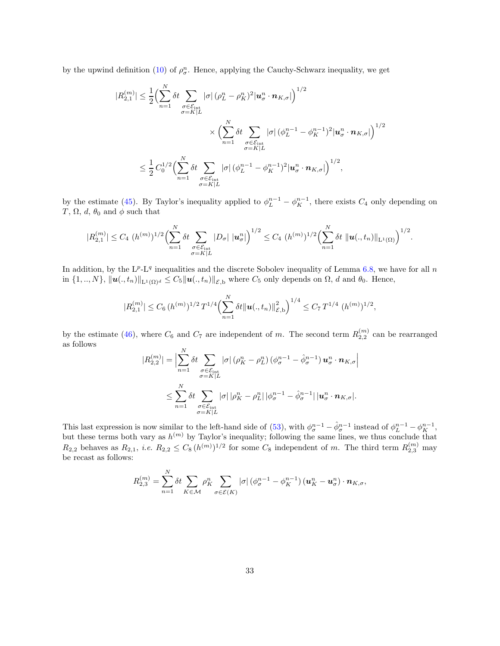by the upwind definition [\(10\)](#page-6-4) of  $\rho_{\sigma}^n$ . Hence, applying the Cauchy-Schwarz inequality, we get

$$
|R_{2,1}^{(m)}| \leq \frac{1}{2} \Biggl( \sum_{n=1}^{N} \delta t \sum_{\substack{\sigma \in \mathcal{E}_{\text{int}} \\ \sigma = K | L}} |\sigma| \left( \rho_L^n - \rho_K^n \right)^2 | \mathbf{u}_\sigma^n \cdot \mathbf{n}_{K,\sigma} | \right)^{1/2} \times \Biggl( \sum_{n=1}^{N} \delta t \sum_{\substack{\sigma \in \mathcal{E}_{\text{int}} \\ \sigma = K | L}} |\sigma| \left( \phi_L^{n-1} - \phi_K^{n-1} \right)^2 | \mathbf{u}_\sigma^n \cdot \mathbf{n}_{K,\sigma} | \Biggr)^{1/2} \times \frac{1}{2} \Biggl( \sum_{n=1}^{N} \delta t \sum_{\substack{\sigma \in \mathcal{E}_{\text{int}} \\ \sigma = K | L}} |\sigma| \left( \phi_L^{n-1} - \phi_K^{n-1} \right)^2 | \mathbf{u}_\sigma^n \cdot \mathbf{n}_{K,\sigma} | \Biggr)^{1/2},
$$

by the estimate [\(45\)](#page-23-2). By Taylor's inequality applied to  $\phi_L^{n-1} - \phi_K^{n-1}$ , there exists  $C_4$  only depending on T,  $\Omega$ ,  $d$ ,  $\theta_0$  and  $\phi$  such that

$$
|R_{2,1}^{(m)}| \leq C_4 \ (h^{(m)})^{1/2} \Bigl(\sum_{n=1}^N \delta t \sum_{\substack{\sigma \in \mathcal{E}_{\text{int}} \\ \sigma = K|L}} |D_{\sigma}| \ |\boldsymbol{u}_{\sigma}^n|\Bigr)^{1/2} \leq C_4 \ (h^{(m)})^{1/2} \Bigl(\sum_{n=1}^N \delta t \ \|\boldsymbol{u}(.,t_n)\|_{\mathrm{L}^1(\Omega)}\Bigr)^{1/2}.
$$

In addition, by the  $L^p-L^q$  inequalities and the discrete Sobolev inequality of Lemma [6.8,](#page-13-1) we have for all n in  $\{1,..,N\}, ||\boldsymbol{u}(.,t_n)||_{L^1(\Omega)^d} \leq C_5 ||\boldsymbol{u}(.,t_n)||_{\mathcal{E},\mathbf{b}}$  where  $C_5$  only depends on  $\Omega$ , d and  $\theta_0$ . Hence,

$$
|R_{2,1}^{(m)}| \leq C_6 \, (h^{(m)})^{1/2} \, T^{1/4} \Big( \sum_{n=1}^N \delta t ||\boldsymbol{u}(.,t_n)||_{\mathcal{E},\mathbf{b}}^2 \Big)^{1/4} \leq C_7 \, T^{1/4} \, (h^{(m)})^{1/2},
$$

by the estimate [\(46\)](#page-23-2), where  $C_6$  and  $C_7$  are independent of m. The second term  $R_{2,2}^{(m)}$  can be rearranged as follows

$$
|R_{2,2}^{(m)}| = \Big| \sum_{n=1}^{N} \delta t \sum_{\substack{\sigma \in \mathcal{E}_{\text{int}} \\ \sigma = K|L}} |\sigma| \left( \rho_K^n - \rho_L^n \right) \left( \phi_{\sigma}^{n-1} - \hat{\phi}_{\sigma}^{n-1} \right) \mathbf{u}_{\sigma}^n \cdot \mathbf{n}_{K,\sigma} \Big|
$$
  

$$
\leq \sum_{n=1}^{N} \delta t \sum_{\substack{\sigma \in \mathcal{E}_{\text{int}} \\ \sigma = K|L}} |\sigma| |\rho_K^n - \rho_L^n| |\phi_{\sigma}^{n-1} - \hat{\phi}_{\sigma}^{n-1}| |\mathbf{u}_{\sigma}^n \cdot \mathbf{n}_{K,\sigma}|.
$$

This last expression is now similar to the left-hand side of [\(53\)](#page-31-1), with  $\phi_{\sigma}^{n-1} - \hat{\phi}_{\sigma}^{n-1}$  instead of  $\phi_{L}^{n-1} - \phi_{K}^{n-1}$ , but these terms both vary as  $h^{(m)}$  by Taylor's inequality; following the same lines, we thus conclude that  $R_{2,2}$  behaves as  $R_{2,1}$ , *i.e.*  $R_{2,2} \leq C_8 (h^{(m)})^{1/2}$  for some  $C_8$  independent of m. The third term  $R_{2,3}^{(m)}$  may be recast as follows:

$$
R_{2,3}^{(m)} = \sum_{n=1}^{N} \delta t \sum_{K \in \mathcal{M}} \rho_K^{n} \sum_{\sigma \in \mathcal{E}(K)} |\sigma| \left( \phi_{\sigma}^{n-1} - \phi_{K}^{n-1} \right) \left( \mathbf{u}_{K}^{n} - \mathbf{u}_{\sigma}^{n} \right) \cdot \mathbf{n}_{K,\sigma},
$$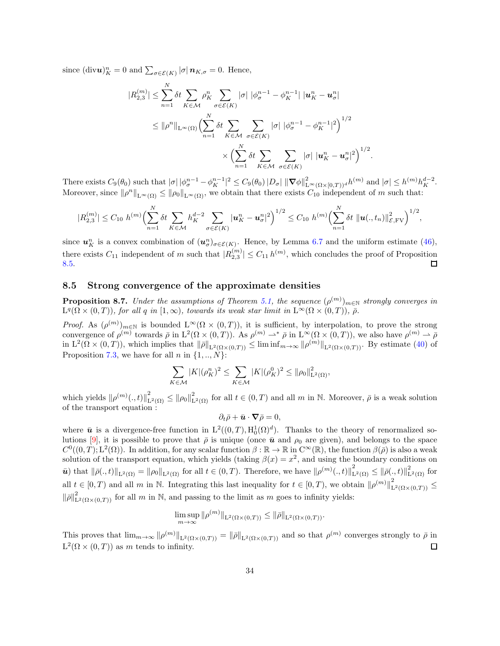since  $(\text{div} \mathbf{u})_K^n = 0$  and  $\sum_{\sigma \in \mathcal{E}(K)} |\sigma| \mathbf{n}_{K,\sigma} = 0$ . Hence,

$$
|R_{2,3}^{(m)}| \leq \sum_{n=1}^{N} \delta t \sum_{K \in \mathcal{M}} \rho_K^n \sum_{\sigma \in \mathcal{E}(K)} |\sigma| |\phi_{\sigma}^{n-1} - \phi_K^{n-1}| |u_K^n - u_{\sigma}^n|
$$
  

$$
\leq ||\rho^n||_{L^{\infty}(\Omega)} \Biggl(\sum_{n=1}^{N} \delta t \sum_{K \in \mathcal{M}} \sum_{\sigma \in \mathcal{E}(K)} |\sigma| |\phi_{\sigma}^{n-1} - \phi_K^{n-1}|^2 \Biggr)^{1/2}
$$
  

$$
\times \Biggl(\sum_{n=1}^{N} \delta t \sum_{K \in \mathcal{M}} \sum_{\sigma \in \mathcal{E}(K)} |\sigma| |u_K^n - u_{\sigma}^n|^2 \Biggr)^{1/2}.
$$

There exists  $C_9(\theta_0)$  such that  $|\sigma| |\phi_{\sigma}^{n-1} - \phi_K^{n-1}|^2 \leq C_9(\theta_0) |D_\sigma| ||\nabla \phi||_{\mathcal{L}^{\infty}(\Omega \times [0,T])^d}^2 h^{(m)}$  and  $|\sigma| \leq h^{(m)} h_K^{d-2}$ . Moreover, since  $\|\rho^n\|_{L^{\infty}(\Omega)} \le \|\rho_0\|_{L^{\infty}(\Omega)}$ , we obtain that there exists  $C_{10}$  independent of m such that:

$$
|R_{2,3}^{(m)}| \leq C_{10} \; h^{(m)} \Bigl(\sum_{n=1}^N \delta t \sum_{K \in \mathcal{M}} h_K^{d-2} \sum_{\sigma \in \mathcal{E}(K)} |\boldsymbol{u}_K^n - \boldsymbol{u}_\sigma^n|^2\Bigr)^{1/2} \leq C_{10} \; h^{(m)} \Bigl(\sum_{n=1}^N \delta t \; \|\boldsymbol{u}(.,t_n)\|_{\mathcal{E},\text{FV}}^2\Bigr)^{1/2},
$$

since  $u_K^n$  is a convex combination of  $(u_{\sigma}^n)_{\sigma \in \mathcal{E}(K)}$ . Hence, by Lemma [6.7](#page-13-0) and the uniform estimate [\(46\)](#page-23-2), there exists  $C_{11}$  independent of m such that  $|R_{2,3}^{(m)}| \leq C_{11} h^{(m)}$ , which concludes the proof of Proposition [8.5.](#page-29-1) П

### <span id="page-33-0"></span>8.5 Strong convergence of the approximate densities

<span id="page-33-1"></span>**Proposition 8.7.** Under the assumptions of Theorem [5.1,](#page-9-2) the sequence  $(\rho^{(m)})_{m\in\mathbb{N}}$  strongly converges in  $L^q(\Omega \times (0,T))$ , for all q in  $[1,\infty)$ , towards its weak star limit in  $L^{\infty}(\Omega \times (0,T))$ ,  $\bar{\rho}$ .

*Proof.* As  $(\rho^{(m)})_{m\in\mathbb{N}}$  is bounded  $L^{\infty}(\Omega\times(0,T))$ , it is sufficient, by interpolation, to prove the strong convergence of  $\rho^{(m)}$  towards  $\bar{\rho}$  in  $L^2(\Omega \times (0,T))$ . As  $\rho^{(m)} \to^* \bar{\rho}$  in  $L^{\infty}(\Omega \times (0,T))$ , we also have  $\rho^{(m)} \to \bar{\rho}$ in  $L^2(\Omega \times (0,T))$ , which implies that  $\|\bar{\rho}\|_{L^2(\Omega \times (0,T))} \leq \liminf_{m \to \infty} \|\rho^{(m)}\|_{L^2(\Omega \times (0,T))}$ . By estimate [\(40\)](#page-20-2) of Proposition [7.3,](#page-20-4) we have for all n in  $\{1,..,N\}$ :

$$
\sum_{K \in \mathcal{M}} |K| (\rho_K^n)^2 \le \sum_{K \in \mathcal{M}} |K| (\rho_K^0)^2 \le ||\rho_0||^2_{\mathcal{L}^2(\Omega)},
$$

which yields  $\|\rho^{(m)}(.,t)\|_{\mathcal{L}^2(\Omega)}^2 \leq \|\rho_0\|_{\mathcal{L}^2(\Omega)}^2$  for all  $t \in (0,T)$  and all m in N. Moreover,  $\bar{\rho}$  is a weak solution of the transport equation :

$$
\partial_t \bar{\rho} + \bar{\boldsymbol{u}} \cdot \boldsymbol{\nabla} \bar{\rho} = 0,
$$

where  $\bar{u}$  is a divergence-free function in  $L^2((0,T), H_0^1(\Omega)^d)$ . Thanks to the theory of renormalized so-lutions [\[9\]](#page-44-5), it is possible to prove that  $\bar{\rho}$  is unique (once  $\bar{u}$  and  $\rho_0$  are given), and belongs to the space  $C^0((0,T); L^2(\Omega))$ . In addition, for any scalar function  $\beta : \mathbb{R} \to \mathbb{R}$  in  $C^{\infty}(\mathbb{R})$ , the function  $\beta(\bar{\rho})$  is also a weak solution of the transport equation, which yields (taking  $\beta(x) = x^2$ , and using the boundary conditions on  $\bar{u}$ ) that  $\|\bar{\rho}(.,t)\|_{\mathrm{L}^2(\Omega)} = \|\rho_0\|_{\mathrm{L}^2(\Omega)}$  for all  $t \in (0,T)$ . Therefore, we have  $\|\rho^{(m)}(.,t)\|_{\mathrm{L}^2(\Omega)}^2 \le \|\bar{\rho}(.,t)\|_{\mathrm{L}^2(\Omega)}^2$  for all  $t \in [0, T)$  and all m in N. Integrating this last inequality for  $t \in [0, T)$ , we obtain  $\|\rho^{(m)}\|_{\mathcal{L}^2(\Omega\times(0,T))}^2 \leq$  $\|\bar{\rho}\|_{\mathrm{L}^2(\Omega\times(0,T))}^2$  for all m in N, and passing to the limit as m goes to infinity yields:

$$
\limsup_{m\to\infty} \|\rho^{(m)}\|_{\mathcal{L}^2(\Omega\times(0,T))} \le \|\bar{\rho}\|_{\mathcal{L}^2(\Omega\times(0,T))}.
$$

This proves that  $\lim_{m\to\infty} ||\rho^{(m)}||_{L^2(\Omega\times(0,T))} = ||\overline{\rho}||_{L^2(\Omega\times(0,T))}$  and so that  $\rho^{(m)}$  converges strongly to  $\overline{\rho}$  in  $L^2(\Omega \times (0,T))$  as m tends to infinity.  $\Box$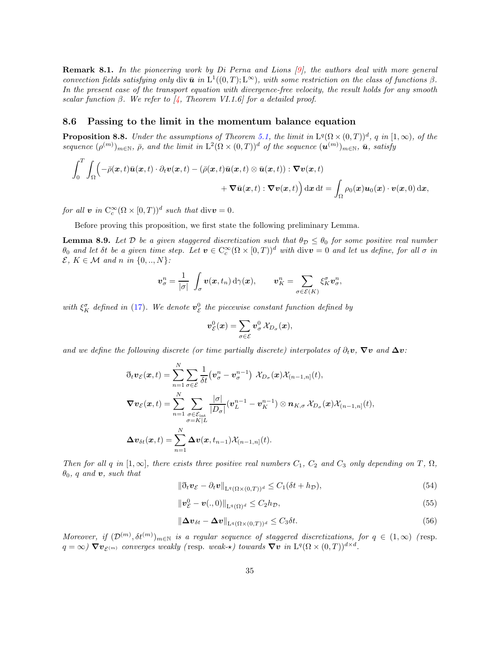Remark 8.1. In the pioneering work by Di Perna and Lions [\[9\]](#page-44-5), the authors deal with more general convection fields satisfying only div  $\bar{u}$  in  $L^1((0,T);L^{\infty})$ , with some restriction on the class of functions  $\beta$ . In the present case of the transport equation with divergence-free velocity, the result holds for any smooth scalar function  $\beta$ . We refer to  $\beta$ , Theorem VI.1.6] for a detailed proof.

### <span id="page-34-0"></span>8.6 Passing to the limit in the momentum balance equation

<span id="page-34-1"></span>**Proposition 8.8.** Under the assumptions of Theorem [5.1,](#page-9-2) the limit in  $L^q(\Omega \times (0,T))^d$ , q in  $[1,\infty)$ , of the sequence  $(\rho^{(m)})_{m\in\mathbb{N}},\ \bar{\rho},$  and the limit in  $\mathrm{L}^2(\Omega\times (0,T))^d$  of the sequence  $(\bm{u}^{(m)})_{m\in\mathbb{N}},\ \bar{\bm{u}},$  satisfy

$$
\int_0^T \int_{\Omega} \Bigl( -\bar{\rho}(\boldsymbol{x},t) \bar{\boldsymbol{u}}(\boldsymbol{x},t) \cdot \partial_t \boldsymbol{v}(\boldsymbol{x},t) - (\bar{\rho}(\boldsymbol{x},t) \bar{\boldsymbol{u}}(\boldsymbol{x},t) \otimes \bar{\boldsymbol{u}}(\boldsymbol{x},t)) : \boldsymbol{\nabla} \boldsymbol{v}(\boldsymbol{x},t) \\ + \boldsymbol{\nabla} \bar{\boldsymbol{u}}(\boldsymbol{x},t) : \boldsymbol{\nabla} \boldsymbol{v}(\boldsymbol{x},t) \Bigr) \, \mathrm{d} \boldsymbol{x} \, \mathrm{d} t = \int_{\Omega} \rho_0(\boldsymbol{x}) \boldsymbol{u}_0(\boldsymbol{x}) \cdot \boldsymbol{v}(\boldsymbol{x},0) \, \mathrm{d} \boldsymbol{x},
$$

for all  $\boldsymbol{v}$  in  $C_c^{\infty}(\Omega \times [0, T))^d$  such that  $\text{div}\boldsymbol{v} = 0$ .

Before proving this proposition, we first state the following preliminary Lemma.

<span id="page-34-4"></span>**Lemma 8.9.** Let D be a given staggered discretization such that  $\theta_D \leq \theta_0$  for some positive real number  $\theta_0$  and let  $\delta t$  be a given time step. Let  $\boldsymbol{v} \in C_c^\infty(\Omega \times [0,T))^d$  with  $\text{div} \boldsymbol{v} = 0$  and let us define, for all  $\sigma$  in  $\mathcal{E}, K \in \mathcal{M}$  and n in  $\{0, ..., N\}$ :

$$
\boldsymbol{v}_{\sigma}^{n} = \frac{1}{|\sigma|} \int_{\sigma} \boldsymbol{v}(\boldsymbol{x}, t_{n}) \,\mathrm{d}\gamma(\boldsymbol{x}), \qquad \boldsymbol{v}_{K}^{n} = \sum_{\sigma \in \mathcal{E}(K)} \xi_{K}^{\sigma} \boldsymbol{v}_{\sigma}^{n},
$$

with  $\xi_K^{\sigma}$  defined in [\(17\)](#page-7-4). We denote  $v_{\mathcal{E}}^{0}$  the piecewise constant function defined by

$$
\boldsymbol{v}_{\mathcal{E}}^0(\boldsymbol{x}) = \sum_{\sigma \in \mathcal{E}} \boldsymbol{v}_{\sigma}^0 \, \mathcal{X}_{D_{\sigma}}(\boldsymbol{x}),
$$

and we define the following discrete (or time partially discrete) interpolates of  $\partial_t v$ ,  $\nabla v$  and  $\Delta v$ :

$$
\begin{split}\n\eth_t \mathbf{v}_{\mathcal{E}}(\mathbf{x},t) &= \sum_{n=1}^N \sum_{\sigma \in \mathcal{E}} \frac{1}{\delta t} \big( \mathbf{v}_{\sigma}^n - \mathbf{v}_{\sigma}^{n-1} \big) \ \mathcal{X}_{D_{\sigma}}(\mathbf{x}) \mathcal{X}_{(n-1,n]}(t), \\
\nabla \mathbf{v}_{\mathcal{E}}(\mathbf{x},t) &= \sum_{n=1}^N \sum_{\substack{\sigma \in \mathcal{E}_{\text{int}} \\ \sigma = K|L}} \frac{|\sigma|}{|D_{\sigma}|} (\mathbf{v}_{L}^{n-1} - \mathbf{v}_{K}^{n-1}) \otimes \mathbf{n}_{K,\sigma} \ \mathcal{X}_{D_{\sigma}}(\mathbf{x}) \mathcal{X}_{(n-1,n]}(t), \\
\Delta \mathbf{v}_{\delta t}(\mathbf{x},t) &= \sum_{n=1}^N \Delta \mathbf{v}(\mathbf{x},t_{n-1}) \mathcal{X}_{(n-1,n]}(t).\n\end{split}
$$

Then for all q in  $[1,\infty]$ , there exists three positive real numbers  $C_1$ ,  $C_2$  and  $C_3$  only depending on T,  $\Omega$ ,  $\theta_0$ , q and **v**, such that

<span id="page-34-2"></span>
$$
\|\eth_t \mathbf{v}_{\varepsilon} - \partial_t \mathbf{v}\|_{\mathcal{L}^q(\Omega \times (0,T))^d} \le C_1 (\delta t + h_{\mathcal{D}}),\tag{54}
$$

<span id="page-34-3"></span>
$$
\|\boldsymbol{v}_{\mathcal{E}}^0 - \boldsymbol{v}(.,0)\|_{\mathcal{L}^q(\Omega)^d} \le C_2 h_{\mathcal{D}},\tag{55}
$$

<span id="page-34-5"></span>
$$
\|\Delta v_{\delta t} - \Delta v\|_{\mathcal{L}^q(\Omega \times (0,T))^d} \le C_3 \delta t. \tag{56}
$$

Moreover, if  $(\mathcal{D}^{(m)}, \delta t^{(m)})_{m \in \mathbb{N}}$  is a regular sequence of staggered discretizations, for  $q \in (1,\infty)$  (resp.  $q = \infty$ )  $\boldsymbol{\nabla v}_{\mathcal{E}^{(m)}}$  converges weakly (resp. weak- $\star$ ) towards  $\boldsymbol{\nabla v}$  in  $\mathrm{L}^q(\Omega \times (0,T))^{d \times d}$ .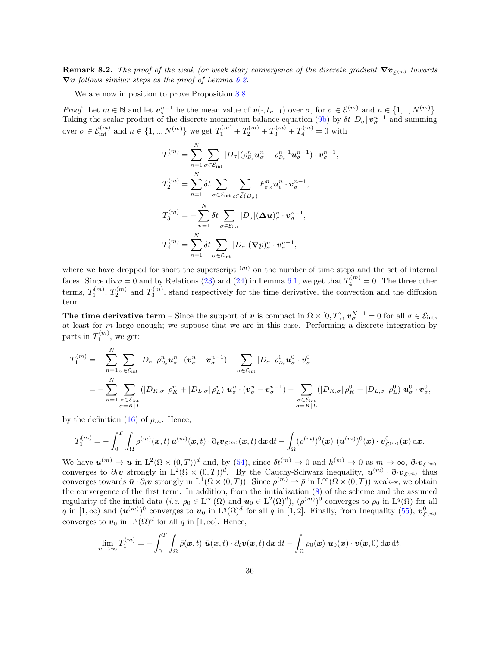**Remark 8.2.** The proof of the weak (or weak star) convergence of the discrete gradient  $\nabla v_{\mathcal{E}^{(m)}}$  towards  $\nabla v$  follows similar steps as the proof of Lemma [6.2.](#page-10-6)

We are now in position to prove Proposition [8.8.](#page-34-1)

Proof. Let  $m \in \mathbb{N}$  and let  $v_{\sigma}^{n-1}$  be the mean value of  $v(\cdot, t_{n-1})$  over  $\sigma$ , for  $\sigma \in \mathcal{E}^{(m)}$  and  $n \in \{1, ..., N^{(m)}\}$ . Taking the scalar product of the discrete momentum balance equation [\(9b\)](#page-5-2) by  $\delta t |D_{\sigma}| v_{\sigma}^{n-1}$  and summing over  $\sigma \in \mathcal{E}_{int}^{(m)}$  and  $n \in \{1, ..., N^{(m)}\}$  we get  $T_1^{(m)} + T_2^{(m)} + T_3^{(m)} + T_4^{(m)} = 0$  with

,

$$
T_1^{(m)} = \sum_{n=1}^N \sum_{\sigma \in \mathcal{E}_{\text{int}}} |D_{\sigma}| (\rho_{D_{\sigma}}^n \mathbf{u}_{\sigma}^n - \rho_{D_{\sigma}}^{n-1} \mathbf{u}_{\sigma}^{n-1}) \cdot \mathbf{v}_{\sigma}^{n-1}
$$
  
\n
$$
T_2^{(m)} = \sum_{n=1}^N \delta t \sum_{\sigma \in \mathcal{E}_{\text{int}}} \sum_{\epsilon \in \tilde{\mathcal{E}}(D_{\sigma})} F_{\sigma,\epsilon}^n \mathbf{u}_{\epsilon}^n \cdot \mathbf{v}_{\sigma}^{n-1},
$$
  
\n
$$
T_3^{(m)} = -\sum_{n=1}^N \delta t \sum_{\sigma \in \mathcal{E}_{\text{int}}} |D_{\sigma}| (\Delta \mathbf{u})_{\sigma}^n \cdot \mathbf{v}_{\sigma}^{n-1},
$$
  
\n
$$
T_4^{(m)} = \sum_{n=1}^N \delta t \sum_{\sigma \in \mathcal{E}_{\text{int}}} |D_{\sigma}| (\nabla p)_{\sigma}^n \cdot \mathbf{v}_{\sigma}^{n-1},
$$

where we have dropped for short the superscript  $(m)$  on the number of time steps and the set of internal faces. Since div $v = 0$  and by Relations [\(23\)](#page-10-4) and [\(24\)](#page-10-3) in Lemma [6.1,](#page-10-5) we get that  $T_4^{(m)} = 0$ . The three other terms,  $T_1^{(m)}$ ,  $T_2^{(m)}$  and  $T_3^{(m)}$ , stand respectively for the time derivative, the convection and the diffusion term.

The time derivative term – Since the support of v is compact in  $\Omega \times [0,T)$ ,  $v_{\sigma}^{N-1} = 0$  for all  $\sigma \in \mathcal{E}_{\text{int}}$ , at least for  $m$  large enough; we suppose that we are in this case. Performing a discrete integration by parts in  $T_1^{(m)}$ , we get:

$$
T_1^{(m)} = -\sum_{n=1}^N \sum_{\sigma \in \mathcal{E}_{\text{int}}} |D_{\sigma}| \rho_{D_{\sigma}}^n \mathbf{u}_{\sigma}^n \cdot (\mathbf{v}_{\sigma}^n - \mathbf{v}_{\sigma}^{n-1}) - \sum_{\sigma \in \mathcal{E}_{\text{int}}} |D_{\sigma}| \rho_{D_{\sigma}}^0 \mathbf{u}_{\sigma}^0 \cdot \mathbf{v}_{\sigma}^0
$$
  
= 
$$
-\sum_{n=1}^N \sum_{\substack{\sigma \in \mathcal{E}_{\text{int}} \\ \sigma = K|L}} (|D_{K,\sigma}| \rho_K^n + |D_{L,\sigma}| \rho_L^n) \mathbf{u}_{\sigma}^n \cdot (\mathbf{v}_{\sigma}^n - \mathbf{v}_{\sigma}^{n-1}) - \sum_{\substack{\sigma \in \mathcal{E}_{\text{int}} \\ \sigma = K|L}} (|D_{K,\sigma}| \rho_K^0 + |D_{L,\sigma}| \rho_L^0) \mathbf{u}_{\sigma}^0 \cdot \mathbf{v}_{\sigma}^0,
$$

by the definition [\(16\)](#page-7-6) of  $\rho_{D_{\sigma}}$ . Hence,

$$
T_1^{(m)}=-\int_0^T\int_\Omega\rho^{(m)}(\boldsymbol{x},t)\,\boldsymbol{u}^{(m)}(\boldsymbol{x},t)\cdot\eth_t\boldsymbol{v}_{\mathcal{E}^{(m)}}(\boldsymbol{x},t)\,\mathrm{d}\boldsymbol{x}\,\mathrm{d} t-\int_\Omega(\rho^{(m)})^0(\boldsymbol{x})\,\,(\boldsymbol{u}^{(m)})^0(\boldsymbol{x})\cdot\boldsymbol{v}_{\mathcal{E}^{(m)}}^0(\boldsymbol{x})\,\mathrm{d}\boldsymbol{x}.
$$

We have  $u^{(m)} \to \bar{u}$  in  $L^2(\Omega \times (0,T))^d$  and, by  $(54)$ , since  $\delta t^{(m)} \to 0$  and  $h^{(m)} \to 0$  as  $m \to \infty$ ,  $\eth_t v_{\mathcal{E}^{(m)}}$ converges to  $\partial_t v$  strongly in  $L^2(\Omega \times (0,T))^d$ . By the Cauchy-Schwarz inequality,  $u^{(m)} \cdot \partial_t v_{\mathcal{E}^{(m)}}$  thus converges towards  $\bar{\boldsymbol{u}} \cdot \partial_t \boldsymbol{v}$  strongly in  $\mathrm{L}^1(\Omega \times (0,T))$ . Since  $\rho^{(m)} \to \bar{\rho}$  in  $\mathrm{L}^{\infty}(\Omega \times (0,T))$  weak- $\star$ , we obtain the convergence of the first term. In addition, from the initialization [\(8\)](#page-5-6) of the scheme and the assumed regularity of the initial data (*i.e.*  $\rho_0 \in L^{\infty}(\Omega)$  and  $u_0 \in L^2(\Omega)^d$ ),  $(\rho^{(m)})^0$  converges to  $\rho_0$  in  $L^q(\Omega)$  for all q in  $[1,\infty)$  and  $(\mathbf{u}^{(m)})^0$  converges to  $\mathbf{u}_0$  in  $\mathbf{L}^q(\Omega)^d$  for all q in  $[1,2]$ . Finally, from Inequality [\(55\)](#page-34-3),  $\mathbf{v}_{\mathcal{E}^{(m)}}^0$ converges to  $\mathbf{v}_0$  in  $\mathbf{L}^q(\Omega)^d$  for all q in  $[1,\infty]$ . Hence,

$$
\lim_{m\to\infty}T_1^{(m)}=-\int_0^T\int_{\Omega}\bar{\rho}(\boldsymbol{x},t)\,\,\bar{\boldsymbol{u}}(\boldsymbol{x},t)\cdot\partial_t\boldsymbol{v}(\boldsymbol{x},t)\,\mathrm{d}\boldsymbol{x}\,\mathrm{d}t-\int_{\Omega}\rho_0(\boldsymbol{x})\,\,\boldsymbol{u}_0(\boldsymbol{x})\cdot\boldsymbol{v}(\boldsymbol{x},0)\,\mathrm{d}\boldsymbol{x}\,\mathrm{d}t.
$$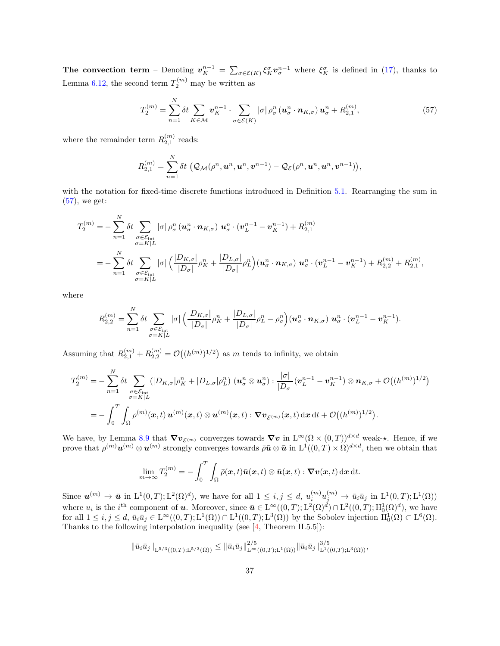The convection term – Denoting  $v_K^{n-1} = \sum_{\sigma \in \mathcal{E}(K)} \xi_K^{\sigma} v_{\sigma}^{n-1}$  where  $\xi_K^{\sigma}$  is defined in [\(17\)](#page-7-4), thanks to Lemma [6.12,](#page-16-0) the second term  $T_2^{(m)}$  may be written as

<span id="page-36-0"></span>
$$
T_2^{(m)} = \sum_{n=1}^N \delta t \sum_{K \in \mathcal{M}} \boldsymbol{v}_K^{n-1} \cdot \sum_{\sigma \in \mathcal{E}(K)} |\sigma| \rho_{\sigma}^n (\boldsymbol{u}_{\sigma}^n \cdot \boldsymbol{n}_{K,\sigma}) \boldsymbol{u}_{\sigma}^n + R_{2,1}^{(m)},
$$
(57)

where the remainder term  $R_{2,1}^{(m)}$  reads:

$$
R_{2,1}^{(m)}=\sum_{n=1}^N \delta t\, \left(\mathcal{Q}_{\mathcal{M}}(\rho^n,\boldsymbol{u}^n,\boldsymbol{u}^n,\boldsymbol{v}^{n-1})-\mathcal{Q}_{\mathcal{E}}(\rho^n,\boldsymbol{u}^n,\boldsymbol{u}^n,\boldsymbol{v}^{n-1})\right),\,
$$

with the notation for fixed-time discrete functions introduced in Definition [5.1.](#page-8-1) Rearranging the sum in  $(57)$ , we get:

$$
T_2^{(m)} = -\sum_{n=1}^N \delta t \sum_{\substack{\sigma \in \mathcal{E}_{\text{int}} \\ \sigma = K|L}} |\sigma| \rho_{\sigma}^n (\boldsymbol{u}_{\sigma}^n \cdot \boldsymbol{n}_{K,\sigma}) \ \boldsymbol{u}_{\sigma}^n \cdot (\boldsymbol{v}_L^{n-1} - \boldsymbol{v}_K^{n-1}) + R_{2,1}^{(m)}
$$
  
= 
$$
-\sum_{n=1}^N \delta t \sum_{\substack{\sigma \in \mathcal{E}_{\text{int}} \\ \sigma = K|L}} |\sigma| \left( \frac{|D_{K,\sigma}|}{|D_{\sigma}|} \rho_K^n + \frac{|D_{L,\sigma}|}{|D_{\sigma}|} \rho_L^n \right) (\boldsymbol{u}_{\sigma}^n \cdot \boldsymbol{n}_{K,\sigma}) \ \boldsymbol{u}_{\sigma}^n \cdot (\boldsymbol{v}_L^{n-1} - \boldsymbol{v}_K^{n-1}) + R_{2,2}^{(m)} + R_{2,1}^{(m)},
$$

where

$$
R_{2,2}^{(m)} = \sum_{n=1}^{N} \delta t \sum_{\substack{\sigma \in \mathcal{E}_{\text{int}} \\ \sigma = K|L}} |\sigma| \left( \frac{|D_{K,\sigma}|}{|D_{\sigma}|} \rho_K^n + \frac{|D_{L,\sigma}|}{|D_{\sigma}|} \rho_L^n - \rho_{\sigma}^n \right) (\mathbf{u}_{\sigma}^n \cdot \mathbf{n}_{K,\sigma}) \mathbf{u}_{\sigma}^n \cdot (\mathbf{v}_{L}^{n-1} - \mathbf{v}_{K}^{n-1}).
$$

Assuming that  $R_{2,1}^{(m)} + R_{2,2}^{(m)} = \mathcal{O}((h^{(m)})^{1/2})$  as m tends to infinity, we obtain

$$
T_2^{(m)} = -\sum_{n=1}^N \delta t \sum_{\substack{\sigma \in \mathcal{E}_{\text{int}} \\ \sigma = K|L}} (|D_{K,\sigma}|\rho_K^n + |D_{L,\sigma}|\rho_L^n) (u_\sigma^n \otimes u_\sigma^n) : \frac{|\sigma|}{|D_{\sigma}|} (v_L^{n-1} - v_K^{n-1}) \otimes n_{K,\sigma} + \mathcal{O}((h^{(m)})^{1/2})
$$
  
= 
$$
-\int_0^T \int_{\Omega} \rho^{(m)}(\boldsymbol{x},t) \, \boldsymbol{u}^{(m)}(\boldsymbol{x},t) \otimes \boldsymbol{u}^{(m)}(\boldsymbol{x},t) : \nabla v_{\mathcal{E}^{(m)}}(\boldsymbol{x},t) \, \mathrm{d}\boldsymbol{x} \, \mathrm{d}t + \mathcal{O}((h^{(m)})^{1/2}).
$$

We have, by Lemma [8.9](#page-34-4) that  $\boldsymbol{\nabla v}_{\mathcal{E}^{(m)}}$  converges towards  $\boldsymbol{\nabla v}$  in  $L^{\infty}(\Omega \times (0,T))^{d \times d}$  weak- $\star$ . Hence, if we prove that  $\rho^{(m)}\bm{u}^{(m)}\otimes\bm{u}^{(m)}$  strongly converges towards  $\bar{\rho}\bar{\bm{u}}\otimes\bar{\bm{u}}$  in  $\mathrm{L}^1((0,T)\times\Omega)^{d\times d},$  then we obtain that

$$
\lim_{m\to\infty}T_2^{(m)}=-\int_0^T\int_\Omega\bar\rho(\boldsymbol{x},t)\bar{\boldsymbol{u}}(\boldsymbol{x},t)\otimes\bar{\boldsymbol{u}}(\boldsymbol{x},t):\boldsymbol{\nabla}\boldsymbol{v}(\boldsymbol{x},t)\,\mathrm{d}\boldsymbol{x}\,\mathrm{d}t.
$$

Since  $\mathbf{u}^{(m)} \to \bar{\mathbf{u}}$  in  $\mathrm{L}^1(0,T);\mathrm{L}^2(\Omega)^d$ , we have for all  $1 \leq i,j \leq d$ ,  $u_i^{(m)}$  $\tilde{u}_i^{(m)}u_j^{(m)} \to \bar{u}_i\bar{u}_j$  in  $\mathrm{L}^1(0,T);\mathrm{L}^1(\Omega))$ where  $u_i$  is the i<sup>th</sup> component of **u**. Moreover, since  $\bar{u} \in L^{\infty}((0,T); L^2(\Omega)^d) \cap L^2((0,T); H_0^1(\Omega)^d)$ , we have for all  $1 \leq i, j \leq d$ ,  $\bar{u}_i \bar{u}_j \in \mathcal{L}^{\infty}((0,T); \mathcal{L}^1(\Omega)) \cap \mathcal{L}^1((0,T); \mathcal{L}^3(\Omega))$  by the Sobolev injection  $\mathcal{H}_0^1(\Omega) \subset \mathcal{L}^6(\Omega)$ . Thanks to the following interpolation inequality (see [\[4,](#page-44-6) Theorem II.5.5]):

$$
\|\bar{u}_i\bar{u}_j\|_{\mathrm{L}^{5/3}((0,T);\mathrm{L}^{5/3}(\Omega))} \le \|\bar{u}_i\bar{u}_j\|_{\mathrm{L}^{\infty}((0,T);\mathrm{L}^{1}(\Omega))}^{2/5} \|\bar{u}_i\bar{u}_j\|_{\mathrm{L}^{1}((0,T);\mathrm{L}^{3}(\Omega))}^{3/5},
$$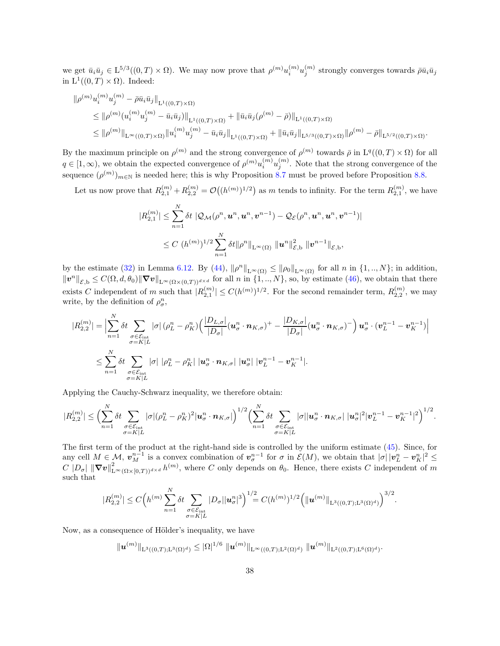we get  $\bar{u}_i\bar{u}_j \in L^{5/3}((0,T)\times\Omega)$ . We may now prove that  $\rho^{(m)}u_i^{(m)}u_j^{(m)}$  strongly converges towards  $\bar{\rho}\bar{u}_i\bar{u}_j$ in  $L^1((0,T)\times\Omega)$ . Indeed:

$$
\|\rho^{(m)}u_i^{(m)}u_j^{(m)} - \bar{\rho}\bar{u}_i\bar{u}_j\|_{\mathcal{L}^1((0,T)\times\Omega)} \n\leq \|\rho^{(m)}(u_i^{(m)}u_j^{(m)} - \bar{u}_i\bar{u}_j)\|_{\mathcal{L}^1((0,T)\times\Omega)} + \|\bar{u}_i\bar{u}_j(\rho^{(m)} - \bar{\rho})\|_{\mathcal{L}^1((0,T)\times\Omega)} \n\leq \|\rho^{(m)}\|_{\mathcal{L}^\infty((0,T)\times\Omega)} \|u_i^{(m)}u_j^{(m)} - \bar{u}_i\bar{u}_j\|_{\mathcal{L}^1((0,T)\times\Omega)} + \|\bar{u}_i\bar{u}_j\|_{\mathcal{L}^{5/3}((0,T)\times\Omega)} \|\rho^{(m)} - \bar{\rho}\|_{\mathcal{L}^{5/2}((0,T)\times\Omega)}.
$$

By the maximum principle on  $\rho^{(m)}$  and the strong convergence of  $\rho^{(m)}$  towards  $\bar{\rho}$  in  $L^q((0,T)\times\Omega)$  for all  $q \in [1,\infty)$ , we obtain the expected convergence of  $\rho^{(m)} u_i^{(m)} u_j^{(m)}$ . Note that the strong convergence of the sequence  $(\rho^{(m)})_{m\in\mathbb{N}}$  is needed here; this is why Proposition [8.7](#page-33-1) must be proved before Proposition [8.8.](#page-34-1)

Let us now prove that  $R_{2,1}^{(m)} + R_{2,2}^{(m)} = \mathcal{O}((h^{(m)})^{1/2})$  as m tends to infinity. For the term  $R_{2,1}^{(m)}$ , we have

$$
|R_{2,1}^{(m)}| \leq \sum_{n=1}^N \delta t \, |\mathcal{Q}_\mathcal{M}(\rho^n, \boldsymbol{u}^n, \boldsymbol{u}^n, \boldsymbol{v}^{n-1}) - \mathcal{Q}_\mathcal{E}(\rho^n, \boldsymbol{u}^n, \boldsymbol{u}^n, \boldsymbol{v}^{n-1})|
$$
  
\$\leq C \, (h^{(m)})^{1/2} \sum\_{n=1}^N \delta t ||\rho^n||\_{\mathcal{L}^\infty(\Omega)} \, ||\boldsymbol{u}^n||^2\_{\mathcal{E},\mathbf{b}} \, ||\boldsymbol{v}^{n-1}||\_{\mathcal{E},\mathbf{b}},

by the estimate [\(32\)](#page-16-2) in Lemma [6.12.](#page-16-0) By [\(44\)](#page-23-2),  $\|\rho^n\|_{L^{\infty}(\Omega)} \le \|\rho_0\|_{L^{\infty}(\Omega)}$  for all n in  $\{1,..,N\}$ ; in addition,  $||\boldsymbol{v}^n||_{\mathcal{E},b} \leq C(\Omega, d, \theta_0) ||\boldsymbol{\nabla} \boldsymbol{v}||_{\mathcal{L}^{\infty}(\Omega \times (0,T))^{d \times d}}$  for all n in  $\{1, ..., N\}$ , so, by estimate [\(46\)](#page-23-2), we obtain that there exists C independent of m such that  $|R_{2,1}^{(m)}| \leq C (h^{(m)})^{1/2}$ . For the second remainder term,  $R_{2,2}^{(m)}$ , we may write, by the definition of  $\rho_{\sigma}^n$ ,

$$
\begin{aligned} |R_{2,2}^{(m)}| &= \Bigl|\sum_{n=1}^N \delta t \sum_{\substack{\sigma \in \mathcal{E}_{\rm int} \\ \sigma = K|L}} |\sigma| \, (\rho_L^n - \rho_K^n) \Bigl( \frac{|D_{L,\sigma}|}{|D_\sigma|} (\boldsymbol{u}_\sigma^n \cdot \boldsymbol{n}_{K,\sigma})^+ - \frac{|D_{K,\sigma}|}{|D_\sigma|} (\boldsymbol{u}_\sigma^n \cdot \boldsymbol{n}_{K,\sigma})^- \Bigr) \, \boldsymbol{u}_\sigma^n \cdot (\boldsymbol{v}_L^{n-1} - \boldsymbol{v}_K^{n-1}) \Bigr| \\ &\leq \sum_{n=1}^N \delta t \sum_{\substack{\sigma \in \mathcal{E}_{\rm int} \\ \sigma = K|L}} |\sigma| \, |\rho_L^n - \rho_K^n| \, |\boldsymbol{u}_\sigma^n \cdot \boldsymbol{n}_{K,\sigma}| \, |\boldsymbol{u}_\sigma^n| \, |\boldsymbol{v}_L^{n-1} - \boldsymbol{v}_K^{n-1}|. \end{aligned}
$$

Applying the Cauchy-Schwarz inequality, we therefore obtain:

$$
|R_{2,2}^{(m)}| \leq \Bigl(\sum_{n=1}^N \delta t \sum_{\substack{\sigma\in\mathcal{E}_{\rm int}\\ \sigma=K|L}} |\sigma| (\rho_L^n-\rho_K^n)^2| \boldsymbol{u}_\sigma^n\cdot\boldsymbol{n}_{K,\sigma}|\Bigr)^{1/2} \Bigl(\sum_{n=1}^N \delta t \sum_{\substack{\sigma\in\mathcal{E}_{\rm int}\\ \sigma=K|L}} |\sigma| |\boldsymbol{u}_\sigma^n\cdot\boldsymbol{n}_{K,\sigma}| \; |\boldsymbol{u}_\sigma^n|^2| \boldsymbol{v}_L^{n-1}-\boldsymbol{v}_K^{n-1}|^2\Bigr)^{1/2}.
$$

The first term of the product at the right-hand side is controlled by the uniform estimate [\(45\)](#page-23-2). Since, for any cell  $M \in \mathcal{M}$ ,  $\mathbf{v}_M^{n-1}$  is a convex combination of  $\mathbf{v}_\sigma^{n-1}$  for  $\sigma$  in  $\mathcal{E}(M)$ , we obtain that  $|\sigma| |\mathbf{v}_L^n - \mathbf{v}_K^n|^2 \leq$  $C \|D_{\sigma}\| \|\nabla v\|_{\mathcal{L}^{\infty}(\Omega\times[0,T))^{d\times d}}^2 h^{(m)}$ , where C only depends on  $\theta_0$ . Hence, there exists C independent of m such that

$$
|R_{2,2}^{(m)}| \leq C\Big(h^{(m)}\sum_{n=1}^N \delta t \sum_{\substack{\sigma \in \mathcal{E}_{\rm int} \\ \sigma = K|L}} |D_{\sigma}| |\boldsymbol{u}_{\sigma}^n|^3\Big)^{1/2} = C(h^{(m)})^{1/2} \Big(\|\boldsymbol{u}^{(m)}\|_{\mathrm{L}^3((0,T);\mathrm{L}^3(\Omega)^d)}\Big)^{3/2}.
$$

Now, as a consequence of Hölder's inequality, we have

 $\|{\boldsymbol u}^{(m)}\|_{{\rm L}^3((0,T);{\rm L}^3(\Omega)^d)}\leq |\Omega|^{1/6}\;\|{\boldsymbol u}^{(m)}\|_{{\rm L}^\infty((0,T);{\rm L}^2(\Omega)^d)}\;\|{\boldsymbol u}^{(m)}\|_{{\rm L}^2((0,T);{\rm L}^6(\Omega)^d)}.$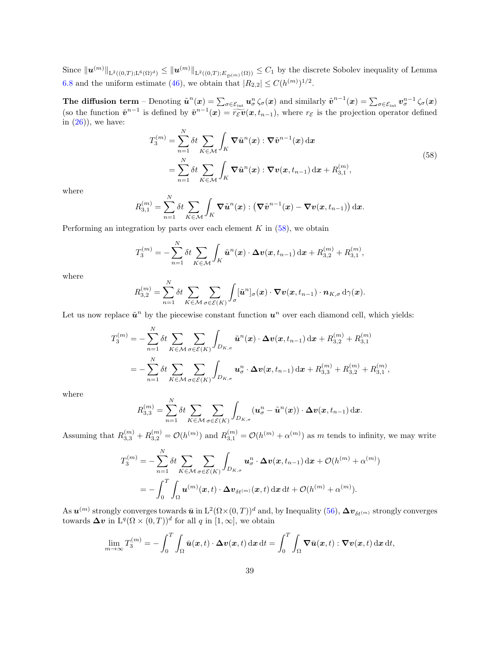Since  $\|\boldsymbol{u}^{(m)}\|_{\text{L}^2((0,T);L^6(\Omega)^d)} \leq \|\boldsymbol{u}^{(m)}\|_{\text{L}^2((0,T);E_{\mathcal{D}^{(m)}}(\Omega))} \leq C_1$  by the discrete Sobolev inequality of Lemma [6.8](#page-13-1) and the uniform estimate [\(46\)](#page-23-2), we obtain that  $|R_{2,2}| \leq C (h^{(m)})^{1/2}$ .

The diffusion term – Denoting  $\tilde{u}^n(x) = \sum_{\sigma \in \mathcal{E}_{int}} u^n_{\sigma} \zeta_{\sigma}(x)$  and similarly  $\tilde{v}^{n-1}(x) = \sum_{\sigma \in \mathcal{E}_{int}} v^{n-1}_{\sigma} \zeta_{\sigma}(x)$ (so the function  $\tilde{\mathbf{v}}^{n-1}$  is defined by  $\tilde{\mathbf{v}}^{n-1}(\mathbf{x}) = \tilde{r}_{\epsilon} \tilde{\mathbf{v}}(\mathbf{x}, t_{n-1})$ , where  $r_{\epsilon}$  is the projection operator defined in  $(26)$ , we have:

<span id="page-38-0"></span>
$$
T_3^{(m)} = \sum_{n=1}^N \delta t \sum_{K \in \mathcal{M}} \int_K \nabla \tilde{u}^n(x) : \nabla \tilde{v}^{n-1}(x) dx
$$
  
= 
$$
\sum_{n=1}^N \delta t \sum_{K \in \mathcal{M}} \int_K \nabla \tilde{u}^n(x) : \nabla v(x, t_{n-1}) dx + R_{3,1}^{(m)},
$$
 (58)

where

$$
R_{3,1}^{(m)} = \sum_{n=1}^N \delta t \sum_{K \in \mathcal{M}} \int_K \mathbf{\nabla} \tilde{\boldsymbol{u}}^n(\boldsymbol{x}) : (\mathbf{\nabla} \tilde{\boldsymbol{v}}^{n-1}(\boldsymbol{x}) - \mathbf{\nabla} \boldsymbol{v}(\boldsymbol{x}, t_{n-1})) \, \mathrm{d}\boldsymbol{x}.
$$

Performing an integration by parts over each element  $K$  in  $(58)$ , we obtain

$$
T_3^{(m)} = -\sum_{n=1}^N \delta t \sum_{K \in \mathcal{M}} \int_K \tilde{\bm{u}}^n(\bm{x}) \cdot \Delta \bm{v}(\bm{x}, t_{n-1}) \, d\bm{x} + R_{3,2}^{(m)} + R_{3,1}^{(m)},
$$

where

$$
R_{3,2}^{(m)} = \sum_{n=1}^{N} \delta t \sum_{K \in \mathcal{M}} \sum_{\sigma \in \mathcal{E}(K)} \int_{\sigma} [\tilde{u}^{n}]_{\sigma}(\boldsymbol{x}) \cdot \boldsymbol{\nabla} \boldsymbol{v}(\boldsymbol{x}, t_{n-1}) \cdot \boldsymbol{n}_{K,\sigma} \, d\gamma(\boldsymbol{x}).
$$

Let us now replace  $\tilde{u}^n$  by the piecewise constant function  $u^n$  over each diamond cell, which yields:

$$
T_3^{(m)} = -\sum_{n=1}^N \delta t \sum_{K \in \mathcal{M}} \sum_{\sigma \in \mathcal{E}(K)} \int_{D_{K,\sigma}} \tilde{\bm{u}}^n(\bm{x}) \cdot \Delta \bm{v}(\bm{x}, t_{n-1}) \, d\bm{x} + R_{3,2}^{(m)} + R_{3,1}^{(m)}
$$
  
= 
$$
-\sum_{n=1}^N \delta t \sum_{K \in \mathcal{M}} \sum_{\sigma \in \mathcal{E}(K)} \int_{D_{K,\sigma}} \bm{u}_{\sigma}^n \cdot \Delta \bm{v}(\bm{x}, t_{n-1}) \, d\bm{x} + R_{3,3}^{(m)} + R_{3,2}^{(m)} + R_{3,1}^{(m)},
$$

where

$$
R_{3,3}^{(m)} = \sum_{n=1}^N \delta t \sum_{K \in \mathcal{M}} \sum_{\sigma \in \mathcal{E}(K)} \int_{D_{K,\sigma}} (\boldsymbol{u}_\sigma^n - \tilde{\boldsymbol{u}}^n(\boldsymbol{x})) \cdot \Delta \boldsymbol{v}(\boldsymbol{x}, t_{n-1}) \,d\boldsymbol{x}.
$$

Assuming that  $R_{3,3}^{(m)}+R_{3,2}^{(m)}=\mathcal{O}(h^{(m)})$  and  $R_{3,1}^{(m)}=\mathcal{O}(h^{(m)}+\alpha^{(m)})$  as m tends to infinity, we may write

$$
T_3^{(m)} = -\sum_{n=1}^N \delta t \sum_{K \in \mathcal{M}} \sum_{\sigma \in \mathcal{E}(K)} \int_{D_{K,\sigma}} \boldsymbol{u}_{\sigma}^n \cdot \boldsymbol{\Delta v}(\boldsymbol{x}, t_{n-1}) \, d\boldsymbol{x} + \mathcal{O}(h^{(m)} + \alpha^{(m)})
$$
  
= 
$$
-\int_0^T \int_{\Omega} \boldsymbol{u}^{(m)}(\boldsymbol{x}, t) \cdot \boldsymbol{\Delta v}_{\delta t^{(m)}}(\boldsymbol{x}, t) \, d\boldsymbol{x} \, dt + \mathcal{O}(h^{(m)} + \alpha^{(m)}).
$$

As  $\bm u^{(m)}$  strongly converges towards  $\bar{\bm u}$  in  $\mathrm{L}^2(\Omega\times(0,T))^d$  and, by Inequality  $(56),$   $\bm \Delta v_{\delta t^{(m)}}$  strongly converges towards  $\Delta v$  in  $L^q(\Omega \times (0,T))^d$  for all q in  $[1,\infty]$ , we obtain

$$
\lim_{m\to\infty}T_3^{(m)}=-\int_0^T\int_{\Omega}\bar{\boldsymbol{u}}(\boldsymbol{x},t)\cdot\boldsymbol{\Delta v}(\boldsymbol{x},t)\,\mathrm{d}\boldsymbol{x}\,\mathrm{d}t=\int_0^T\int_{\Omega}\boldsymbol{\nabla}\bar{\boldsymbol{u}}(\boldsymbol{x},t):\boldsymbol{\nabla v}(\boldsymbol{x},t)\,\mathrm{d}\boldsymbol{x}\,\mathrm{d}t,
$$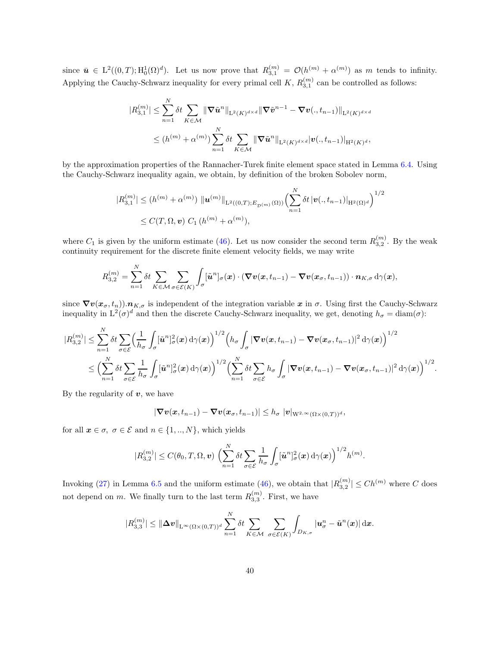since  $\bar{u} \in L^2((0,T); H_0^1(\Omega)^d)$ . Let us now prove that  $R_{3,1}^{(m)} = \mathcal{O}(h^{(m)} + \alpha^{(m)})$  as m tends to infinity. Applying the Cauchy-Schwarz inequality for every primal cell  $K$ ,  $R_{3,1}^{(m)}$  can be controlled as follows:

$$
|R_{3,1}^{(m)}| \leq \sum_{n=1}^{N} \delta t \sum_{K \in \mathcal{M}} \|\nabla \tilde{u}^{n}\|_{\mathcal{L}^{2}(K)^{d \times d}} \|\nabla \tilde{v}^{n-1} - \nabla v(., t_{n-1})\|_{\mathcal{L}^{2}(K)^{d \times d}}
$$
  

$$
\leq (h^{(m)} + \alpha^{(m)}) \sum_{n=1}^{N} \delta t \sum_{K \in \mathcal{M}} \|\nabla \tilde{u}^{n}\|_{\mathcal{L}^{2}(K)^{d \times d}} |\nu(., t_{n-1})|_{\mathcal{H}^{2}(K)^{d}},
$$

by the approximation properties of the Rannacher-Turek finite element space stated in Lemma [6.4.](#page-12-2) Using the Cauchy-Schwarz inequality again, we obtain, by definition of the broken Sobolev norm,

$$
|R_{3,1}^{(m)}| \le (h^{(m)} + \alpha^{(m)}) \, \| \mathbf{u}^{(m)} \|_{\mathcal{L}^2((0,T);E_{\mathcal{D}^{(m)}}(\Omega))} \Big( \sum_{n=1}^N \delta t \, |\mathbf{v}(.,t_{n-1})|_{\mathcal{H}^2(\Omega)^d} \Big)^{1/2}
$$
  
\$\le C(T,\Omega,\mathbf{v}) \ C\_1 \ (h^{(m)} + \alpha^{(m)}),\$

where  $C_1$  is given by the uniform estimate [\(46\)](#page-23-2). Let us now consider the second term  $R_{3,2}^{(m)}$ . By the weak continuity requirement for the discrete finite element velocity fields, we may write

$$
R_{3,2}^{(m)} = \sum_{n=1}^N \delta t \sum_{K \in \mathcal{M}} \sum_{\sigma \in \mathcal{E}(K)} \int_{\sigma} [\tilde{\boldsymbol{u}}^n]_{\sigma}(\boldsymbol{x}) \cdot (\boldsymbol{\nabla v}(\boldsymbol{x}, t_{n-1}) - \boldsymbol{\nabla v}(\boldsymbol{x}_{\sigma}, t_{n-1})) \cdot \boldsymbol{n}_{K,\sigma} \, d\gamma(\boldsymbol{x}),
$$

since  $\nabla v(x_{\sigma}, t_n)$ . $n_{K,\sigma}$  is independent of the integration variable x in  $\sigma$ . Using first the Cauchy-Schwarz inequality in  $L^2(\sigma)^d$  and then the discrete Cauchy-Schwarz inequality, we get, denoting  $h_{\sigma} = \text{diam}(\sigma)$ :

$$
|R_{3,2}^{(m)}| \leq \sum_{n=1}^{N} \delta t \sum_{\sigma \in \mathcal{E}} \left(\frac{1}{h_{\sigma}} \int_{\sigma} [\tilde{\boldsymbol{u}}^{n}]_{\sigma}^{2}(\boldsymbol{x}) d\gamma(\boldsymbol{x})\right)^{1/2} \left(h_{\sigma} \int_{\sigma} |\boldsymbol{\nabla} \boldsymbol{v}(\boldsymbol{x}, t_{n-1}) - \boldsymbol{\nabla} \boldsymbol{v}(\boldsymbol{x}_{\sigma}, t_{n-1})|^{2} d\gamma(\boldsymbol{x})\right)^{1/2} \leq \left(\sum_{n=1}^{N} \delta t \sum_{\sigma \in \mathcal{E}} \frac{1}{h_{\sigma}} \int_{\sigma} [\tilde{\boldsymbol{u}}^{n}]_{\sigma}^{2}(\boldsymbol{x}) d\gamma(\boldsymbol{x})\right)^{1/2} \left(\sum_{n=1}^{N} \delta t \sum_{\sigma \in \mathcal{E}} h_{\sigma} \int_{\sigma} |\boldsymbol{\nabla} \boldsymbol{v}(\boldsymbol{x}, t_{n-1}) - \boldsymbol{\nabla} \boldsymbol{v}(\boldsymbol{x}_{\sigma}, t_{n-1})|^{2} d\gamma(\boldsymbol{x})\right)^{1/2}.
$$

By the regularity of  $v$ , we have

$$
|\boldsymbol{\nabla} \boldsymbol{v}(\boldsymbol{x},t_{n-1}) - \boldsymbol{\nabla} \boldsymbol{v}(\boldsymbol{x}_{\sigma},t_{n-1})| \leq h_{\sigma} \, |\boldsymbol{v}|_{\mathrm{W}^{2,\infty}(\Omega \times (0,T))^{d}},
$$

for all  $x \in \sigma$ ,  $\sigma \in \mathcal{E}$  and  $n \in \{1, ..., N\}$ , which yields

$$
|R_{3,2}^{(m)}| \leq C(\theta_0,T,\Omega,\boldsymbol{v}) \, \Bigl(\sum_{n=1}^N \delta t \sum_{\sigma \in \mathcal{E}} \frac{1}{h_\sigma} \int_\sigma [\tilde{\boldsymbol{u}}^n]_\sigma^2(\boldsymbol{x}) \,d\gamma(\boldsymbol{x})\Bigr)^{1/2} h^{(m)}.
$$

Invoking [\(27\)](#page-12-3) in Lemma [6.5](#page-12-4) and the uniform estimate [\(46\)](#page-23-2), we obtain that  $|R_{3,2}^{(m)}| \leq Ch^{(m)}$  where C does not depend on m. We finally turn to the last term  $R_{3,3}^{(m)}$ . First, we have

$$
|R_{3,3}^{(m)}| \leq \|\mathbf{\Delta v}\|_{\mathbf{L}^{\infty}(\Omega\times(0,T))^d} \sum_{n=1}^N \delta t \sum_{K\in\mathcal{M}} \sum_{\sigma\in\mathcal{E}(K)} \int_{D_{K,\sigma}} |\mathbf{u}^n_{\sigma} - \tilde{\mathbf{u}}^n(\mathbf{x})| \, \mathrm{d}\mathbf{x}.
$$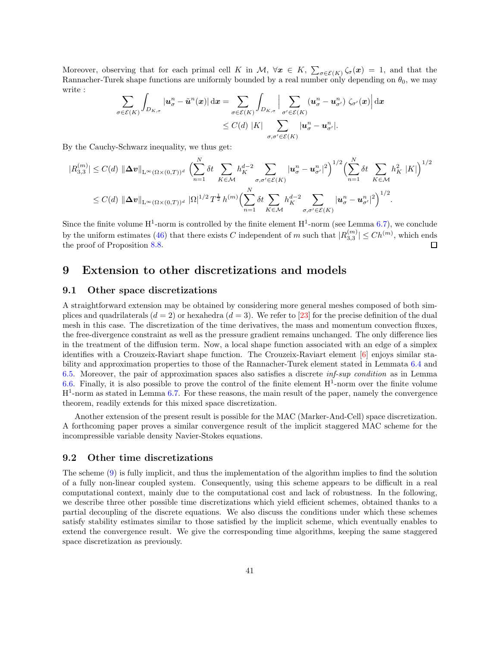Moreover, observing that for each primal cell K in M,  $\forall x \in K$ ,  $\sum_{\sigma \in \mathcal{E}(K)} \zeta_{\sigma}(x) = 1$ , and that the Rannacher-Turek shape functions are uniformly bounded by a real number only depending on  $\theta_0$ , we may write :

$$
\sum_{\sigma \in \mathcal{E}(K)} \int_{D_{K,\sigma}} |\boldsymbol{u}_{\sigma}^{n} - \tilde{\boldsymbol{u}}^{n}(\boldsymbol{x})| d\boldsymbol{x} = \sum_{\sigma \in \mathcal{E}(K)} \int_{D_{K,\sigma}} \Big| \sum_{\sigma' \in \mathcal{E}(K)} (\boldsymbol{u}_{\sigma}^{n} - \boldsymbol{u}_{\sigma'}^{n}) \zeta_{\sigma'}(\boldsymbol{x}) \Big| d\boldsymbol{x} \leq C(d) |K| \sum_{\sigma, \sigma' \in \mathcal{E}(K)} |\boldsymbol{u}_{\sigma}^{n} - \boldsymbol{u}_{\sigma'}^{n}|.
$$

By the Cauchy-Schwarz inequality, we thus get:

$$
|R_{3,3}^{(m)}| \leq C(d) \|\Delta v\|_{\mathcal{L}^{\infty}(\Omega\times(0,T))^d} \left(\sum_{n=1}^N \delta t \sum_{K\in\mathcal{M}} h_K^{d-2} \sum_{\sigma,\sigma'\in\mathcal{E}(K)} |\mathbf{u}^n_{\sigma} - \mathbf{u}^n_{\sigma'}|^2\right)^{1/2} \left(\sum_{n=1}^N \delta t \sum_{K\in\mathcal{M}} h_K^2 |K|\right)^{1/2}
$$
  

$$
\leq C(d) \|\Delta v\|_{\mathcal{L}^{\infty}(\Omega\times(0,T))^d} |\Omega|^{1/2} T^{\frac{1}{2}} h^{(m)} \left(\sum_{n=1}^N \delta t \sum_{K\in\mathcal{M}} h_K^{d-2} \sum_{\sigma,\sigma'\in\mathcal{E}(K)} |\mathbf{u}^n_{\sigma} - \mathbf{u}^n_{\sigma'}|^2\right)^{1/2}.
$$

Since the finite volume  $H^1$ -norm is controlled by the finite element  $H^1$ -norm (see Lemma [6.7\)](#page-13-0), we conclude by the uniform estimates [\(46\)](#page-23-2) that there exists C independent of m such that  $|R_{3,3}^{(m)}| \leq Ch^{(m)}$ , which ends the proof of Proposition [8.8.](#page-34-1) П

### 9 Extension to other discretizations and models

### 9.1 Other space discretizations

A straightforward extension may be obtained by considering more general meshes composed of both simplices and quadrilaterals  $(d = 2)$  or hexahedra  $(d = 3)$ . We refer to [\[23\]](#page-45-15) for the precise definition of the dual mesh in this case. The discretization of the time derivatives, the mass and momentum convection fluxes, the free-divergence constraint as well as the pressure gradient remains unchanged. The only difference lies in the treatment of the diffusion term. Now, a local shape function associated with an edge of a simplex identifies with a Crouzeix-Raviart shape function. The Crouzeix-Raviart element [\[6\]](#page-44-0) enjoys similar stability and approximation properties to those of the Rannacher-Turek element stated in Lemmata [6.4](#page-12-2) and [6.5.](#page-12-4) Moreover, the pair of approximation spaces also satisfies a discrete inf-sup condition as in Lemma [6.6.](#page-12-5) Finally, it is also possible to prove the control of the finite element  $H^1$ -norm over the finite volume  $H<sup>1</sup>$ -norm as stated in Lemma [6.7.](#page-13-0) For these reasons, the main result of the paper, namely the convergence theorem, readily extends for this mixed space discretization.

Another extension of the present result is possible for the MAC (Marker-And-Cell) space discretization. A forthcoming paper proves a similar convergence result of the implicit staggered MAC scheme for the incompressible variable density Navier-Stokes equations.

### 9.2 Other time discretizations

The scheme [\(9\)](#page-5-4) is fully implicit, and thus the implementation of the algorithm implies to find the solution of a fully non-linear coupled system. Consequently, using this scheme appears to be difficult in a real computational context, mainly due to the computational cost and lack of robustness. In the following, we describe three other possible time discretizations which yield efficient schemes, obtained thanks to a partial decoupling of the discrete equations. We also discuss the conditions under which these schemes satisfy stability estimates similar to those satisfied by the implicit scheme, which eventually enables to extend the convergence result. We give the corresponding time algorithms, keeping the same staggered space discretization as previously.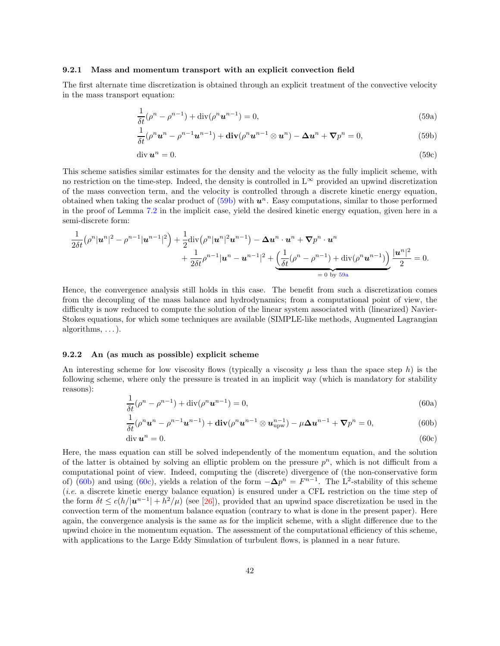#### 9.2.1 Mass and momentum transport with an explicit convection field

The first alternate time discretization is obtained through an explicit treatment of the convective velocity in the mass transport equation:

<span id="page-41-1"></span><span id="page-41-0"></span>
$$
\frac{1}{\delta t}(\rho^n - \rho^{n-1}) + \text{div}(\rho^n \mathbf{u}^{n-1}) = 0,
$$
\n(59a)

$$
\frac{1}{\delta t}(\rho^n \mathbf{u}^n - \rho^{n-1} \mathbf{u}^{n-1}) + \mathbf{div}(\rho^n \mathbf{u}^{n-1} \otimes \mathbf{u}^n) - \mathbf{\Delta u}^n + \nabla p^n = 0,
$$
\n(59b)

$$
\operatorname{div} \mathbf{u}^n = 0. \tag{59c}
$$

This scheme satisfies similar estimates for the density and the velocity as the fully implicit scheme, with no restriction on the time-step. Indeed, the density is controlled in  $L^{\infty}$  provided an upwind discretization of the mass convection term, and the velocity is controlled through a discrete kinetic energy equation, obtained when taking the scalar product of  $(59b)$  with  $u<sup>n</sup>$ . Easy computations, similar to those performed in the proof of Lemma [7.2](#page-19-2) in the implicit case, yield the desired kinetic energy equation, given here in a semi-discrete form:

$$
\frac{1}{2\delta t}(\rho^{n}|\mathbf{u}^{n}|^{2} - \rho^{n-1}|\mathbf{u}^{n-1}|^{2}) + \frac{1}{2}\text{div}(\rho^{n}|\mathbf{u}^{n}|^{2}\mathbf{u}^{n-1}) - \Delta \mathbf{u}^{n} \cdot \mathbf{u}^{n} + \nabla p^{n} \cdot \mathbf{u}^{n} + \frac{1}{2\delta t}\rho^{n-1}|\mathbf{u}^{n} - \mathbf{u}^{n-1}|^{2} + \underbrace{\left(\frac{1}{\delta t}(\rho^{n} - \rho^{n-1}) + \text{div}(\rho^{n} \mathbf{u}^{n-1})\right)}_{=0 \text{ by } 59 \text{a}} \frac{|\mathbf{u}^{n}|^{2}}{2} = 0.
$$

Hence, the convergence analysis still holds in this case. The benefit from such a discretization comes from the decoupling of the mass balance and hydrodynamics; from a computational point of view, the difficulty is now reduced to compute the solution of the linear system associated with (linearized) Navier-Stokes equations, for which some techniques are available (SIMPLE-like methods, Augmented Lagrangian algorithms,  $\dots$ ).

#### 9.2.2 An (as much as possible) explicit scheme

An interesting scheme for low viscosity flows (typically a viscosity  $\mu$  less than the space step h) is the following scheme, where only the pressure is treated in an implicit way (which is mandatory for stability reasons):

$$
\frac{1}{\delta t}(\rho^n - \rho^{n-1}) + \text{div}(\rho^n \mathbf{u}^{n-1}) = 0,
$$
\n(60a)

<span id="page-41-2"></span>
$$
\frac{1}{\delta t}(\rho^n \mathbf{u}^n - \rho^{n-1} \mathbf{u}^{n-1}) + \mathbf{div}(\rho^n \mathbf{u}^{n-1} \otimes \mathbf{u}_{\text{upw}}^{n-1}) - \mu \mathbf{\Delta u}^{n-1} + \nabla p^n = 0,
$$
\n(60b)

<span id="page-41-3"></span>
$$
\operatorname{div} \mathbf{u}^n = 0. \tag{60c}
$$

Here, the mass equation can still be solved independently of the momentum equation, and the solution of the latter is obtained by solving an elliptic problem on the pressure  $p^n$ , which is not difficult from a computational point of view. Indeed, computing the (discrete) divergence of (the non-conservative form of) [\(60b\)](#page-41-2) and using [\(60c\)](#page-41-3), yields a relation of the form  $-\Delta p^n = F^{n-1}$ . The L<sup>2</sup>-stability of this scheme (i.e. a discrete kinetic energy balance equation) is ensured under a CFL restriction on the time step of the form  $\delta t \leq c(h/|\mathbf{u}^{n-1}| + h^2/\mu)$  (see [\[26\]](#page-45-16)), provided that an upwind space discretization be used in the convection term of the momentum balance equation (contrary to what is done in the present paper). Here again, the convergence analysis is the same as for the implicit scheme, with a slight difference due to the upwind choice in the momentum equation. The assessment of the computational efficiency of this scheme, with applications to the Large Eddy Simulation of turbulent flows, is planned in a near future.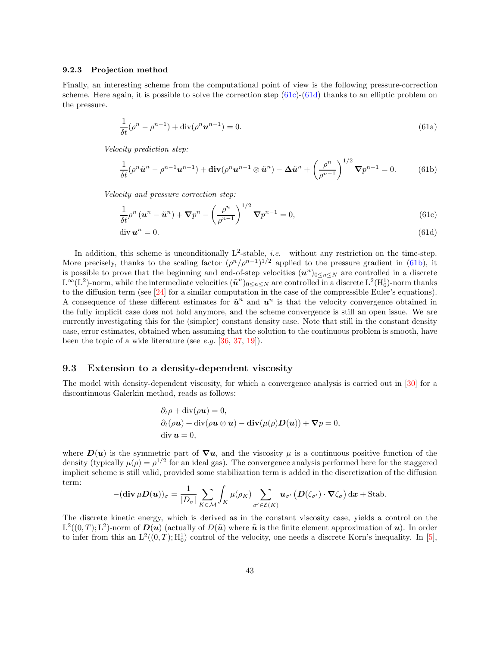#### 9.2.3 Projection method

Finally, an interesting scheme from the computational point of view is the following pressure-correction scheme. Here again, it is possible to solve the correction step [\(61c\)](#page-42-0)-[\(61d\)](#page-42-1) thanks to an elliptic problem on the pressure.

$$
\frac{1}{\delta t}(\rho^n - \rho^{n-1}) + \text{div}(\rho^n \mathbf{u}^{n-1}) = 0.
$$
\n(61a)

Velocity prediction step:

<span id="page-42-2"></span>
$$
\frac{1}{\delta t}(\rho^n \tilde{\boldsymbol{u}}^n - \rho^{n-1} \boldsymbol{u}^{n-1}) + \operatorname{div}(\rho^n \boldsymbol{u}^{n-1} \otimes \tilde{\boldsymbol{u}}^n) - \Delta \tilde{\boldsymbol{u}}^n + \left(\frac{\rho^n}{\rho^{n-1}}\right)^{1/2} \nabla p^{n-1} = 0.
$$
 (61b)

Velocity and pressure correction step:

<span id="page-42-0"></span>
$$
\frac{1}{\delta t} \rho^n \left( \boldsymbol{u}^n - \tilde{\boldsymbol{u}}^n \right) + \boldsymbol{\nabla} p^n - \left( \frac{\rho^n}{\rho^{n-1}} \right)^{1/2} \boldsymbol{\nabla} p^{n-1} = 0, \tag{61c}
$$

<span id="page-42-1"></span>
$$
\operatorname{div} \mathbf{u}^n = 0. \tag{61d}
$$

In addition, this scheme is unconditionally  $L^2$ -stable, *i.e.* without any restriction on the time-step. More precisely, thanks to the scaling factor  $(\rho^n/\rho^{n-1})^{1/2}$  applied to the pressure gradient in [\(61b\)](#page-42-2), it is possible to prove that the beginning and end-of-step velocities  $(u^n)_{0 \leq n \leq N}$  are controlled in a discrete  $\text{L}^{\infty}(\text{L}^2)$ -norm, while the intermediate velocities  $(\tilde{\bm{u}}^n)_{0 \leq n \leq N}$  are controlled in a discrete  $\text{L}^2(\text{H}_0^1)$ -norm thanks to the diffusion term (see [\[24\]](#page-45-11) for a similar computation in the case of the compressible Euler's equations). A consequence of these different estimates for  $\tilde{u}^n$  and  $u^n$  is that the velocity convergence obtained in the fully implicit case does not hold anymore, and the scheme convergence is still an open issue. We are currently investigating this for the (simpler) constant density case. Note that still in the constant density case, error estimates, obtained when assuming that the solution to the continuous problem is smooth, have been the topic of a wide literature (see e.g.  $[36, 37, 19]$  $[36, 37, 19]$  $[36, 37, 19]$  $[36, 37, 19]$  $[36, 37, 19]$ ).

### 9.3 Extension to a density-dependent viscosity

The model with density-dependent viscosity, for which a convergence analysis is carried out in [\[30\]](#page-45-12) for a discontinuous Galerkin method, reads as follows:

$$
\partial_t \rho + \text{div}(\rho \mathbf{u}) = 0,
$$
  
\n
$$
\partial_t (\rho \mathbf{u}) + \text{div}(\rho \mathbf{u} \otimes \mathbf{u}) - \text{div}(\mu(\rho) \mathbf{D}(\mathbf{u})) + \nabla p = 0,
$$
  
\n
$$
\text{div } \mathbf{u} = 0,
$$

where  $D(u)$  is the symmetric part of  $\nabla u$ , and the viscosity  $\mu$  is a continuous positive function of the density (typically  $\mu(\rho) = \rho^{1/2}$  for an ideal gas). The convergence analysis performed here for the staggered implicit scheme is still valid, provided some stabilization term is added in the discretization of the diffusion term:

$$
-(\mathbf{div}\,\mu\mathbf{D}(\mathbf{u}))_{\sigma} = \frac{1}{|D_{\sigma}|}\sum_{K\in\mathcal{M}}\int_{K}\mu(\rho_{K})\sum_{\sigma'\in\mathcal{E}(K)}\mathbf{u}_{\sigma'}\left(\mathbf{D}(\zeta_{\sigma'})\cdot\nabla\zeta_{\sigma}\right)\mathrm{d}\mathbf{x} + \text{Stab}.
$$

The discrete kinetic energy, which is derived as in the constant viscosity case, yields a control on the  $L^2((0,T); L^2)$ -norm of  $\bm{D}(\bm{u})$  (actually of  $D(\tilde{\bm{u}})$  where  $\tilde{\bm{u}}$  is the finite element approximation of  $\bm{u}$ ). In order to infer from this an  $L^2((0,T); H_0^1)$  control of the velocity, one needs a discrete Korn's inequality. In [\[5\]](#page-44-11),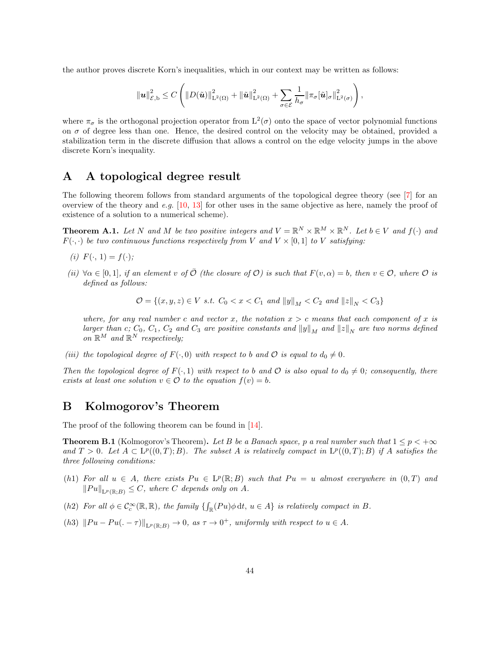the author proves discrete Korn's inequalities, which in our context may be written as follows:

$$
\|\boldsymbol{u}\|_{\mathcal{E},\mathrm{b}}^2 \leq C\left(\|D(\tilde{\boldsymbol{u}})\|_{\mathrm{L}^2(\Omega)}^2 + \|\tilde{\boldsymbol{u}}\|_{\mathrm{L}^2(\Omega)}^2 + \sum_{\sigma\in\mathcal{E}}\frac{1}{h_\sigma}\|\pi_\sigma[\tilde{\boldsymbol{u}}]_\sigma\|_{\mathrm{L}^2(\sigma)}^2\right),\,
$$

where  $\pi_{\sigma}$  is the orthogonal projection operator from  $L^2(\sigma)$  onto the space of vector polynomial functions on  $\sigma$  of degree less than one. Hence, the desired control on the velocity may be obtained, provided a stabilization term in the discrete diffusion that allows a control on the edge velocity jumps in the above discrete Korn's inequality.

## A A topological degree result

The following theorem follows from standard arguments of the topological degree theory (see [\[7\]](#page-44-12) for an overview of the theory and e.g.  $[10, 13]$  $[10, 13]$  $[10, 13]$  for other uses in the same objective as here, namely the proof of existence of a solution to a numerical scheme).

<span id="page-43-0"></span>**Theorem A.1.** Let N and M be two positive integers and  $V = \mathbb{R}^N \times \mathbb{R}^M \times \mathbb{R}^N$ . Let  $b \in V$  and  $f(\cdot)$  and  $F(\cdot, \cdot)$  be two continuous functions respectively from V and  $V \times [0, 1]$  to V satisfying:

- (*i*)  $F(\cdot, 1) = f(\cdot);$
- (ii)  $\forall \alpha \in [0,1]$ , if an element v of  $\overline{\mathcal{O}}$  (the closure of  $\mathcal{O}$ ) is such that  $F(v,\alpha) = b$ , then  $v \in \mathcal{O}$ , where  $\mathcal O$  is defined as follows:

 $\mathcal{O} = \{(x, y, z) \in V \text{ s.t. } C_0 < x < C_1 \text{ and } ||y||_M < C_2 \text{ and } ||z||_N < C_3\}$ 

where, for any real number c and vector x, the notation  $x > c$  means that each component of x is larger than c; C<sub>0</sub>, C<sub>1</sub>, C<sub>2</sub> and C<sub>3</sub> are positive constants and  $||y||_M$  and  $||z||_N$  are two norms defined on  $\mathbb{R}^M$  and  $\mathbb{R}^N$  respectively;

(iii) the topological degree of  $F(\cdot, 0)$  with respect to b and  $\mathcal O$  is equal to  $d_0 \neq 0$ .

Then the topological degree of  $F(\cdot, 1)$  with respect to b and  $\mathcal O$  is also equal to  $d_0 \neq 0$ ; consequently, there exists at least one solution  $v \in \mathcal{O}$  to the equation  $f(v) = b$ .

# <span id="page-43-1"></span>B Kolmogorov's Theorem

The proof of the following theorem can be found in [\[14\]](#page-44-14).

<span id="page-43-2"></span>**Theorem B.1** (Kolmogorov's Theorem). Let B be a Banach space, p a real number such that  $1 \leq p < +\infty$ and  $T > 0$ . Let  $A \subset L^p((0,T);B)$ . The subset A is relatively compact in  $L^p((0,T);B)$  if A satisfies the three following conditions:

- (h1) For all  $u \in A$ , there exists  $Pu \in L^p(\mathbb{R};B)$  such that  $Pu = u$  almost everywhere in  $(0,T)$  and  $||Pu||_{L^p(\mathbb{R}:B)} \leq C$ , where C depends only on A.
- (h2) For all  $\phi \in C_c^{\infty}(\mathbb{R}, \mathbb{R})$ , the family  $\{\int_{\mathbb{R}}(Pu)\phi \,dt, u \in A\}$  is relatively compact in B.
- (h3)  $||Pu Pu(.-\tau)||_{L^p(\mathbb{R};B)} \to 0$ , as  $\tau \to 0^+$ , uniformly with respect to  $u \in A$ .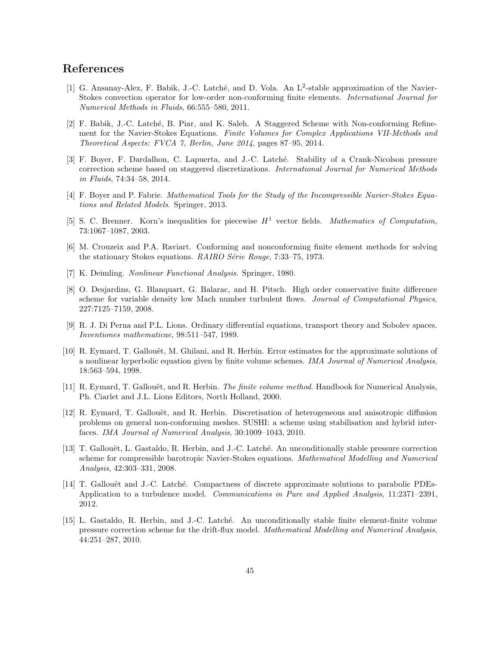# <span id="page-44-1"></span>References

- [1] G. Ansanay-Alex, F. Babik, J.-C. Latché, and D. Vola. An L<sup>2</sup>-stable approximation of the Navier-Stokes convection operator for low-order non-conforming finite elements. International Journal for Numerical Methods in Fluids, 66:555–580, 2011.
- <span id="page-44-8"></span>[2] F. Babik, J.-C. Latch´e, B. Piar, and K. Saleh. A Staggered Scheme with Non-conforming Refinement for the Navier-Stokes Equations. Finite Volumes for Complex Applications VII-Methods and Theoretical Aspects: FVCA 7, Berlin, June 2014, pages 87–95, 2014.
- <span id="page-44-2"></span>[3] F. Boyer, F. Dardalhon, C. Lapuerta, and J.-C. Latch´e. Stability of a Crank-Nicolson pressure correction scheme based on staggered discretizations. International Journal for Numerical Methods in Fluids, 74:34–58, 2014.
- <span id="page-44-6"></span>[4] F. Boyer and P. Fabrie. *Mathematical Tools for the Study of the Incompressible Navier-Stokes Equa*tions and Related Models. Springer, 2013.
- <span id="page-44-11"></span>[5] S. C. Brenner. Korn's inequalities for piecewise  $H<sup>1</sup>$  vector fields. Mathematics of Computation, 73:1067–1087, 2003.
- <span id="page-44-0"></span>[6] M. Crouzeix and P.A. Raviart. Conforming and nonconforming finite element methods for solving the stationary Stokes equations. RAIRO Série Rouge, 7:33–75, 1973.
- <span id="page-44-12"></span><span id="page-44-4"></span>[7] K. Deimling. Nonlinear Functional Analysis. Springer, 1980.
- [8] O. Desjardins, G. Blanquart, G. Balarac, and H. Pitsch. High order conservative finite difference scheme for variable density low Mach number turbulent flows. Journal of Computational Physics, 227:7125–7159, 2008.
- <span id="page-44-5"></span>[9] R. J. Di Perna and P.L. Lions. Ordinary differential equations, transport theory and Sobolev spaces. Inventiones mathematicae, 98:511–547, 1989.
- <span id="page-44-13"></span>[10] R. Eymard, T. Gallouët, M. Ghilani, and R. Herbin. Error estimates for the approximate solutions of a nonlinear hyperbolic equation given by finite volume schemes. IMA Journal of Numerical Analysis, 18:563–594, 1998.
- <span id="page-44-9"></span>[11] R. Eymard, T. Gallouët, and R. Herbin. *The finite volume method*. Handbook for Numerical Analysis, Ph. Ciarlet and J.L. Lions Editors, North Holland, 2000.
- <span id="page-44-10"></span>[12] R. Eymard, T. Gallouët, and R. Herbin. Discretisation of heterogeneous and anisotropic diffusion problems on general non-conforming meshes. SUSHI: a scheme using stabilisation and hybrid interfaces. IMA Journal of Numerical Analysis, 30:1009–1043, 2010.
- <span id="page-44-3"></span>[13] T. Gallouët, L. Gastaldo, R. Herbin, and J.-C. Latché. An unconditionally stable pressure correction scheme for compressible barotropic Navier-Stokes equations. Mathematical Modelling and Numerical Analysis, 42:303–331, 2008.
- <span id="page-44-14"></span>[14] T. Gallouët and J.-C. Latché. Compactness of discrete approximate solutions to parabolic PDEs-Application to a turbulence model. Communications in Pure and Applied Analysis, 11:2371–2391, 2012.
- <span id="page-44-7"></span>[15] L. Gastaldo, R. Herbin, and J.-C. Latché. An unconditionally stable finite element-finite volume pressure correction scheme for the drift-flux model. Mathematical Modelling and Numerical Analysis, 44:251–287, 2010.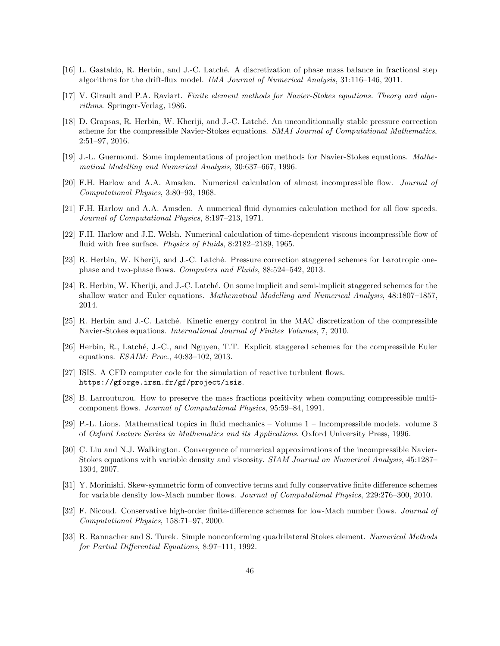- <span id="page-45-14"></span><span id="page-45-3"></span>[16] L. Gastaldo, R. Herbin, and J.-C. Latch´e. A discretization of phase mass balance in fractional step algorithms for the drift-flux model. IMA Journal of Numerical Analysis, 31:116–146, 2011.
- <span id="page-45-8"></span>[17] V. Girault and P.A. Raviart. Finite element methods for Navier-Stokes equations. Theory and algorithms. Springer-Verlag, 1986.
- [18] D. Grapsas, R. Herbin, W. Kheriji, and J.-C. Latché. An unconditionnally stable pressure correction scheme for the compressible Navier-Stokes equations. SMAI Journal of Computational Mathematics, 2:51–97, 2016.
- <span id="page-45-17"></span><span id="page-45-1"></span>[19] J.-L. Guermond. Some implementations of projection methods for Navier-Stokes equations. Mathematical Modelling and Numerical Analysis, 30:637–667, 1996.
- <span id="page-45-2"></span>[20] F.H. Harlow and A.A. Amsden. Numerical calculation of almost incompressible flow. *Journal of* Computational Physics, 3:80–93, 1968.
- <span id="page-45-0"></span>[21] F.H. Harlow and A.A. Amsden. A numerical fluid dynamics calculation method for all flow speeds. Journal of Computational Physics, 8:197–213, 1971.
- <span id="page-45-15"></span>[22] F.H. Harlow and J.E. Welsh. Numerical calculation of time-dependent viscous incompressible flow of fluid with free surface. Physics of Fluids, 8:2182-2189, 1965.
- [23] R. Herbin, W. Kheriji, and J.-C. Latché. Pressure correction staggered schemes for barotropic onephase and two-phase flows. Computers and Fluids, 88:524–542, 2013.
- <span id="page-45-11"></span>[24] R. Herbin, W. Kheriji, and J.-C. Latché. On some implicit and semi-implicit staggered schemes for the shallow water and Euler equations. Mathematical Modelling and Numerical Analysis, 48:1807–1857, 2014.
- <span id="page-45-6"></span>[25] R. Herbin and J.-C. Latché. Kinetic energy control in the MAC discretization of the compressible Navier-Stokes equations. International Journal of Finites Volumes, 7, 2010.
- <span id="page-45-16"></span>[26] Herbin, R., Latché, J.-C., and Nguyen, T.T. Explicit staggered schemes for the compressible Euler equations. ESAIM: Proc., 40:83–102, 2013.
- <span id="page-45-7"></span>[27] ISIS. A CFD computer code for the simulation of reactive turbulent flows. https://gforge.irsn.fr/gf/project/isis.
- <span id="page-45-4"></span>[28] B. Larrouturou. How to preserve the mass fractions positivity when computing compressible multicomponent flows. Journal of Computational Physics, 95:59–84, 1991.
- <span id="page-45-13"></span>[29] P.-L. Lions. Mathematical topics in fluid mechanics – Volume 1 – Incompressible models. volume 3 of Oxford Lecture Series in Mathematics and its Applications. Oxford University Press, 1996.
- <span id="page-45-12"></span>[30] C. Liu and N.J. Walkington. Convergence of numerical approximations of the incompressible Navier-Stokes equations with variable density and viscosity. SIAM Journal on Numerical Analysis, 45:1287– 1304, 2007.
- <span id="page-45-10"></span>[31] Y. Morinishi. Skew-symmetric form of convective terms and fully conservative finite difference schemes for variable density low-Mach number flows. Journal of Computational Physics, 229:276–300, 2010.
- <span id="page-45-9"></span>[32] F. Nicoud. Conservative high-order finite-difference schemes for low-Mach number flows. Journal of Computational Physics, 158:71–97, 2000.
- <span id="page-45-5"></span>[33] R. Rannacher and S. Turek. Simple nonconforming quadrilateral Stokes element. Numerical Methods for Partial Differential Equations, 8:97–111, 1992.